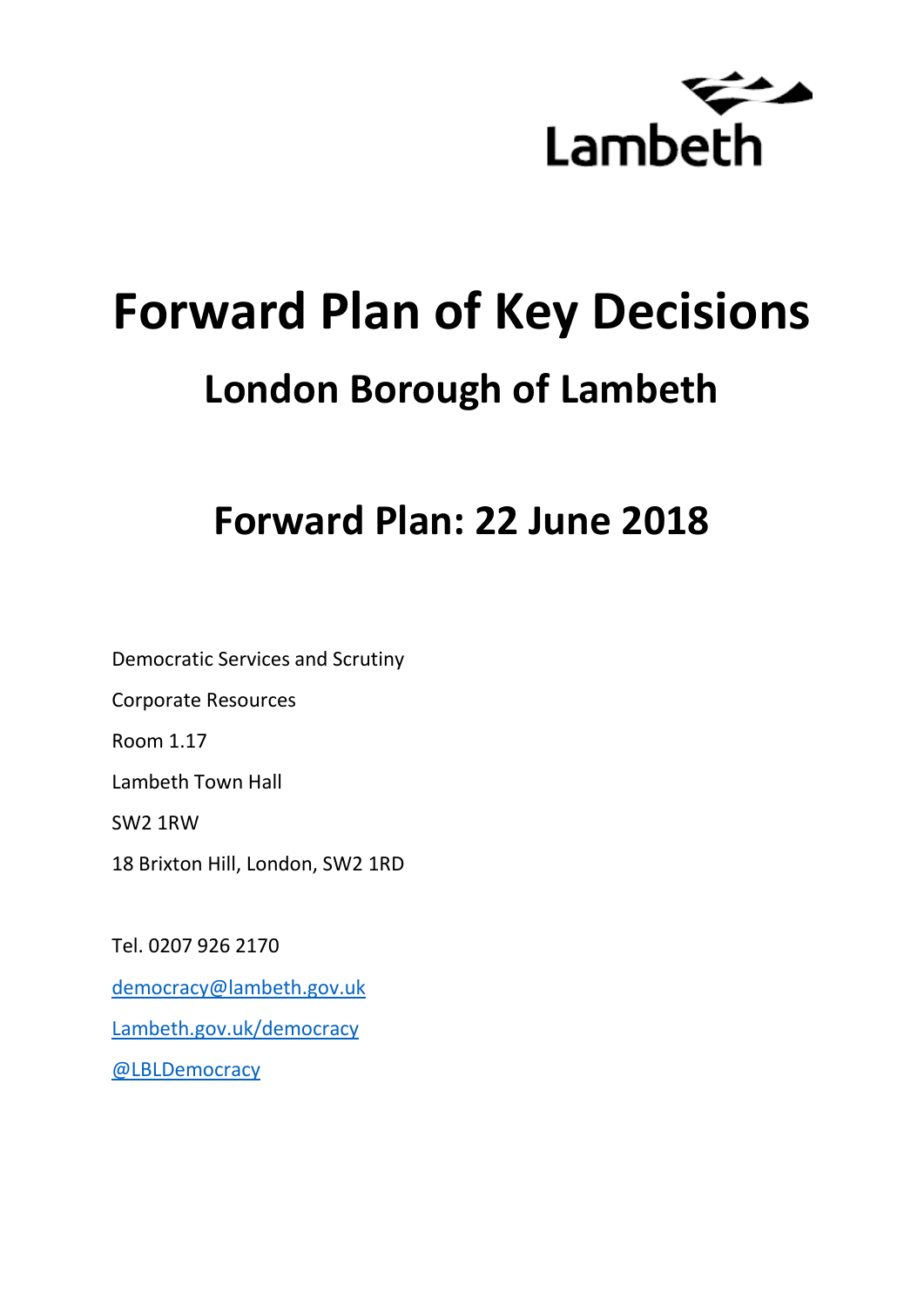

# **Forward Plan of Key Decisions London Borough of Lambeth**

# **Forward Plan: 22 June 2018**

Democratic Services and Scrutiny Corporate Resources Room 1.17 Lambeth Town Hall SW2 1RW 18 Brixton Hill, London, SW2 1RD

Tel. 0207 926 2170 [democracy@lambeth.gov.uk](mailto:democracy@lambeth.gov.uk) [Lambeth.gov.uk/democracy](https://www.lambeth.gov.uk/elections-and-council/meetings-minutes-and-agendas/getting-involved-in-decision-making-guide) [@LBLDemocracy](https://twitter.com/LBLDemocracy?lang=en)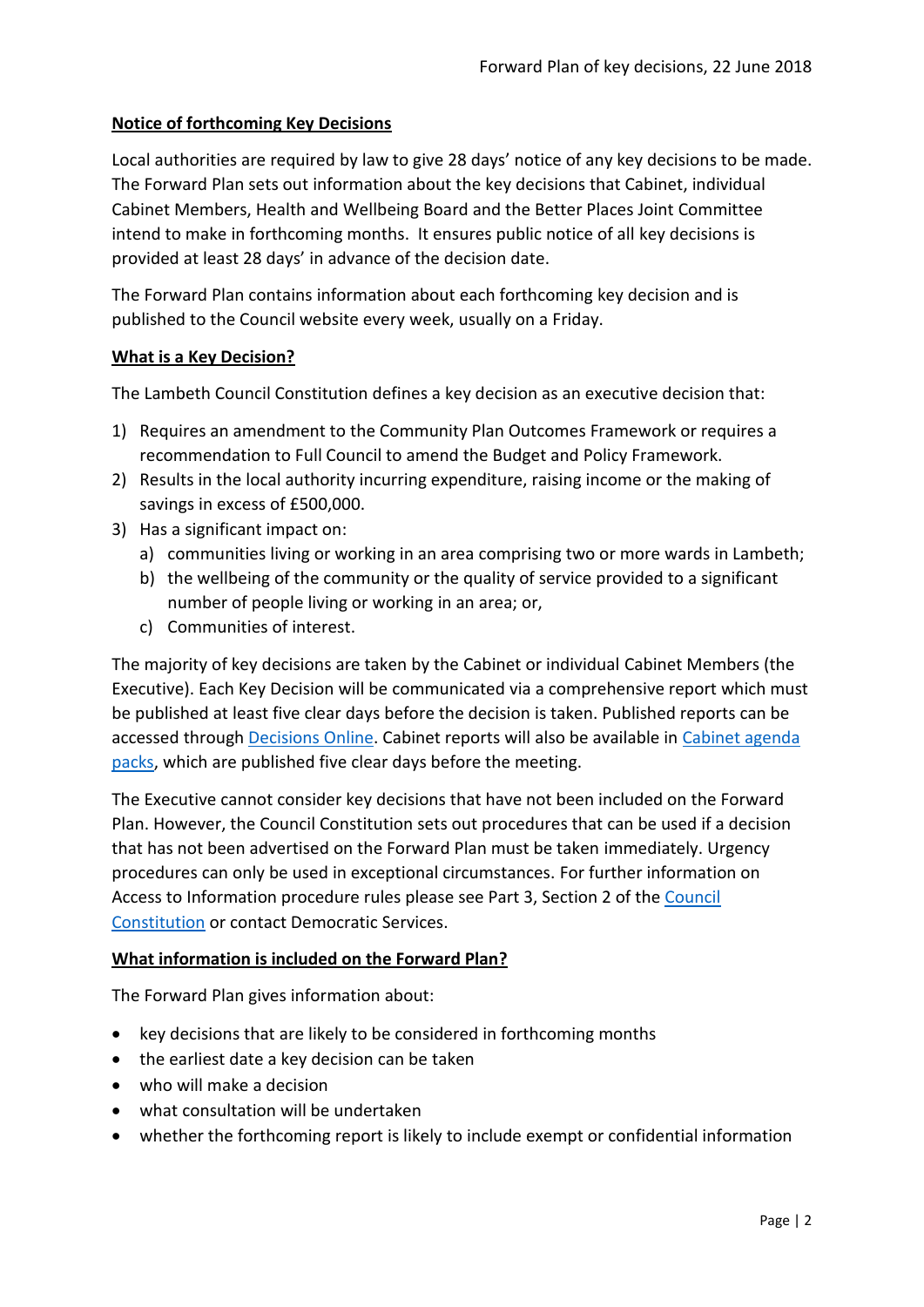# **Notice of forthcoming Key Decisions**

Local authorities are required by law to give 28 days' notice of any key decisions to be made. The Forward Plan sets out information about the key decisions that Cabinet, individual Cabinet Members, Health and Wellbeing Board and the Better Places Joint Committee intend to make in forthcoming months. It ensures public notice of all key decisions is provided at least 28 days' in advance of the decision date.

The Forward Plan contains information about each forthcoming key decision and is published to the Council website every week, usually on a Friday.

#### **What is a Key Decision?**

The Lambeth Council Constitution defines a key decision as an executive decision that:

- 1) Requires an amendment to the Community Plan Outcomes Framework or requires a recommendation to Full Council to amend the Budget and Policy Framework.
- 2) Results in the local authority incurring expenditure, raising income or the making of savings in excess of £500,000.
- 3) Has a significant impact on:
	- a) communities living or working in an area comprising two or more wards in Lambeth;
	- b) the wellbeing of the community or the quality of service provided to a significant number of people living or working in an area; or,
	- c) Communities of interest.

The majority of key decisions are taken by the Cabinet or individual Cabinet Members (the Executive). Each Key Decision will be communicated via a comprehensive report which must be published at least five clear days before the decision is taken. Published reports can be accessed through [Decisions Online.](http://moderngov.lambeth.gov.uk/mgDelegatedDecisions.aspx?bcr=1&DM=0&DS=2&K=0&DR=&V=0) Cabinet reports will also be available in [Cabinet agenda](https://moderngov.lambeth.gov.uk/ieListMeetings.aspx?CommitteeId=225)  [packs,](https://moderngov.lambeth.gov.uk/ieListMeetings.aspx?CommitteeId=225) which are published five clear days before the meeting.

The Executive cannot consider key decisions that have not been included on the Forward Plan. However, the Council Constitution sets out procedures that can be used if a decision that has not been advertised on the Forward Plan must be taken immediately. Urgency procedures can only be used in exceptional circumstances. For further information on Access to Information procedure rules please see Part 3, Section 2 of the [Council](http://moderngov.lambeth.gov.uk/ieListMeetings.aspx?CId=738&info=1&MD=Constitution)  [Constitution](http://moderngov.lambeth.gov.uk/ieListMeetings.aspx?CId=738&info=1&MD=Constitution) or contact Democratic Services.

# **What information is included on the Forward Plan?**

The Forward Plan gives information about:

- key decisions that are likely to be considered in forthcoming months
- the earliest date a key decision can be taken
- who will make a decision
- what consultation will be undertaken
- whether the forthcoming report is likely to include exempt or confidential information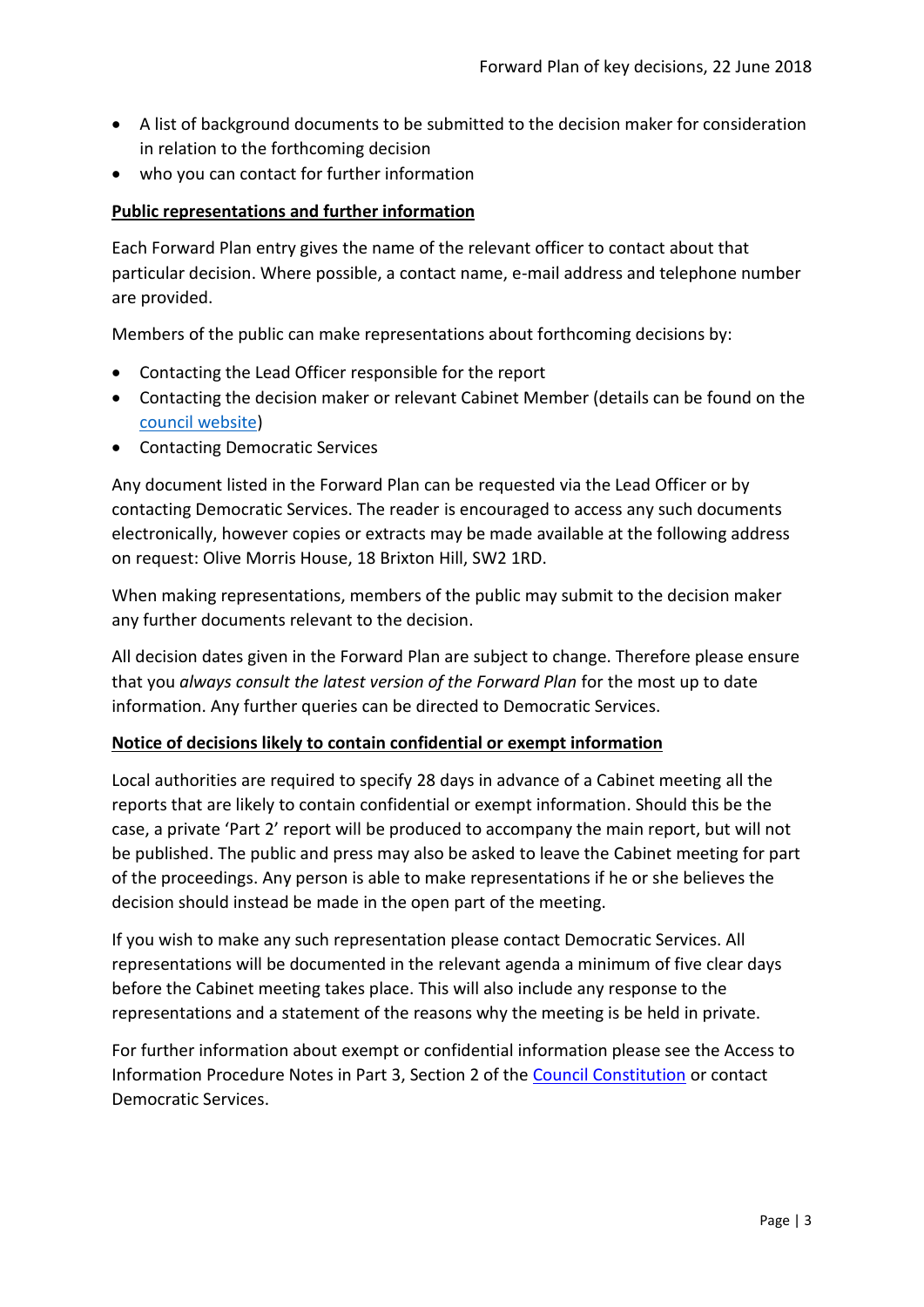- A list of background documents to be submitted to the decision maker for consideration in relation to the forthcoming decision
- who you can contact for further information

# **Public representations and further information**

Each Forward Plan entry gives the name of the relevant officer to contact about that particular decision. Where possible, a contact name, e-mail address and telephone number are provided.

Members of the public can make representations about forthcoming decisions by:

- Contacting the Lead Officer responsible for the report
- Contacting the decision maker or relevant Cabinet Member (details can be found on the [council website\)](http://moderngov.lambeth.gov.uk/mgMemberIndex.aspx?bcr=1)
- Contacting Democratic Services

Any document listed in the Forward Plan can be requested via the Lead Officer or by contacting Democratic Services. The reader is encouraged to access any such documents electronically, however copies or extracts may be made available at the following address on request: Olive Morris House, 18 Brixton Hill, SW2 1RD.

When making representations, members of the public may submit to the decision maker any further documents relevant to the decision.

All decision dates given in the Forward Plan are subject to change. Therefore please ensure that you *always consult the latest version of the Forward Plan* for the most up to date information. Any further queries can be directed to Democratic Services.

#### **Notice of decisions likely to contain confidential or exempt information**

Local authorities are required to specify 28 days in advance of a Cabinet meeting all the reports that are likely to contain confidential or exempt information. Should this be the case, a private 'Part 2' report will be produced to accompany the main report, but will not be published. The public and press may also be asked to leave the Cabinet meeting for part of the proceedings. Any person is able to make representations if he or she believes the decision should instead be made in the open part of the meeting.

If you wish to make any such representation please contact Democratic Services. All representations will be documented in the relevant agenda a minimum of five clear days before the Cabinet meeting takes place. This will also include any response to the representations and a statement of the reasons why the meeting is be held in private.

For further information about exempt or confidential information please see the Access to Information Procedure Notes in Part 3, Section 2 of the [Council Constitution](http://www.lambeth.gov.uk/sites/default/files/ec-Council-Constitution-2014-15-approved-with-changes-November-2014.pdf) or contact Democratic Services.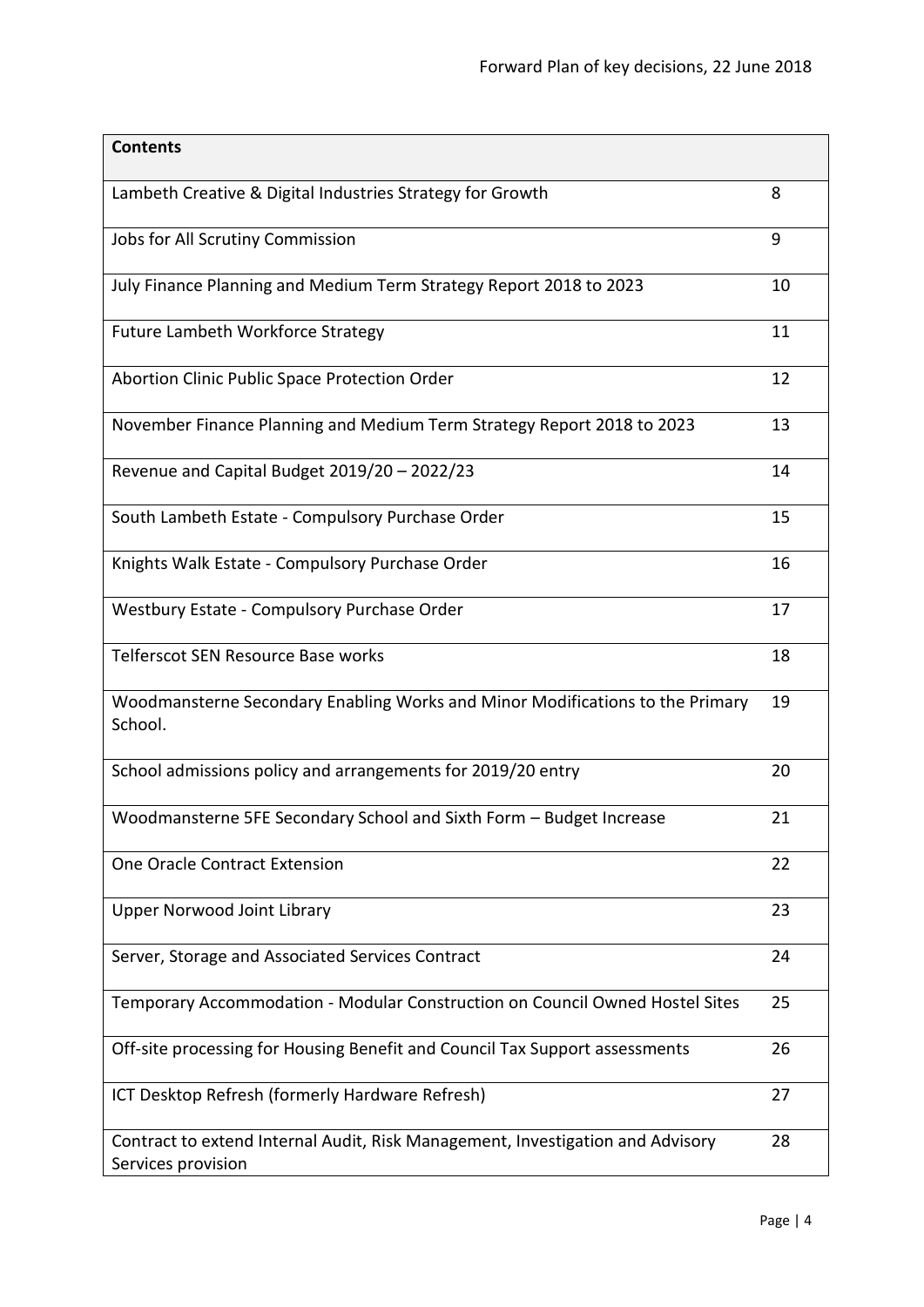| <b>Contents</b>                                                                                      |    |
|------------------------------------------------------------------------------------------------------|----|
| Lambeth Creative & Digital Industries Strategy for Growth                                            | 8  |
| Jobs for All Scrutiny Commission                                                                     | 9  |
| July Finance Planning and Medium Term Strategy Report 2018 to 2023                                   | 10 |
| Future Lambeth Workforce Strategy                                                                    | 11 |
| Abortion Clinic Public Space Protection Order                                                        | 12 |
| November Finance Planning and Medium Term Strategy Report 2018 to 2023                               | 13 |
| Revenue and Capital Budget 2019/20 - 2022/23                                                         | 14 |
| South Lambeth Estate - Compulsory Purchase Order                                                     | 15 |
| Knights Walk Estate - Compulsory Purchase Order                                                      | 16 |
| Westbury Estate - Compulsory Purchase Order                                                          | 17 |
| Telferscot SEN Resource Base works                                                                   | 18 |
| Woodmansterne Secondary Enabling Works and Minor Modifications to the Primary<br>School.             | 19 |
| School admissions policy and arrangements for 2019/20 entry                                          | 20 |
| Woodmansterne 5FE Secondary School and Sixth Form - Budget Increase                                  | 21 |
| One Oracle Contract Extension                                                                        | 22 |
| <b>Upper Norwood Joint Library</b>                                                                   | 23 |
| Server, Storage and Associated Services Contract                                                     | 24 |
| Temporary Accommodation - Modular Construction on Council Owned Hostel Sites                         | 25 |
| Off-site processing for Housing Benefit and Council Tax Support assessments                          | 26 |
| ICT Desktop Refresh (formerly Hardware Refresh)                                                      | 27 |
| Contract to extend Internal Audit, Risk Management, Investigation and Advisory<br>Services provision | 28 |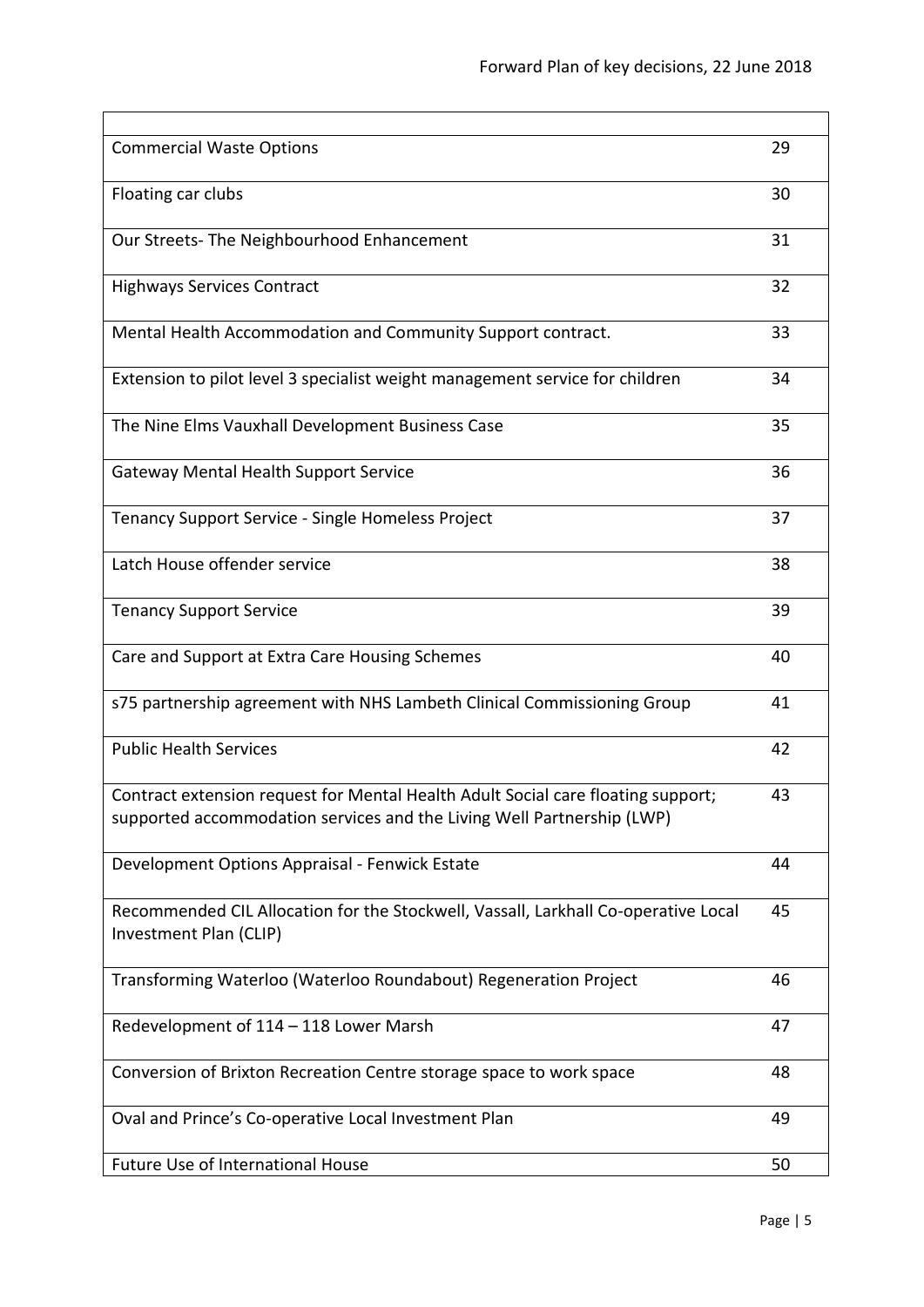| <b>Commercial Waste Options</b>                                                                                                                            | 29 |
|------------------------------------------------------------------------------------------------------------------------------------------------------------|----|
| Floating car clubs                                                                                                                                         | 30 |
| Our Streets- The Neighbourhood Enhancement                                                                                                                 | 31 |
| <b>Highways Services Contract</b>                                                                                                                          | 32 |
| Mental Health Accommodation and Community Support contract.                                                                                                | 33 |
| Extension to pilot level 3 specialist weight management service for children                                                                               | 34 |
| The Nine Elms Vauxhall Development Business Case                                                                                                           | 35 |
| Gateway Mental Health Support Service                                                                                                                      | 36 |
| Tenancy Support Service - Single Homeless Project                                                                                                          | 37 |
| Latch House offender service                                                                                                                               | 38 |
| <b>Tenancy Support Service</b>                                                                                                                             | 39 |
| Care and Support at Extra Care Housing Schemes                                                                                                             | 40 |
| s75 partnership agreement with NHS Lambeth Clinical Commissioning Group                                                                                    | 41 |
| <b>Public Health Services</b>                                                                                                                              | 42 |
| Contract extension request for Mental Health Adult Social care floating support;<br>supported accommodation services and the Living Well Partnership (LWP) | 43 |
| Development Options Appraisal - Fenwick Estate                                                                                                             | 44 |
| Recommended CIL Allocation for the Stockwell, Vassall, Larkhall Co-operative Local<br>Investment Plan (CLIP)                                               | 45 |
| Transforming Waterloo (Waterloo Roundabout) Regeneration Project                                                                                           | 46 |
| Redevelopment of 114 - 118 Lower Marsh                                                                                                                     | 47 |
| Conversion of Brixton Recreation Centre storage space to work space                                                                                        | 48 |
| Oval and Prince's Co-operative Local Investment Plan                                                                                                       | 49 |
| Future Use of International House                                                                                                                          | 50 |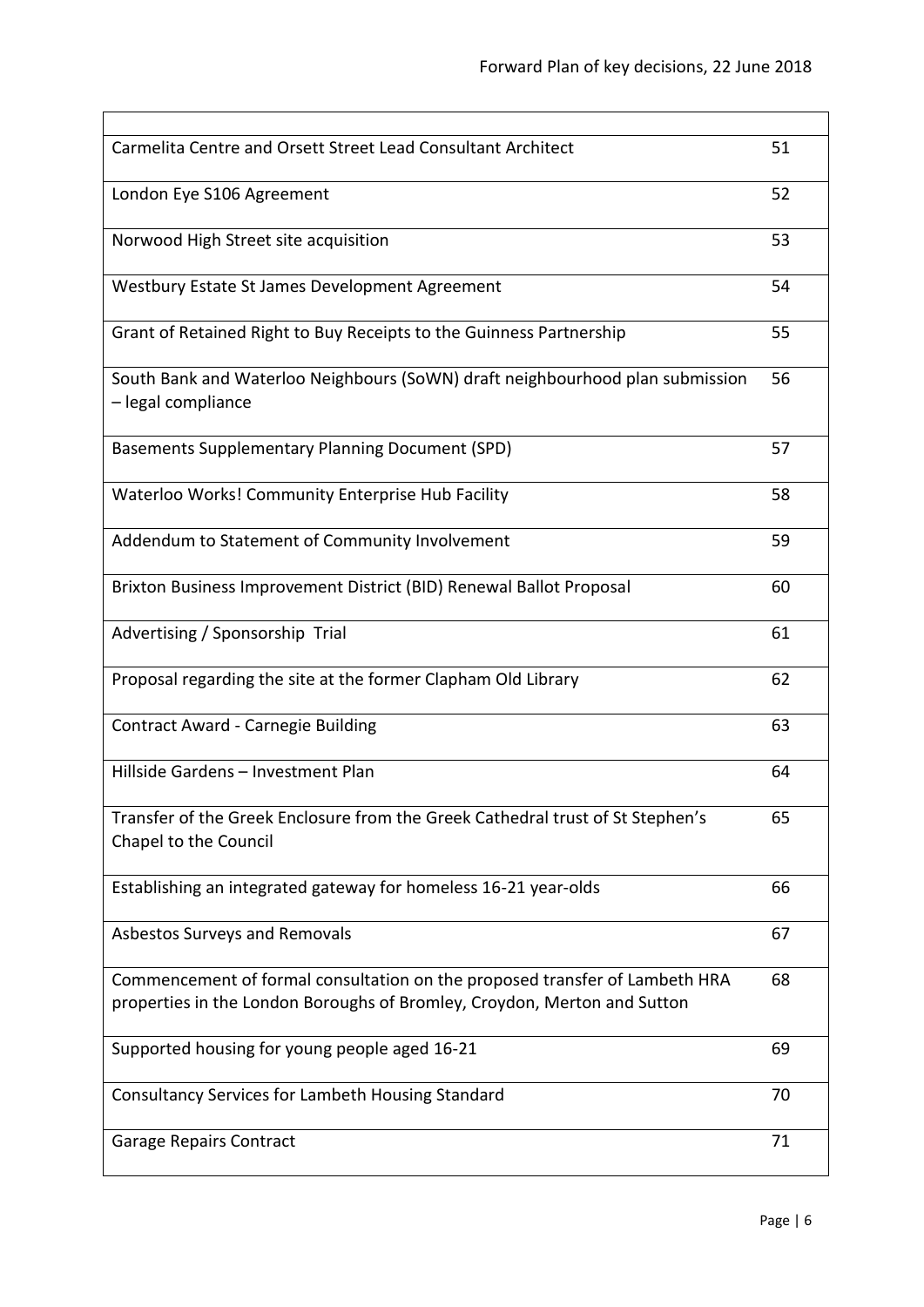| Carmelita Centre and Orsett Street Lead Consultant Architect                                                                                            | 51 |
|---------------------------------------------------------------------------------------------------------------------------------------------------------|----|
| London Eye S106 Agreement                                                                                                                               | 52 |
| Norwood High Street site acquisition                                                                                                                    | 53 |
| Westbury Estate St James Development Agreement                                                                                                          | 54 |
| Grant of Retained Right to Buy Receipts to the Guinness Partnership                                                                                     | 55 |
| South Bank and Waterloo Neighbours (SoWN) draft neighbourhood plan submission<br>- legal compliance                                                     | 56 |
| <b>Basements Supplementary Planning Document (SPD)</b>                                                                                                  | 57 |
| Waterloo Works! Community Enterprise Hub Facility                                                                                                       | 58 |
| Addendum to Statement of Community Involvement                                                                                                          | 59 |
| Brixton Business Improvement District (BID) Renewal Ballot Proposal                                                                                     | 60 |
| Advertising / Sponsorship Trial                                                                                                                         | 61 |
| Proposal regarding the site at the former Clapham Old Library                                                                                           | 62 |
| Contract Award - Carnegie Building                                                                                                                      | 63 |
| Hillside Gardens - Investment Plan                                                                                                                      | 64 |
| Transfer of the Greek Enclosure from the Greek Cathedral trust of St Stephen's<br>Chapel to the Council                                                 | 65 |
| Establishing an integrated gateway for homeless 16-21 year-olds                                                                                         | 66 |
| Asbestos Surveys and Removals                                                                                                                           | 67 |
| Commencement of formal consultation on the proposed transfer of Lambeth HRA<br>properties in the London Boroughs of Bromley, Croydon, Merton and Sutton | 68 |
| Supported housing for young people aged 16-21                                                                                                           | 69 |
| Consultancy Services for Lambeth Housing Standard                                                                                                       | 70 |
| <b>Garage Repairs Contract</b>                                                                                                                          | 71 |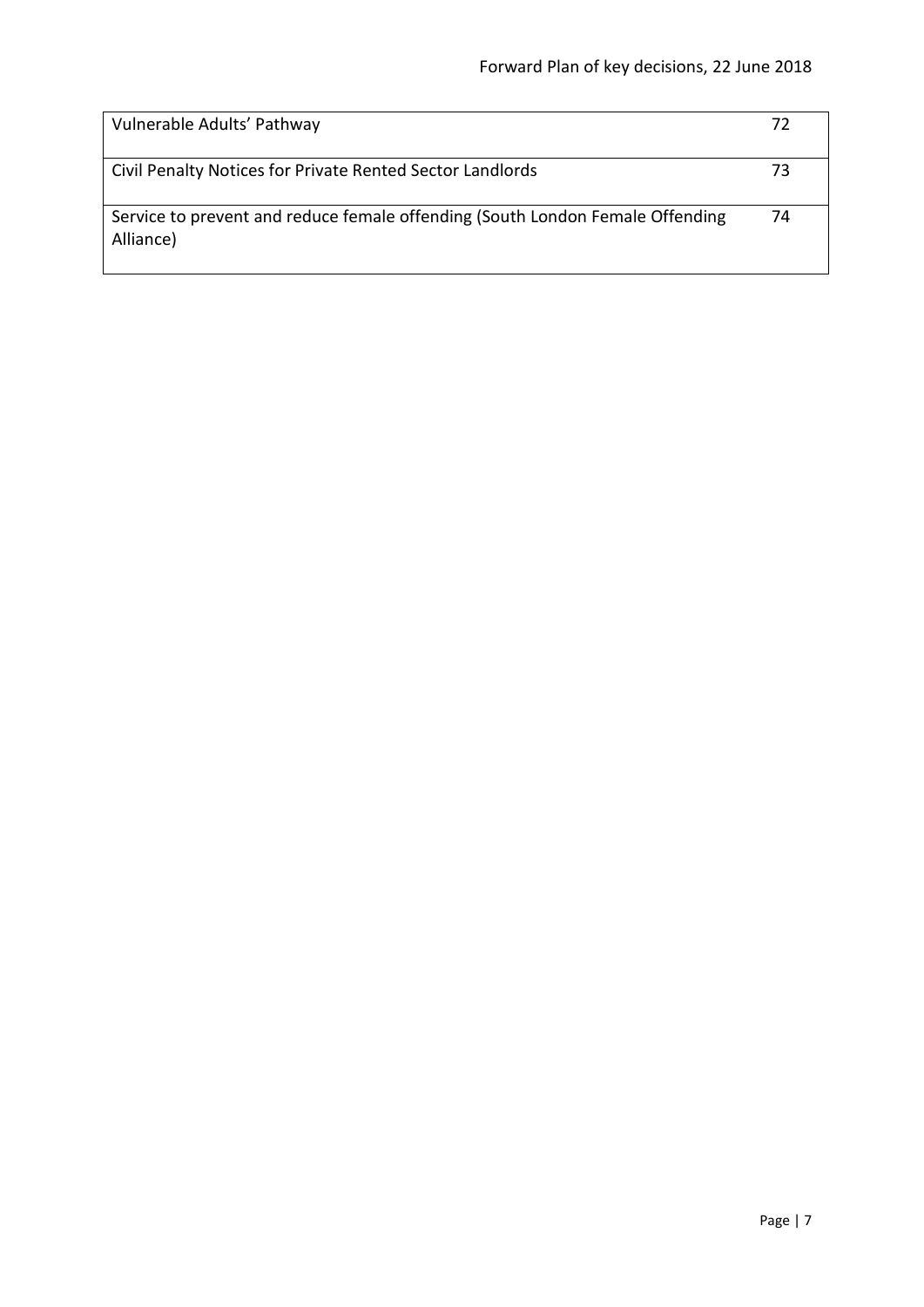| Vulnerable Adults' Pathway                                                                 | 72 |
|--------------------------------------------------------------------------------------------|----|
| Civil Penalty Notices for Private Rented Sector Landlords                                  | 73 |
| Service to prevent and reduce female offending (South London Female Offending<br>Alliance) | 74 |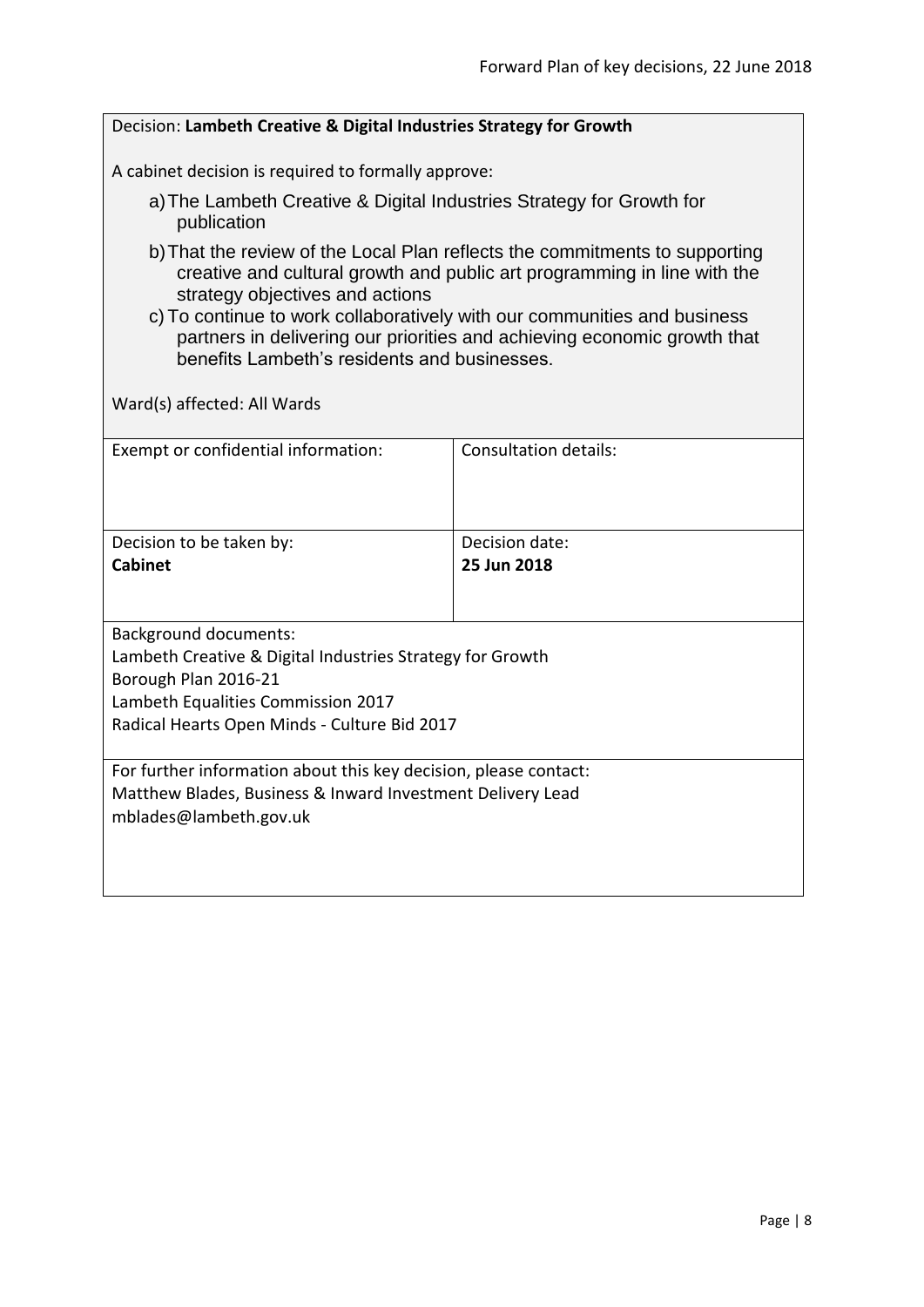<span id="page-7-0"></span>

| Decision: Lambeth Creative & Digital Industries Strategy for Growth                                                                                                                                                                                                                                                                                                                                |                               |  |
|----------------------------------------------------------------------------------------------------------------------------------------------------------------------------------------------------------------------------------------------------------------------------------------------------------------------------------------------------------------------------------------------------|-------------------------------|--|
| A cabinet decision is required to formally approve:                                                                                                                                                                                                                                                                                                                                                |                               |  |
| a) The Lambeth Creative & Digital Industries Strategy for Growth for<br>publication                                                                                                                                                                                                                                                                                                                |                               |  |
| b) That the review of the Local Plan reflects the commitments to supporting<br>creative and cultural growth and public art programming in line with the<br>strategy objectives and actions<br>c) To continue to work collaboratively with our communities and business<br>partners in delivering our priorities and achieving economic growth that<br>benefits Lambeth's residents and businesses. |                               |  |
| Ward(s) affected: All Wards                                                                                                                                                                                                                                                                                                                                                                        |                               |  |
| Exempt or confidential information:                                                                                                                                                                                                                                                                                                                                                                | <b>Consultation details:</b>  |  |
|                                                                                                                                                                                                                                                                                                                                                                                                    |                               |  |
| Decision to be taken by:<br><b>Cabinet</b>                                                                                                                                                                                                                                                                                                                                                         | Decision date:<br>25 Jun 2018 |  |
|                                                                                                                                                                                                                                                                                                                                                                                                    |                               |  |
| <b>Background documents:</b>                                                                                                                                                                                                                                                                                                                                                                       |                               |  |
| Lambeth Creative & Digital Industries Strategy for Growth                                                                                                                                                                                                                                                                                                                                          |                               |  |
| Borough Plan 2016-21                                                                                                                                                                                                                                                                                                                                                                               |                               |  |
| Lambeth Equalities Commission 2017                                                                                                                                                                                                                                                                                                                                                                 |                               |  |
| Radical Hearts Open Minds - Culture Bid 2017                                                                                                                                                                                                                                                                                                                                                       |                               |  |
| For further information about this key decision, please contact:                                                                                                                                                                                                                                                                                                                                   |                               |  |
| Matthew Blades, Business & Inward Investment Delivery Lead                                                                                                                                                                                                                                                                                                                                         |                               |  |
| mblades@lambeth.gov.uk                                                                                                                                                                                                                                                                                                                                                                             |                               |  |
|                                                                                                                                                                                                                                                                                                                                                                                                    |                               |  |
|                                                                                                                                                                                                                                                                                                                                                                                                    |                               |  |
|                                                                                                                                                                                                                                                                                                                                                                                                    |                               |  |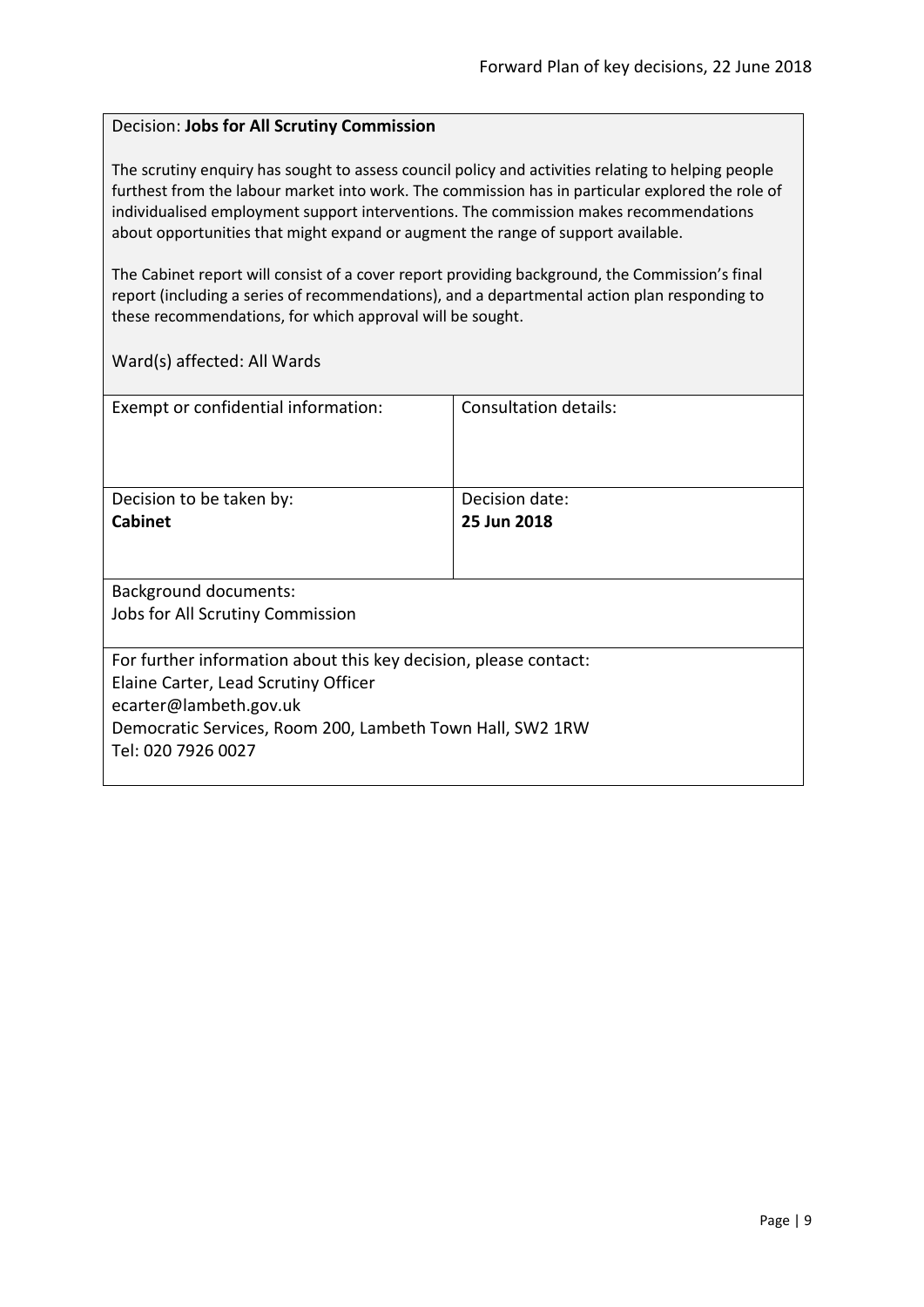#### <span id="page-8-0"></span>Decision: **Jobs for All Scrutiny Commission**

The scrutiny enquiry has sought to assess council policy and activities relating to helping people furthest from the labour market into work. The commission has in particular explored the role of individualised employment support interventions. The commission makes recommendations about opportunities that might expand or augment the range of support available.

The Cabinet report will consist of a cover report providing background, the Commission's final report (including a series of recommendations), and a departmental action plan responding to these recommendations, for which approval will be sought.

| Exempt or confidential information:                                                                                                                                                                                   | Consultation details:         |
|-----------------------------------------------------------------------------------------------------------------------------------------------------------------------------------------------------------------------|-------------------------------|
| Decision to be taken by:<br><b>Cabinet</b>                                                                                                                                                                            | Decision date:<br>25 Jun 2018 |
| <b>Background documents:</b><br>Jobs for All Scrutiny Commission                                                                                                                                                      |                               |
| For further information about this key decision, please contact:<br>Elaine Carter, Lead Scrutiny Officer<br>ecarter@lambeth.gov.uk<br>Democratic Services, Room 200, Lambeth Town Hall, SW2 1RW<br>Tel: 020 7926 0027 |                               |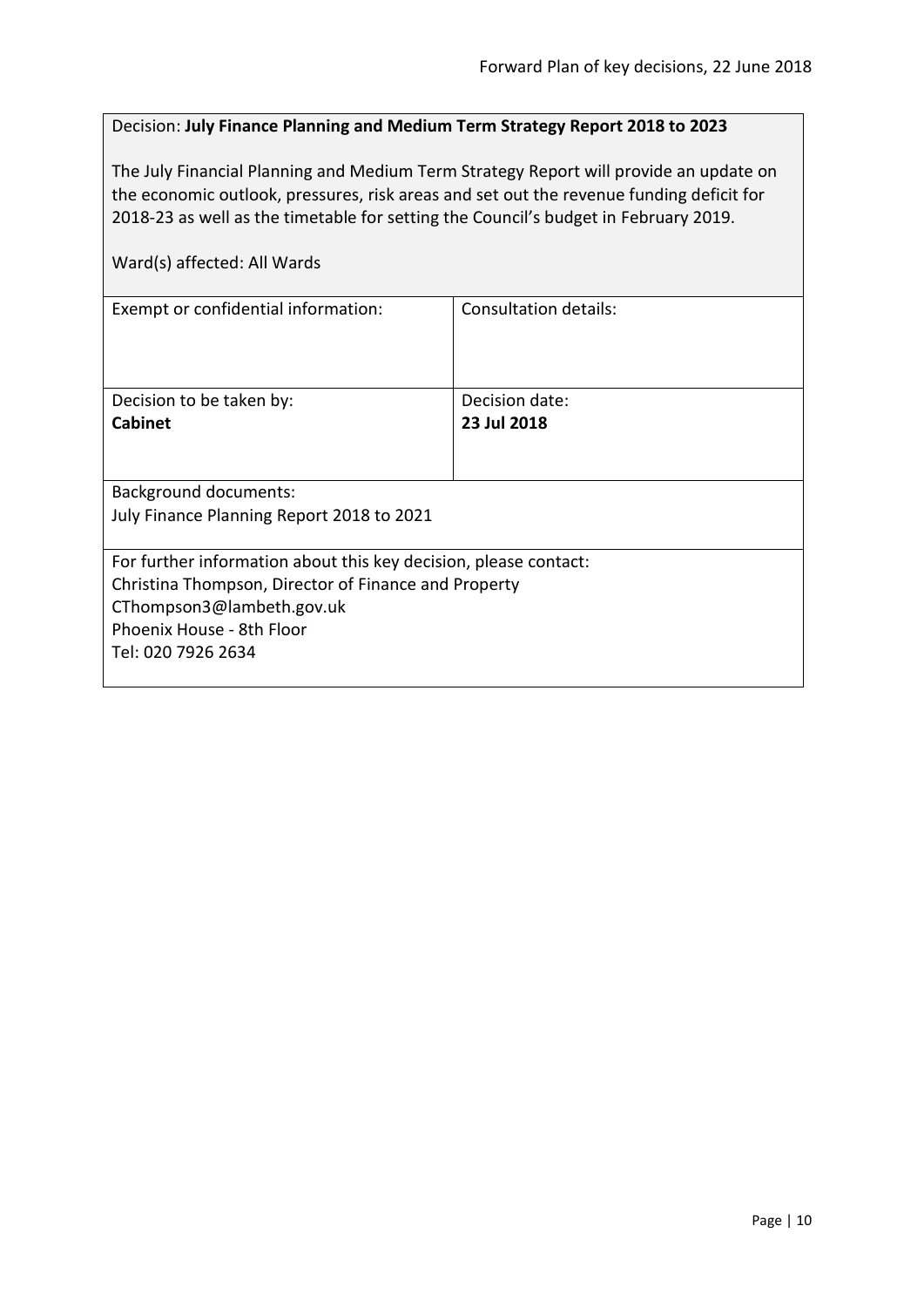#### <span id="page-9-0"></span>Decision: **July Finance Planning and Medium Term Strategy Report 2018 to 2023**

The July Financial Planning and Medium Term Strategy Report will provide an update on the economic outlook, pressures, risk areas and set out the revenue funding deficit for 2018-23 as well as the timetable for setting the Council's budget in February 2019.

| Exempt or confidential information:                              | Consultation details: |  |
|------------------------------------------------------------------|-----------------------|--|
|                                                                  |                       |  |
| Decision to be taken by:                                         | Decision date:        |  |
| <b>Cabinet</b>                                                   | 23 Jul 2018           |  |
|                                                                  |                       |  |
|                                                                  |                       |  |
| <b>Background documents:</b>                                     |                       |  |
| July Finance Planning Report 2018 to 2021                        |                       |  |
|                                                                  |                       |  |
| For further information about this key decision, please contact: |                       |  |
| Christina Thompson, Director of Finance and Property             |                       |  |
| CThompson3@lambeth.gov.uk                                        |                       |  |
| Phoenix House - 8th Floor                                        |                       |  |
| Tel: 020 7926 2634                                               |                       |  |
|                                                                  |                       |  |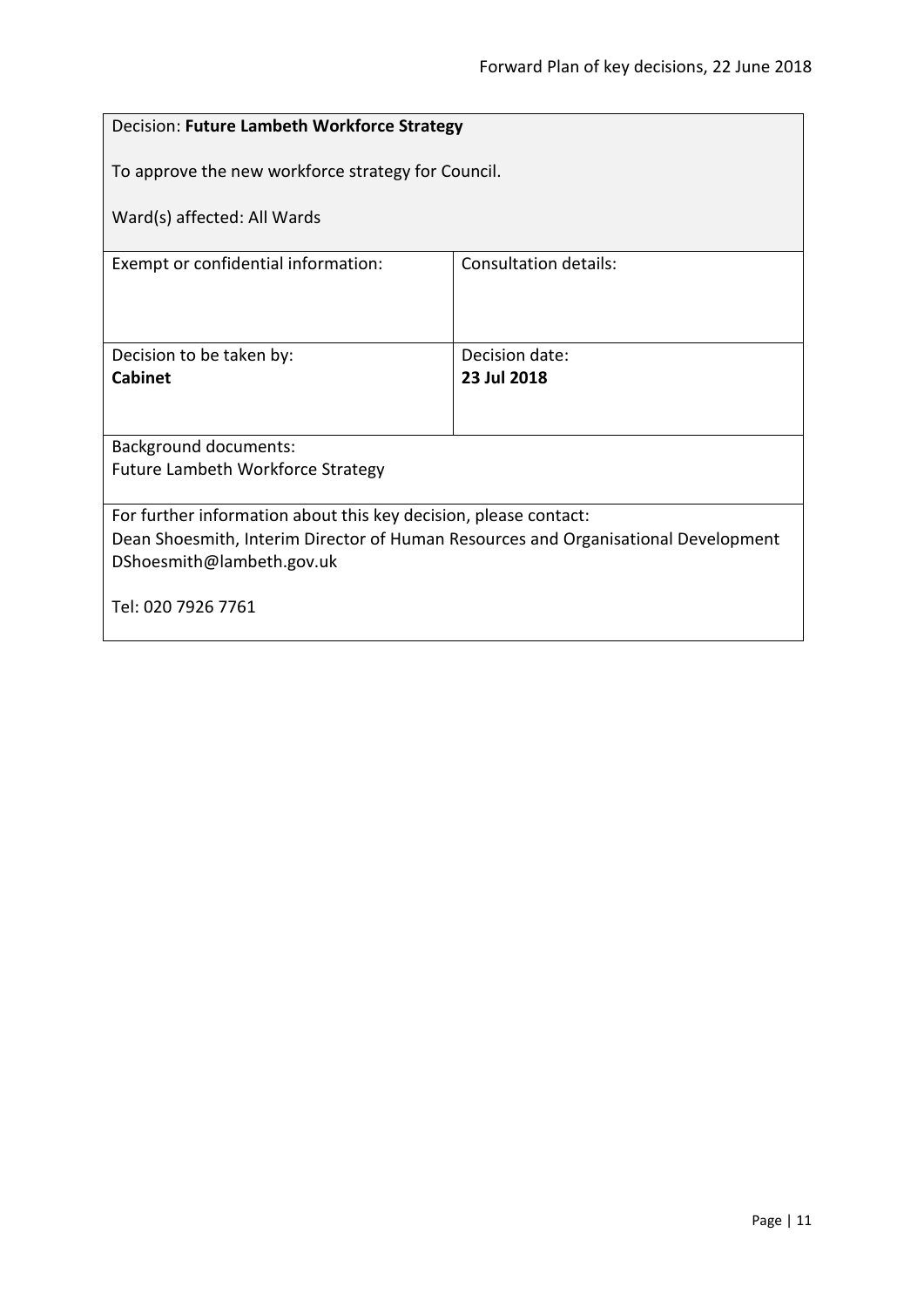<span id="page-10-0"></span>

| Decision: Future Lambeth Workforce Strategy                                                                     |                              |  |
|-----------------------------------------------------------------------------------------------------------------|------------------------------|--|
| To approve the new workforce strategy for Council.                                                              |                              |  |
| Ward(s) affected: All Wards                                                                                     |                              |  |
| Exempt or confidential information:                                                                             | <b>Consultation details:</b> |  |
|                                                                                                                 |                              |  |
| Decision to be taken by:                                                                                        | Decision date:               |  |
| <b>Cabinet</b>                                                                                                  | 23 Jul 2018                  |  |
|                                                                                                                 |                              |  |
| <b>Background documents:</b>                                                                                    |                              |  |
| Future Lambeth Workforce Strategy                                                                               |                              |  |
|                                                                                                                 |                              |  |
| For further information about this key decision, please contact:                                                |                              |  |
| Dean Shoesmith, Interim Director of Human Resources and Organisational Development<br>DShoesmith@lambeth.gov.uk |                              |  |
|                                                                                                                 |                              |  |
| Tel: 020 7926 7761                                                                                              |                              |  |
|                                                                                                                 |                              |  |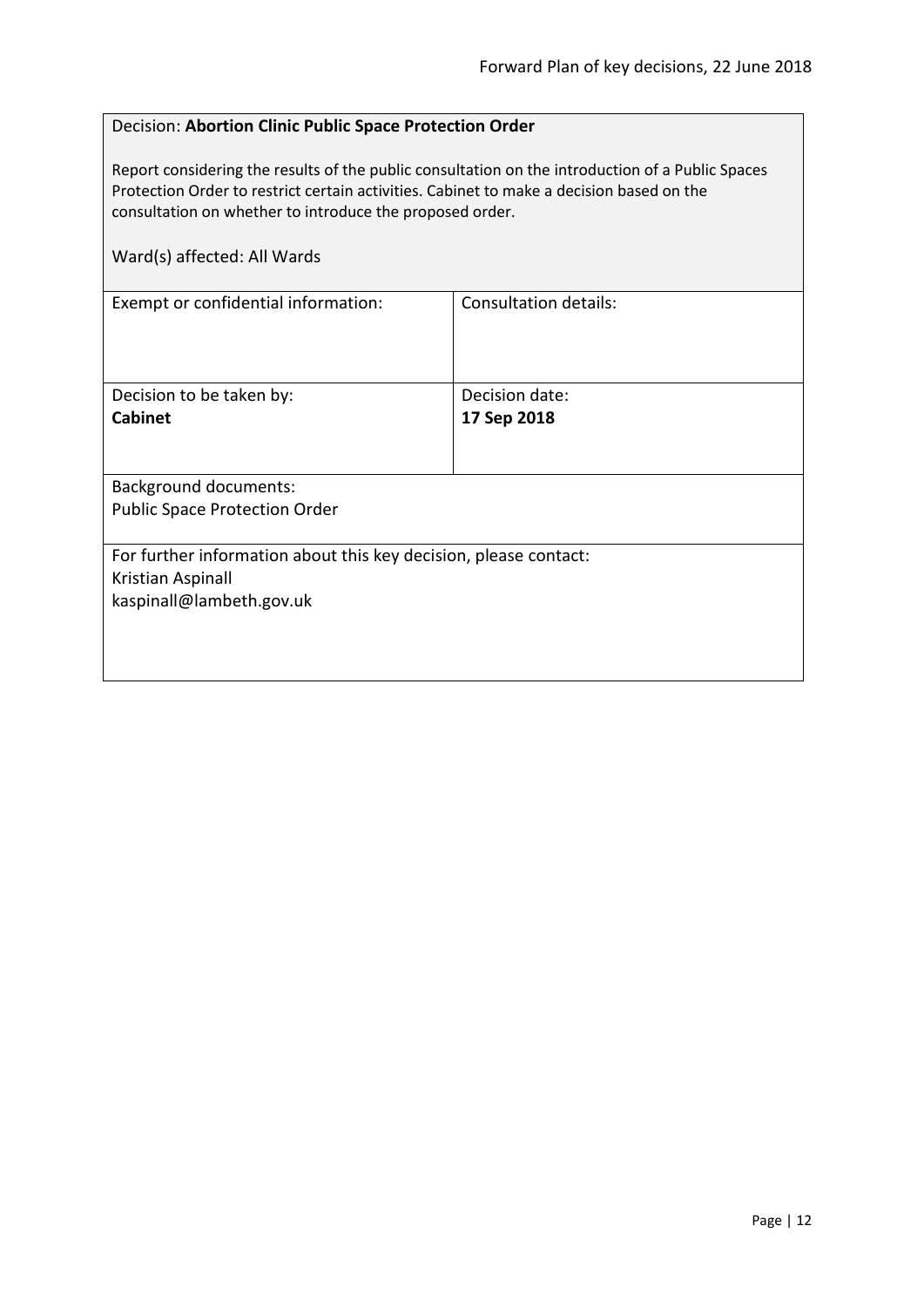## <span id="page-11-0"></span>Decision: **Abortion Clinic Public Space Protection Order**

Report considering the results of the public consultation on the introduction of a Public Spaces Protection Order to restrict certain activities. Cabinet to make a decision based on the consultation on whether to introduce the proposed order.

| Ward(s) affected: All Wards                                                                                       |                       |
|-------------------------------------------------------------------------------------------------------------------|-----------------------|
| Exempt or confidential information:                                                                               | Consultation details: |
| Decision to be taken by:                                                                                          | Decision date:        |
| <b>Cabinet</b>                                                                                                    | 17 Sep 2018           |
| <b>Background documents:</b>                                                                                      |                       |
| <b>Public Space Protection Order</b>                                                                              |                       |
| For further information about this key decision, please contact:<br>Kristian Aspinall<br>kaspinall@lambeth.gov.uk |                       |
|                                                                                                                   |                       |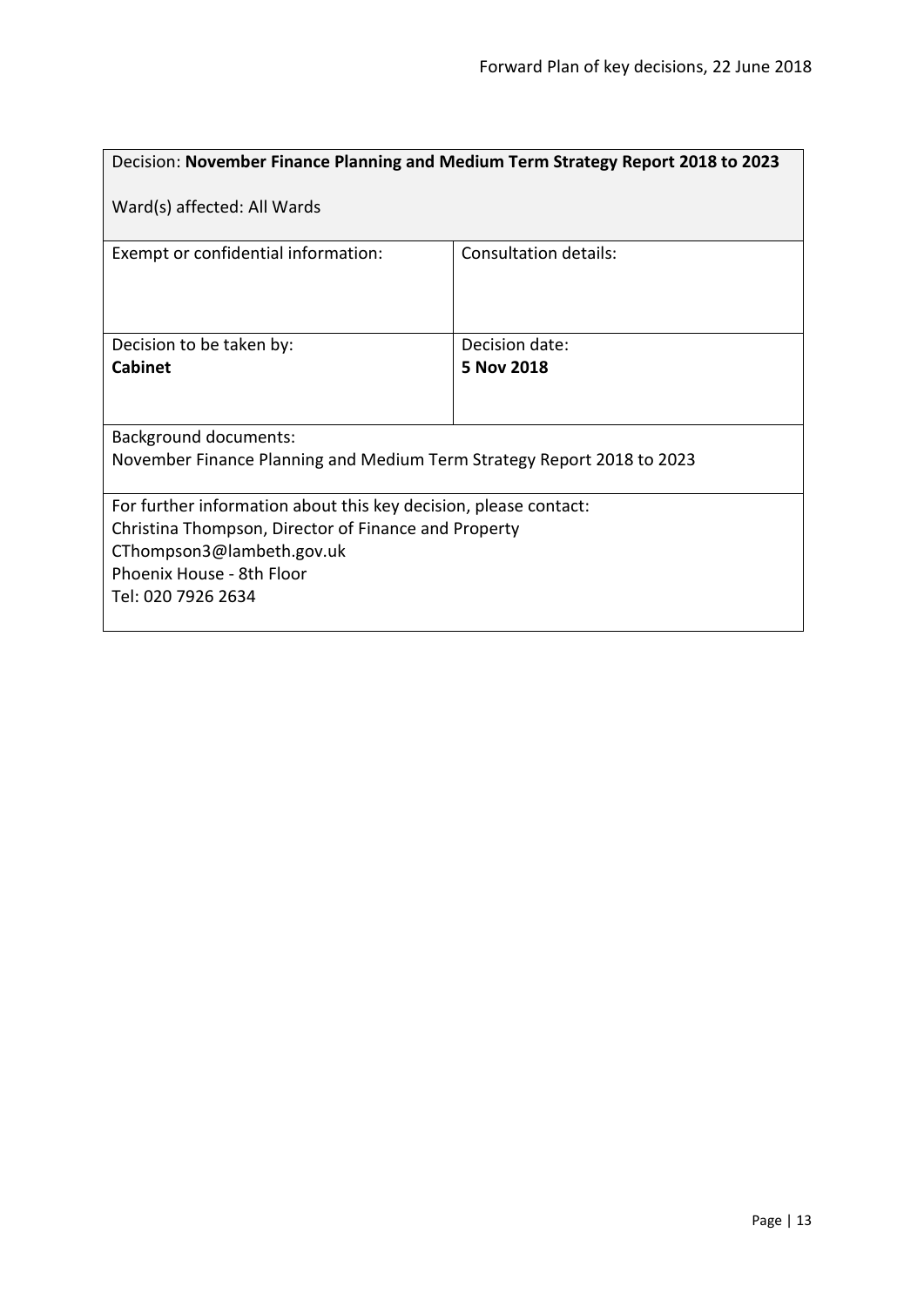<span id="page-12-0"></span>

| Decision: November Finance Planning and Medium Term Strategy Report 2018 to 2023 |                       |  |
|----------------------------------------------------------------------------------|-----------------------|--|
| Ward(s) affected: All Wards                                                      |                       |  |
| Exempt or confidential information:                                              | Consultation details: |  |
| Decision to be taken by:                                                         | Decision date:        |  |
| <b>Cabinet</b>                                                                   | 5 Nov 2018            |  |
| <b>Background documents:</b>                                                     |                       |  |
| November Finance Planning and Medium Term Strategy Report 2018 to 2023           |                       |  |
| For further information about this key decision, please contact:                 |                       |  |
| Christina Thompson, Director of Finance and Property                             |                       |  |
| CThompson3@lambeth.gov.uk                                                        |                       |  |
| Phoenix House - 8th Floor<br>Tel: 020 7926 2634                                  |                       |  |
|                                                                                  |                       |  |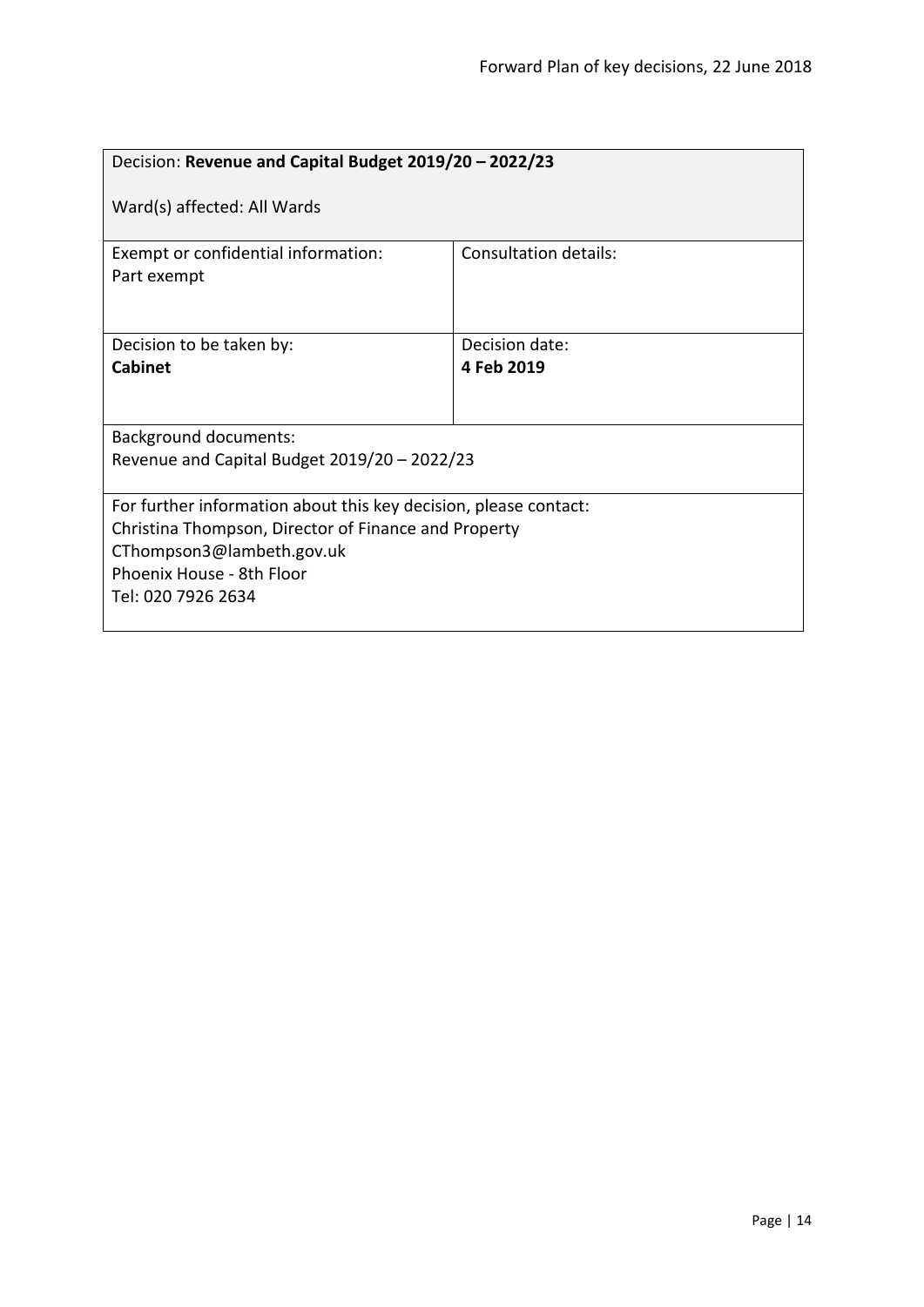<span id="page-13-0"></span>

| Decision: Revenue and Capital Budget 2019/20 - 2022/23                                                                                                                                                   |                              |  |
|----------------------------------------------------------------------------------------------------------------------------------------------------------------------------------------------------------|------------------------------|--|
| Ward(s) affected: All Wards                                                                                                                                                                              |                              |  |
| Exempt or confidential information:<br>Part exempt                                                                                                                                                       | Consultation details:        |  |
| Decision to be taken by:<br><b>Cabinet</b>                                                                                                                                                               | Decision date:<br>4 Feb 2019 |  |
| <b>Background documents:</b><br>Revenue and Capital Budget 2019/20 - 2022/23                                                                                                                             |                              |  |
| For further information about this key decision, please contact:<br>Christina Thompson, Director of Finance and Property<br>CThompson3@lambeth.gov.uk<br>Phoenix House - 8th Floor<br>Tel: 020 7926 2634 |                              |  |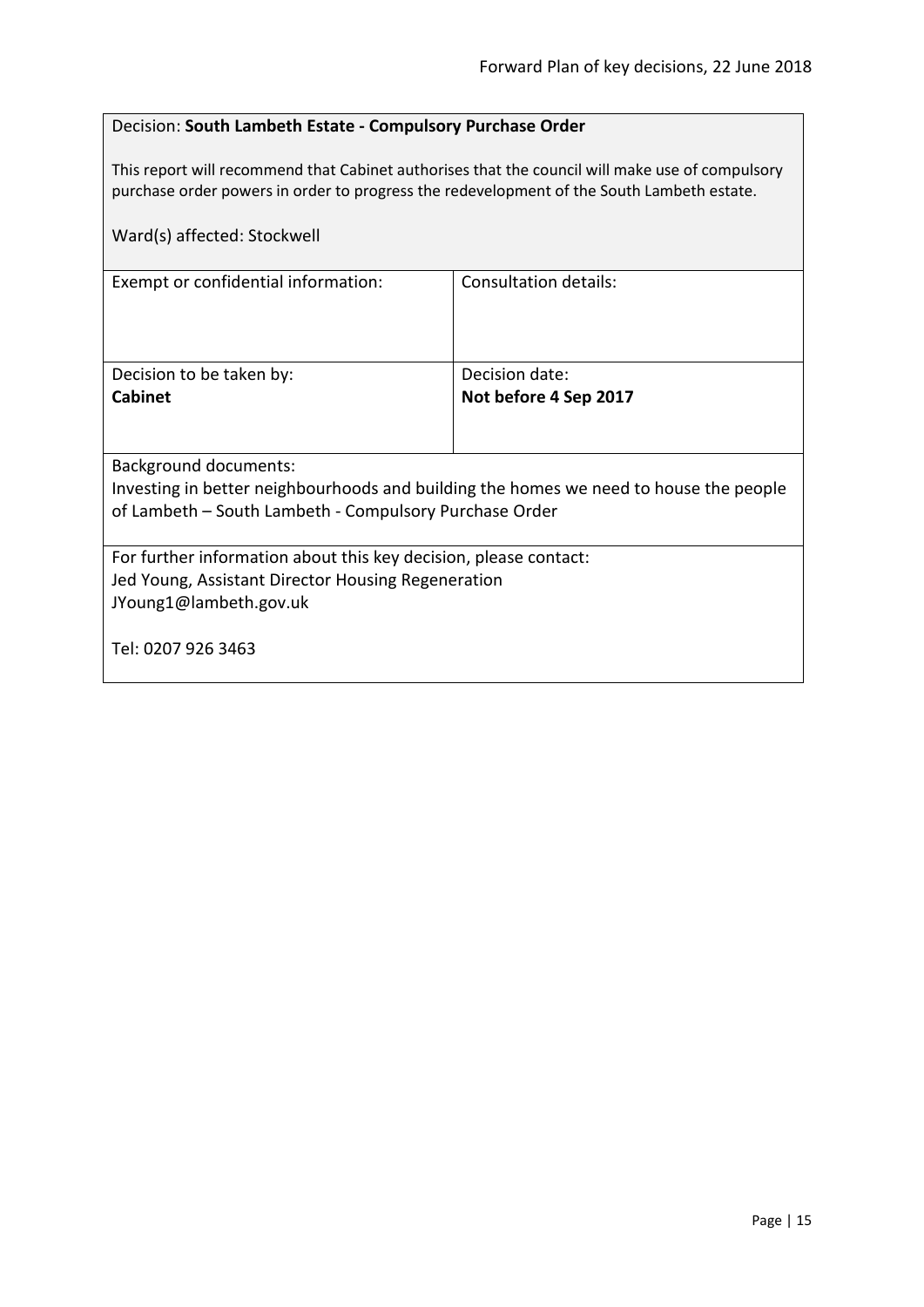# <span id="page-14-0"></span>Decision: **South Lambeth Estate - Compulsory Purchase Order**

This report will recommend that Cabinet authorises that the council will make use of compulsory purchase order powers in order to progress the redevelopment of the South Lambeth estate.

| Ward(s) affected: Stockwell                                                                                            |                       |  |
|------------------------------------------------------------------------------------------------------------------------|-----------------------|--|
| Exempt or confidential information:                                                                                    | Consultation details: |  |
| Decision to be taken by:                                                                                               | Decision date:        |  |
| <b>Cabinet</b>                                                                                                         | Not before 4 Sep 2017 |  |
| Background documents:                                                                                                  |                       |  |
| Investing in better neighbourhoods and building the homes we need to house the people                                  |                       |  |
| of Lambeth – South Lambeth - Compulsory Purchase Order                                                                 |                       |  |
| For further information about this key decision, please contact:<br>Jed Young, Assistant Director Housing Regeneration |                       |  |
| JYoung1@lambeth.gov.uk                                                                                                 |                       |  |
|                                                                                                                        |                       |  |
| Tel: 0207 926 3463                                                                                                     |                       |  |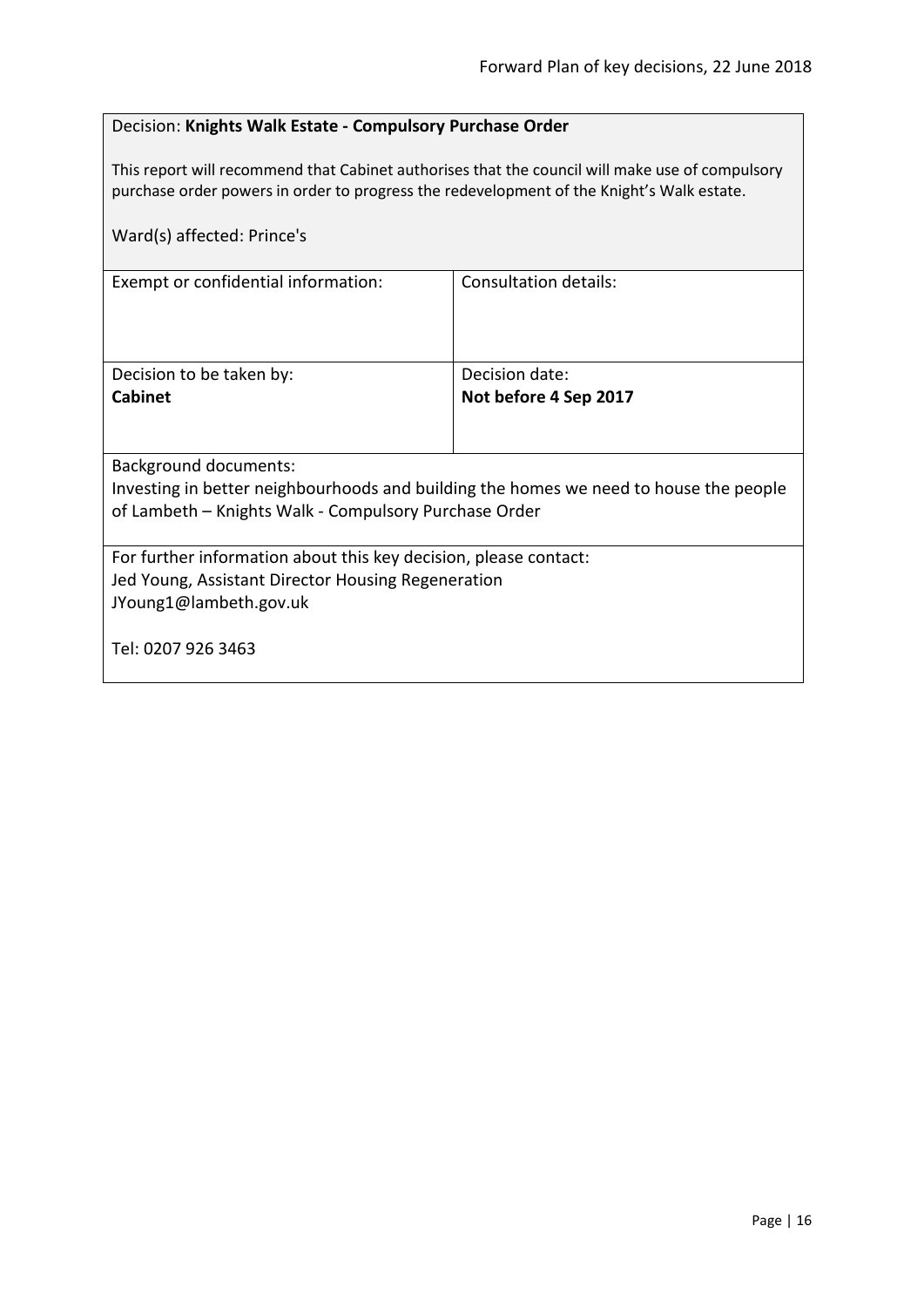# <span id="page-15-0"></span>Decision: **Knights Walk Estate - Compulsory Purchase Order**

This report will recommend that Cabinet authorises that the council will make use of compulsory purchase order powers in order to progress the redevelopment of the Knight's Walk estate.

| Ward(s) affected: Prince's                                                                                                                                                     |                       |  |
|--------------------------------------------------------------------------------------------------------------------------------------------------------------------------------|-----------------------|--|
| Exempt or confidential information:                                                                                                                                            | Consultation details: |  |
| Decision to be taken by:                                                                                                                                                       | Decision date:        |  |
| <b>Cabinet</b>                                                                                                                                                                 | Not before 4 Sep 2017 |  |
| <b>Background documents:</b><br>Investing in better neighbourhoods and building the homes we need to house the people<br>of Lambeth - Knights Walk - Compulsory Purchase Order |                       |  |
| For further information about this key decision, please contact:<br>Jed Young, Assistant Director Housing Regeneration<br>JYoung1@lambeth.gov.uk                               |                       |  |
| Tel: 0207 926 3463                                                                                                                                                             |                       |  |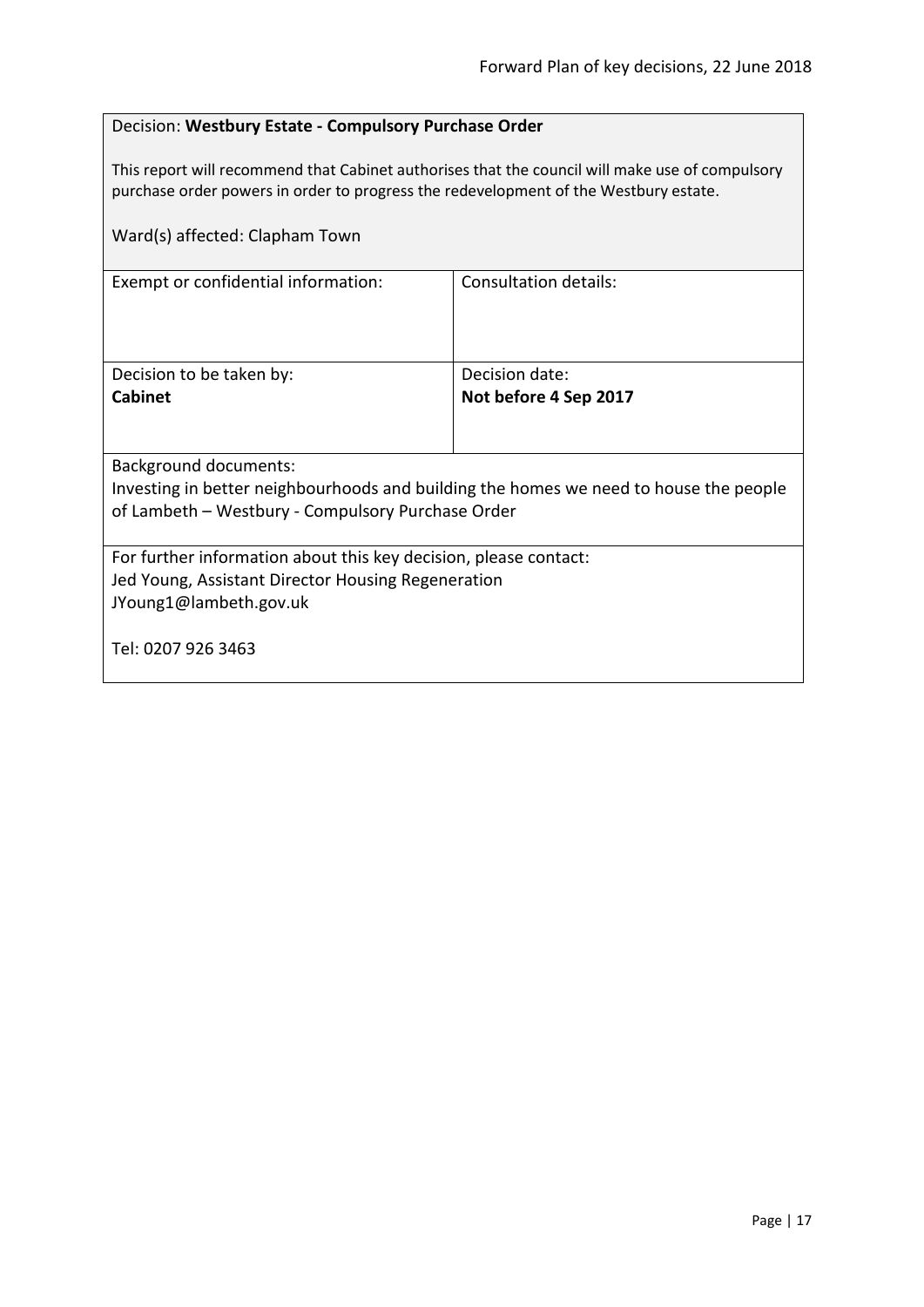# <span id="page-16-0"></span>Decision: **Westbury Estate - Compulsory Purchase Order**

This report will recommend that Cabinet authorises that the council will make use of compulsory purchase order powers in order to progress the redevelopment of the Westbury estate.

| Ward(s) affected: Clapham Town                                                        |                       |
|---------------------------------------------------------------------------------------|-----------------------|
| Exempt or confidential information:                                                   | Consultation details: |
| Decision to be taken by:                                                              | Decision date:        |
| <b>Cabinet</b>                                                                        | Not before 4 Sep 2017 |
|                                                                                       |                       |
| <b>Background documents:</b>                                                          |                       |
| Investing in better neighbourhoods and building the homes we need to house the people |                       |
| of Lambeth - Westbury - Compulsory Purchase Order                                     |                       |
| For further information about this key decision, please contact:                      |                       |
| Jed Young, Assistant Director Housing Regeneration                                    |                       |
| JYoung1@lambeth.gov.uk                                                                |                       |
| Tel: 0207 926 3463                                                                    |                       |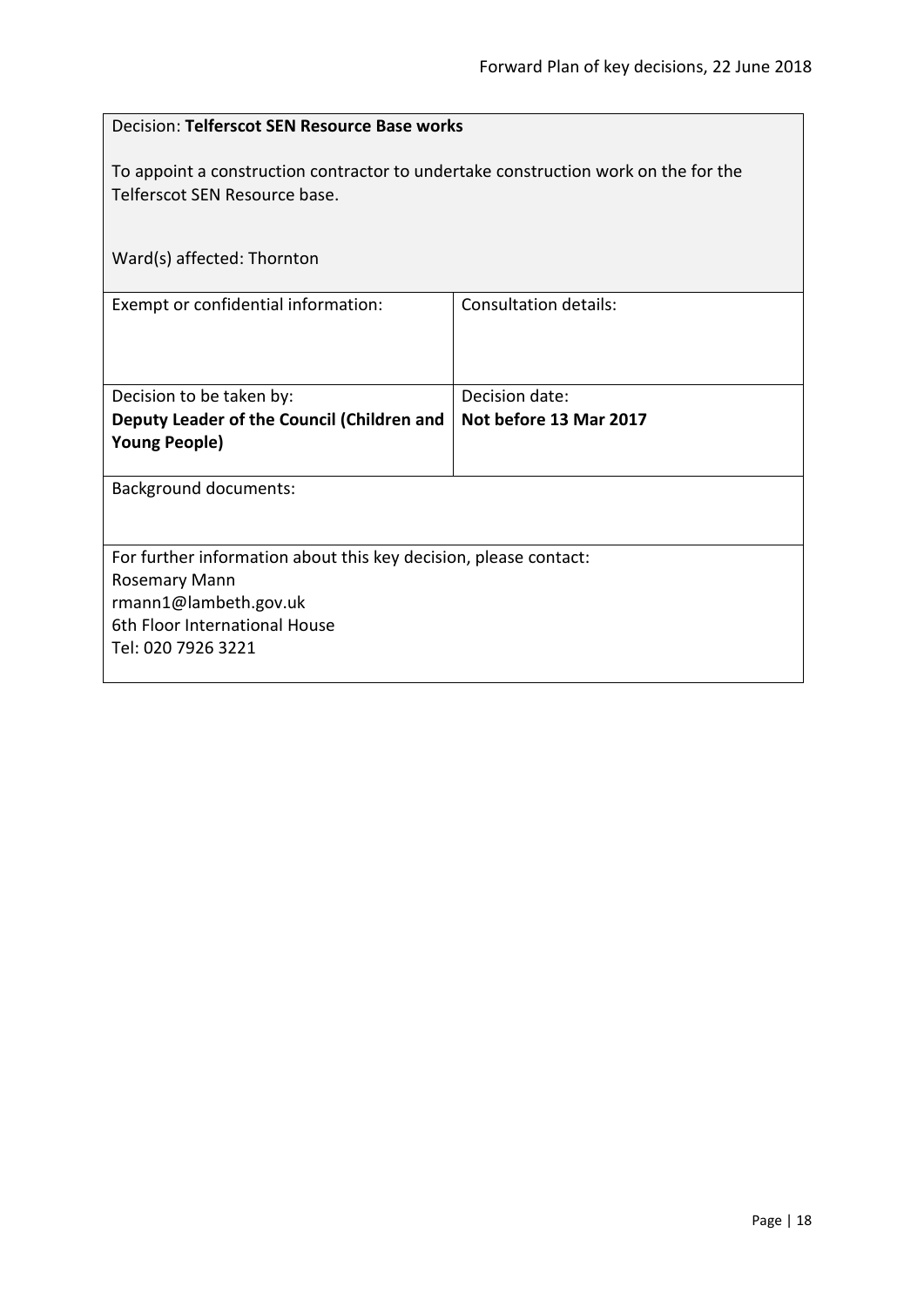<span id="page-17-0"></span>

| Decision: Telferscot SEN Resource Base works                                                                        |                              |  |
|---------------------------------------------------------------------------------------------------------------------|------------------------------|--|
| To appoint a construction contractor to undertake construction work on the for the<br>Telferscot SEN Resource base. |                              |  |
| Ward(s) affected: Thornton                                                                                          |                              |  |
| Exempt or confidential information:                                                                                 | <b>Consultation details:</b> |  |
| Decision to be taken by:                                                                                            | Decision date:               |  |
| Deputy Leader of the Council (Children and<br><b>Young People)</b>                                                  | Not before 13 Mar 2017       |  |
| <b>Background documents:</b>                                                                                        |                              |  |
| For further information about this key decision, please contact:                                                    |                              |  |
| Rosemary Mann                                                                                                       |                              |  |
| rmann1@lambeth.gov.uk                                                                                               |                              |  |
| 6th Floor International House                                                                                       |                              |  |
| Tel: 020 7926 3221                                                                                                  |                              |  |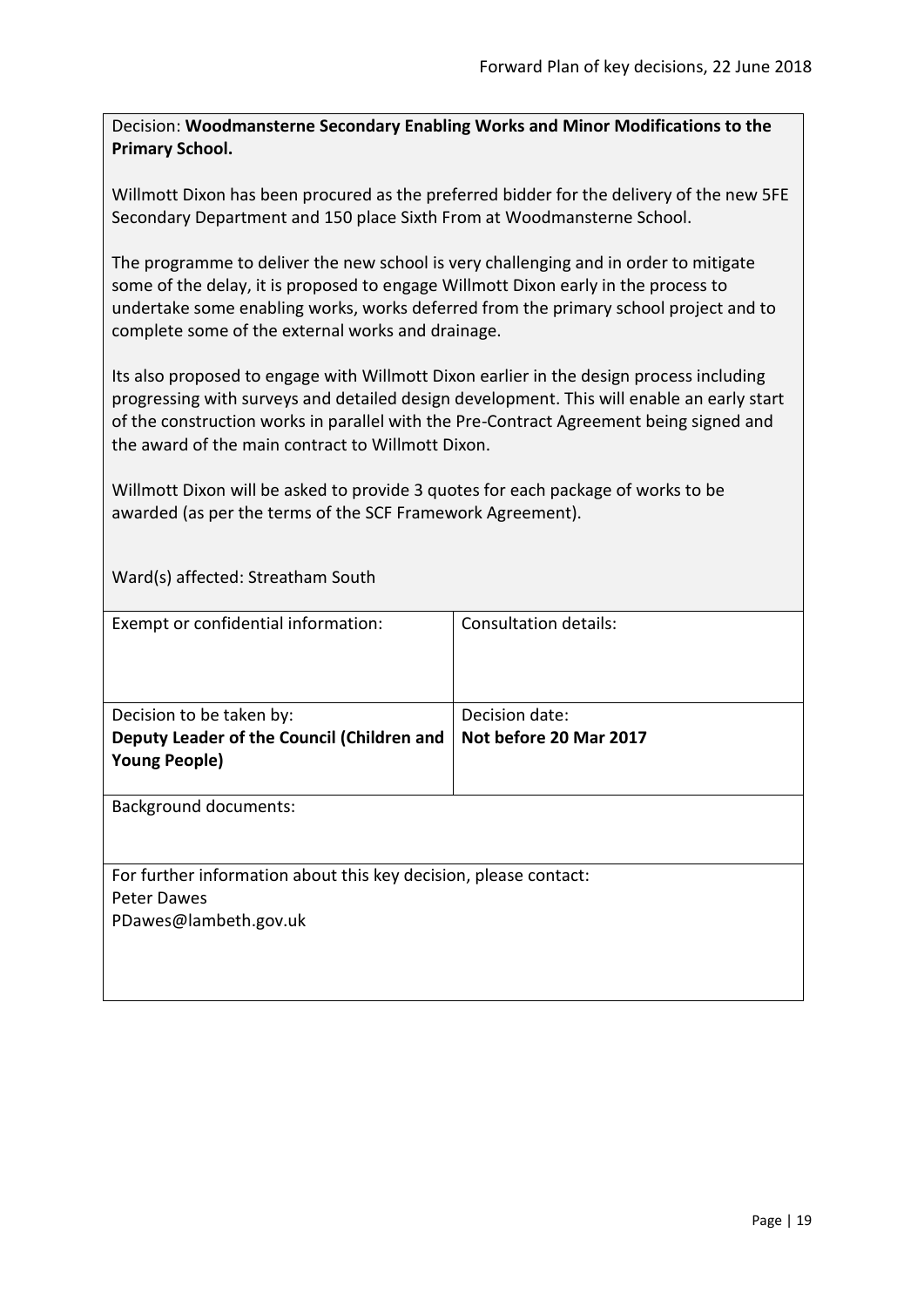<span id="page-18-0"></span>Decision: **Woodmansterne Secondary Enabling Works and Minor Modifications to the Primary School.**

Willmott Dixon has been procured as the preferred bidder for the delivery of the new 5FE Secondary Department and 150 place Sixth From at Woodmansterne School.

The programme to deliver the new school is very challenging and in order to mitigate some of the delay, it is proposed to engage Willmott Dixon early in the process to undertake some enabling works, works deferred from the primary school project and to complete some of the external works and drainage.

Its also proposed to engage with Willmott Dixon earlier in the design process including progressing with surveys and detailed design development. This will enable an early start of the construction works in parallel with the Pre-Contract Agreement being signed and the award of the main contract to Willmott Dixon.

Willmott Dixon will be asked to provide 3 quotes for each package of works to be awarded (as per the terms of the SCF Framework Agreement).

Ward(s) affected: Streatham South

| Exempt or confidential information:                              | <b>Consultation details:</b> |
|------------------------------------------------------------------|------------------------------|
|                                                                  |                              |
| Decision to be taken by:                                         | Decision date:               |
| Deputy Leader of the Council (Children and                       | Not before 20 Mar 2017       |
| <b>Young People)</b>                                             |                              |
|                                                                  |                              |
| <b>Background documents:</b>                                     |                              |
|                                                                  |                              |
|                                                                  |                              |
| For further information about this key decision, please contact: |                              |
| Peter Dawes                                                      |                              |
| PDawes@lambeth.gov.uk                                            |                              |
|                                                                  |                              |
|                                                                  |                              |
|                                                                  |                              |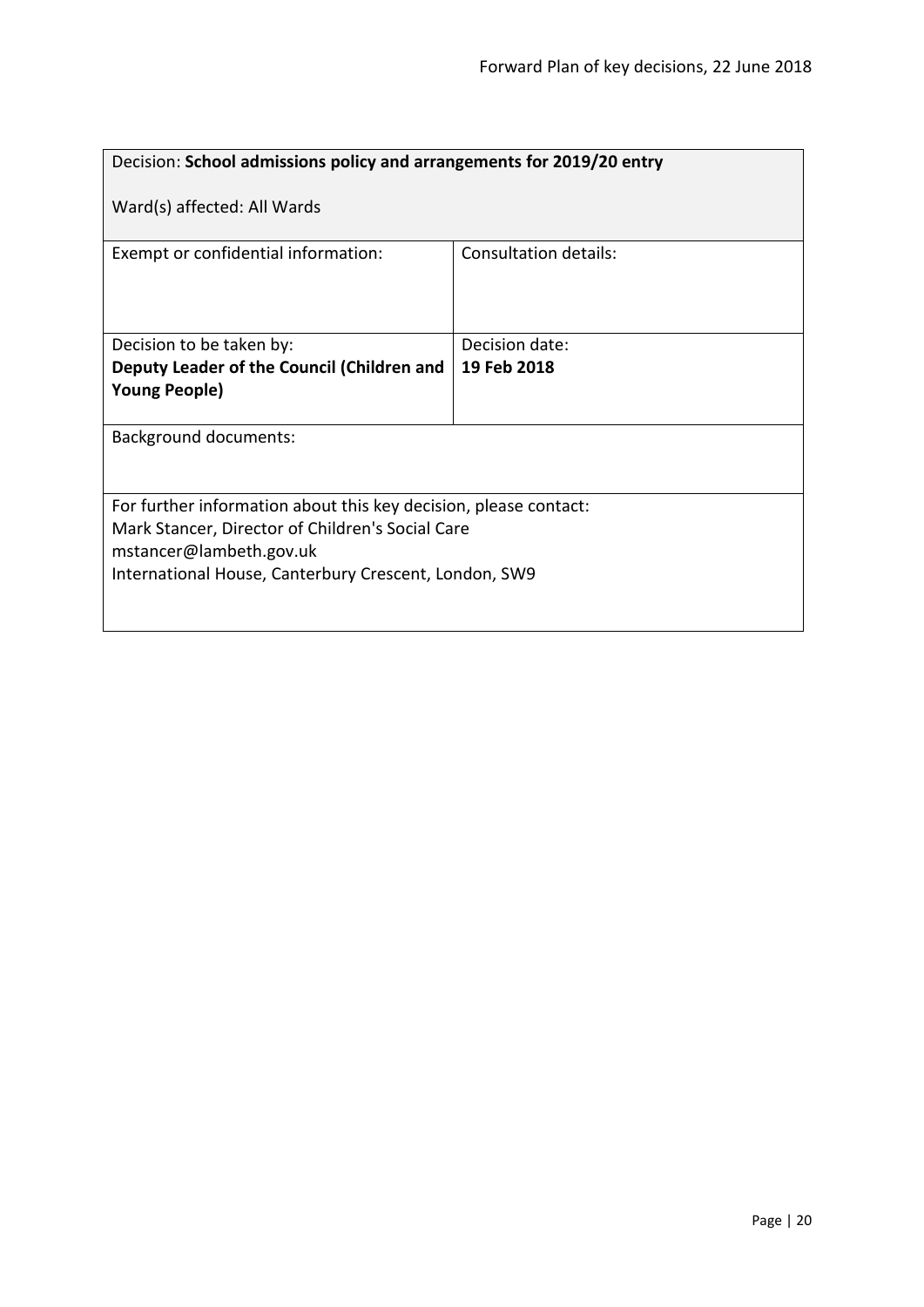<span id="page-19-0"></span>

| Decision: School admissions policy and arrangements for 2019/20 entry                                                                                                                                    |                       |  |
|----------------------------------------------------------------------------------------------------------------------------------------------------------------------------------------------------------|-----------------------|--|
| Ward(s) affected: All Wards                                                                                                                                                                              |                       |  |
| Exempt or confidential information:                                                                                                                                                                      | Consultation details: |  |
| Decision to be taken by:                                                                                                                                                                                 | Decision date:        |  |
| Deputy Leader of the Council (Children and                                                                                                                                                               | 19 Feb 2018           |  |
| <b>Young People)</b>                                                                                                                                                                                     |                       |  |
| <b>Background documents:</b>                                                                                                                                                                             |                       |  |
| For further information about this key decision, please contact:<br>Mark Stancer, Director of Children's Social Care<br>mstancer@lambeth.gov.uk<br>International House, Canterbury Crescent, London, SW9 |                       |  |
|                                                                                                                                                                                                          |                       |  |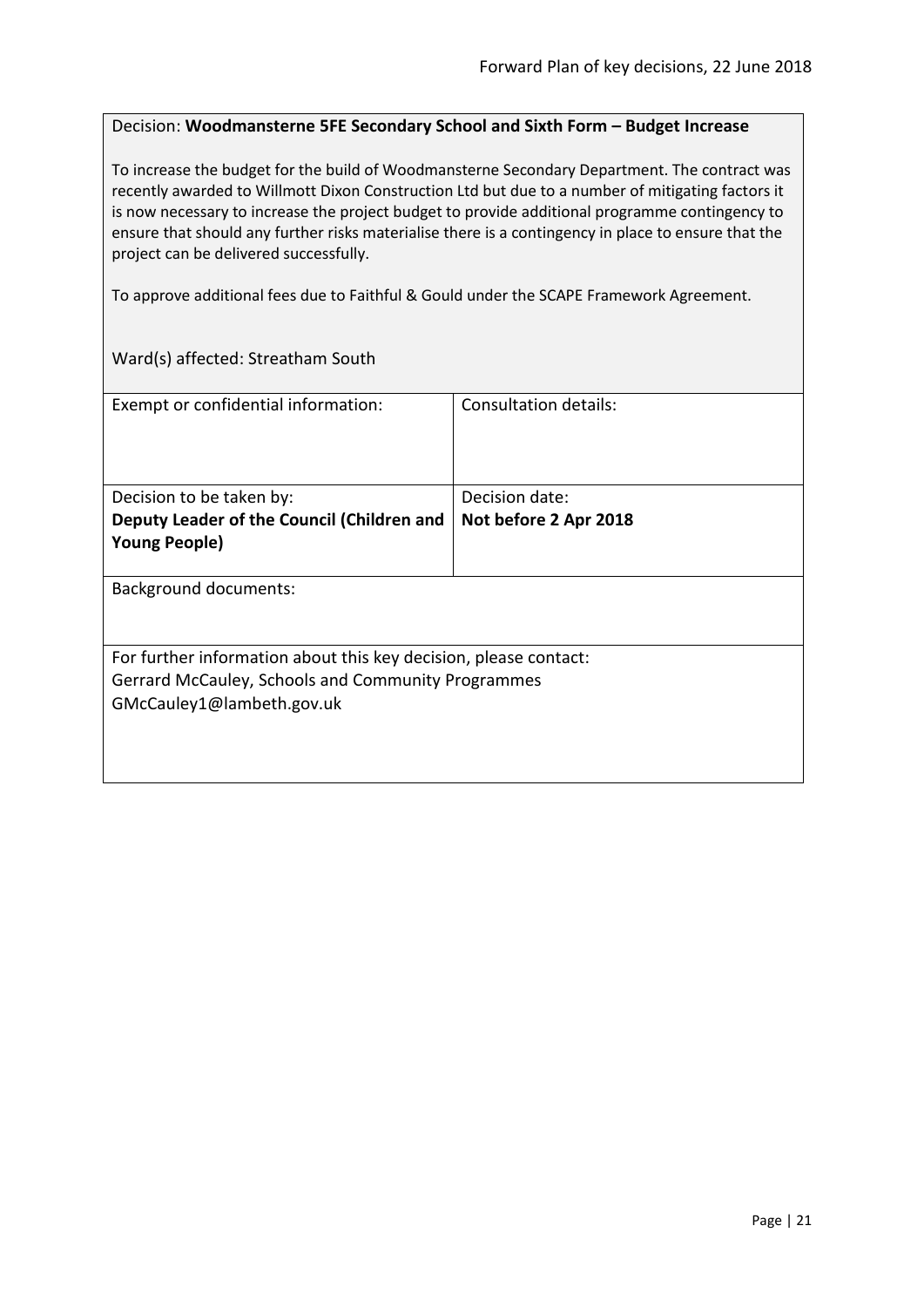#### <span id="page-20-0"></span>Decision: **Woodmansterne 5FE Secondary School and Sixth Form – Budget Increase**

To increase the budget for the build of Woodmansterne Secondary Department. The contract was recently awarded to Willmott Dixon Construction Ltd but due to a number of mitigating factors it is now necessary to increase the project budget to provide additional programme contingency to ensure that should any further risks materialise there is a contingency in place to ensure that the project can be delivered successfully.

To approve additional fees due to Faithful & Gould under the SCAPE Framework Agreement.

Ward(s) affected: Streatham South

| Exempt or confidential information:                              | Consultation details: |
|------------------------------------------------------------------|-----------------------|
|                                                                  |                       |
| Decision to be taken by:                                         | Decision date:        |
| Deputy Leader of the Council (Children and                       | Not before 2 Apr 2018 |
| <b>Young People)</b>                                             |                       |
|                                                                  |                       |
| Background documents:                                            |                       |
| For further information about this key decision, please contact: |                       |
| Gerrard McCauley, Schools and Community Programmes               |                       |
| GMcCauley1@lambeth.gov.uk                                        |                       |
|                                                                  |                       |
|                                                                  |                       |
|                                                                  |                       |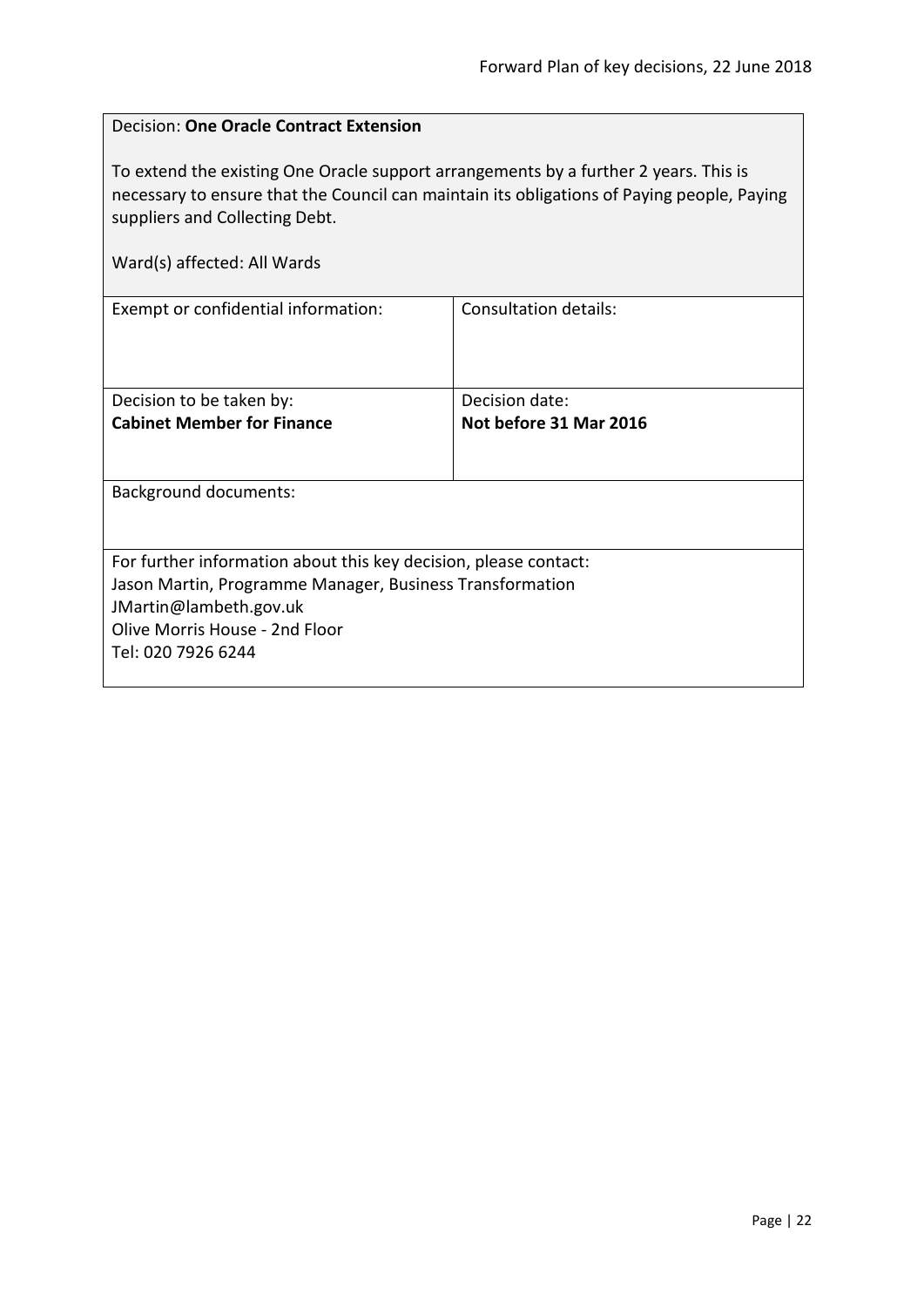<span id="page-21-0"></span>

| <b>Decision: One Oracle Contract Extension</b>                                                                               |                                                                                            |  |
|------------------------------------------------------------------------------------------------------------------------------|--------------------------------------------------------------------------------------------|--|
|                                                                                                                              |                                                                                            |  |
| To extend the existing One Oracle support arrangements by a further 2 years. This is                                         |                                                                                            |  |
|                                                                                                                              | necessary to ensure that the Council can maintain its obligations of Paying people, Paying |  |
| suppliers and Collecting Debt.                                                                                               |                                                                                            |  |
|                                                                                                                              |                                                                                            |  |
| Ward(s) affected: All Wards                                                                                                  |                                                                                            |  |
|                                                                                                                              |                                                                                            |  |
| Exempt or confidential information:                                                                                          | Consultation details:                                                                      |  |
|                                                                                                                              |                                                                                            |  |
|                                                                                                                              |                                                                                            |  |
| Decision to be taken by:                                                                                                     | Decision date:                                                                             |  |
| <b>Cabinet Member for Finance</b>                                                                                            | Not before 31 Mar 2016                                                                     |  |
|                                                                                                                              |                                                                                            |  |
|                                                                                                                              |                                                                                            |  |
| <b>Background documents:</b>                                                                                                 |                                                                                            |  |
|                                                                                                                              |                                                                                            |  |
|                                                                                                                              |                                                                                            |  |
| For further information about this key decision, please contact:<br>Jason Martin, Programme Manager, Business Transformation |                                                                                            |  |
| JMartin@lambeth.gov.uk                                                                                                       |                                                                                            |  |
| Olive Morris House - 2nd Floor                                                                                               |                                                                                            |  |
| Tel: 020 7926 6244                                                                                                           |                                                                                            |  |
|                                                                                                                              |                                                                                            |  |

 $\overline{1}$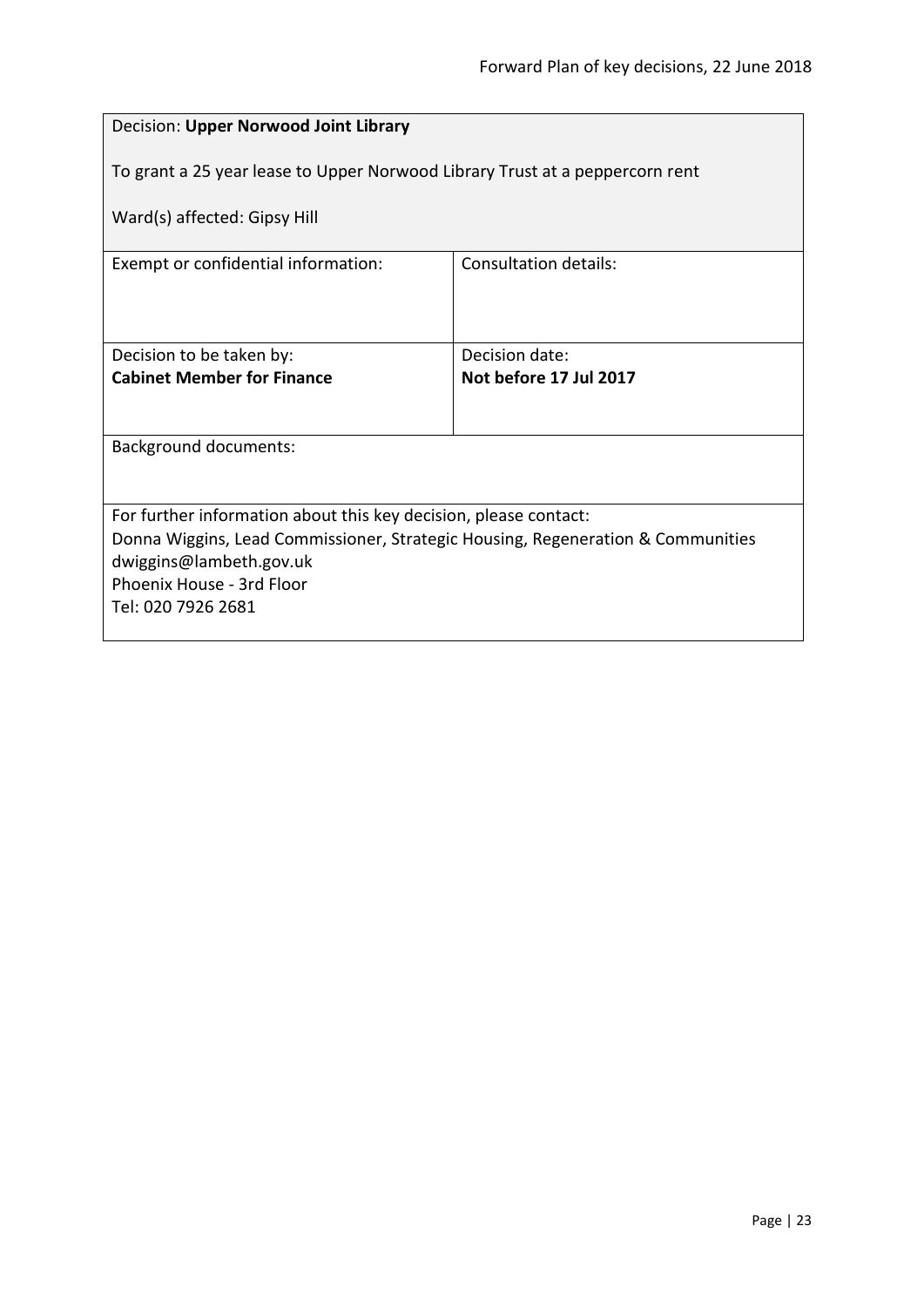<span id="page-22-0"></span>

| Decision: Upper Norwood Joint Library                                                                      |                              |  |
|------------------------------------------------------------------------------------------------------------|------------------------------|--|
| To grant a 25 year lease to Upper Norwood Library Trust at a peppercorn rent                               |                              |  |
| Ward(s) affected: Gipsy Hill                                                                               |                              |  |
| Exempt or confidential information:                                                                        | <b>Consultation details:</b> |  |
|                                                                                                            |                              |  |
| Decision to be taken by:                                                                                   | Decision date:               |  |
| <b>Cabinet Member for Finance</b>                                                                          | Not before 17 Jul 2017       |  |
| <b>Background documents:</b>                                                                               |                              |  |
|                                                                                                            |                              |  |
| For further information about this key decision, please contact:                                           |                              |  |
| Donna Wiggins, Lead Commissioner, Strategic Housing, Regeneration & Communities<br>dwiggins@lambeth.gov.uk |                              |  |
| Phoenix House - 3rd Floor                                                                                  |                              |  |
| Tel: 020 7926 2681                                                                                         |                              |  |
|                                                                                                            |                              |  |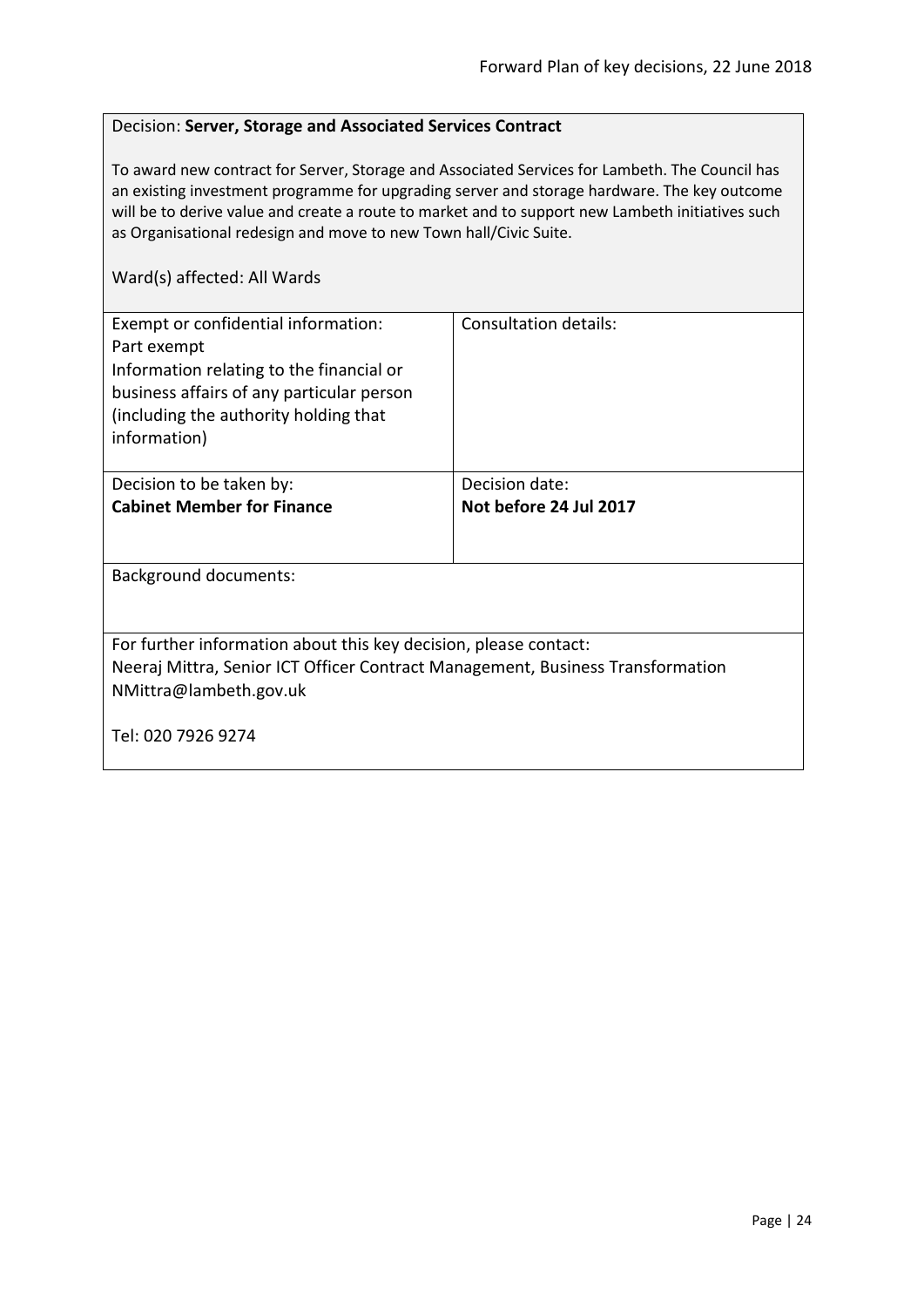#### <span id="page-23-0"></span>Decision: **Server, Storage and Associated Services Contract**

To award new contract for Server, Storage and Associated Services for Lambeth. The Council has an existing investment programme for upgrading server and storage hardware. The key outcome will be to derive value and create a route to market and to support new Lambeth initiatives such as Organisational redesign and move to new Town hall/Civic Suite.

| Exempt or confidential information:<br>Part exempt<br>Information relating to the financial or<br>business affairs of any particular person<br>(including the authority holding that<br>information) | Consultation details:  |
|------------------------------------------------------------------------------------------------------------------------------------------------------------------------------------------------------|------------------------|
| Decision to be taken by:                                                                                                                                                                             | Decision date:         |
| <b>Cabinet Member for Finance</b>                                                                                                                                                                    | Not before 24 Jul 2017 |
|                                                                                                                                                                                                      |                        |
| <b>Background documents:</b>                                                                                                                                                                         |                        |
|                                                                                                                                                                                                      |                        |
| For further information about this key decision, please contact:                                                                                                                                     |                        |
| Neeraj Mittra, Senior ICT Officer Contract Management, Business Transformation                                                                                                                       |                        |
| NMittra@lambeth.gov.uk                                                                                                                                                                               |                        |
| Tel: 020 7926 9274                                                                                                                                                                                   |                        |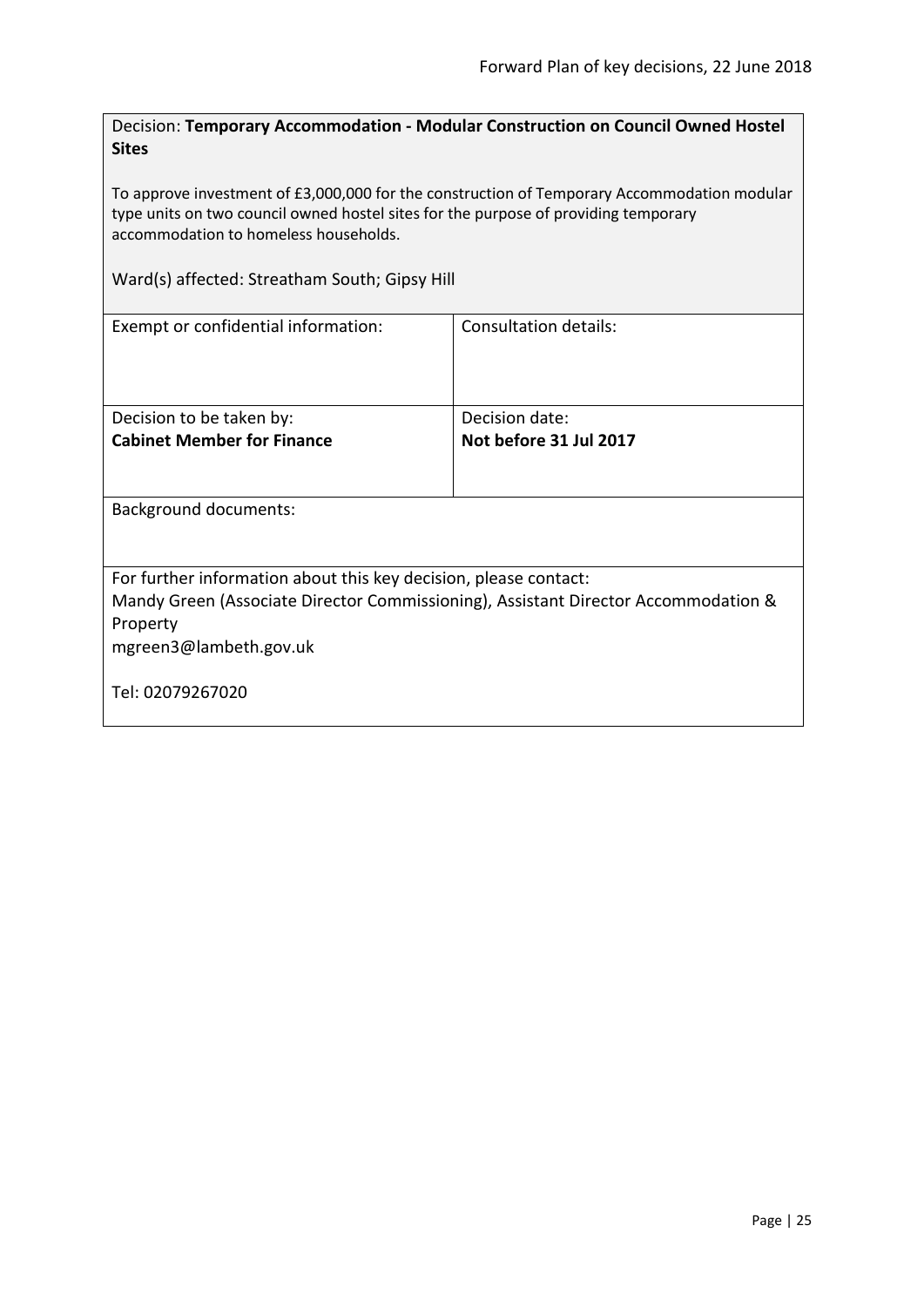<span id="page-24-0"></span>Decision: **Temporary Accommodation - Modular Construction on Council Owned Hostel Sites**

To approve investment of £3,000,000 for the construction of Temporary Accommodation modular type units on two council owned hostel sites for the purpose of providing temporary accommodation to homeless households.

Ward(s) affected: Streatham South; Gipsy Hill

| Exempt or confidential information:                                                | Consultation details:  |  |
|------------------------------------------------------------------------------------|------------------------|--|
|                                                                                    |                        |  |
|                                                                                    |                        |  |
|                                                                                    |                        |  |
| Decision to be taken by:                                                           | Decision date:         |  |
| <b>Cabinet Member for Finance</b>                                                  | Not before 31 Jul 2017 |  |
|                                                                                    |                        |  |
|                                                                                    |                        |  |
| <b>Background documents:</b>                                                       |                        |  |
|                                                                                    |                        |  |
|                                                                                    |                        |  |
| For further information about this key decision, please contact:                   |                        |  |
| Mandy Green (Associate Director Commissioning), Assistant Director Accommodation & |                        |  |
| Property                                                                           |                        |  |
| mgreen3@lambeth.gov.uk                                                             |                        |  |
|                                                                                    |                        |  |
| Tel: 02079267020                                                                   |                        |  |
|                                                                                    |                        |  |
|                                                                                    |                        |  |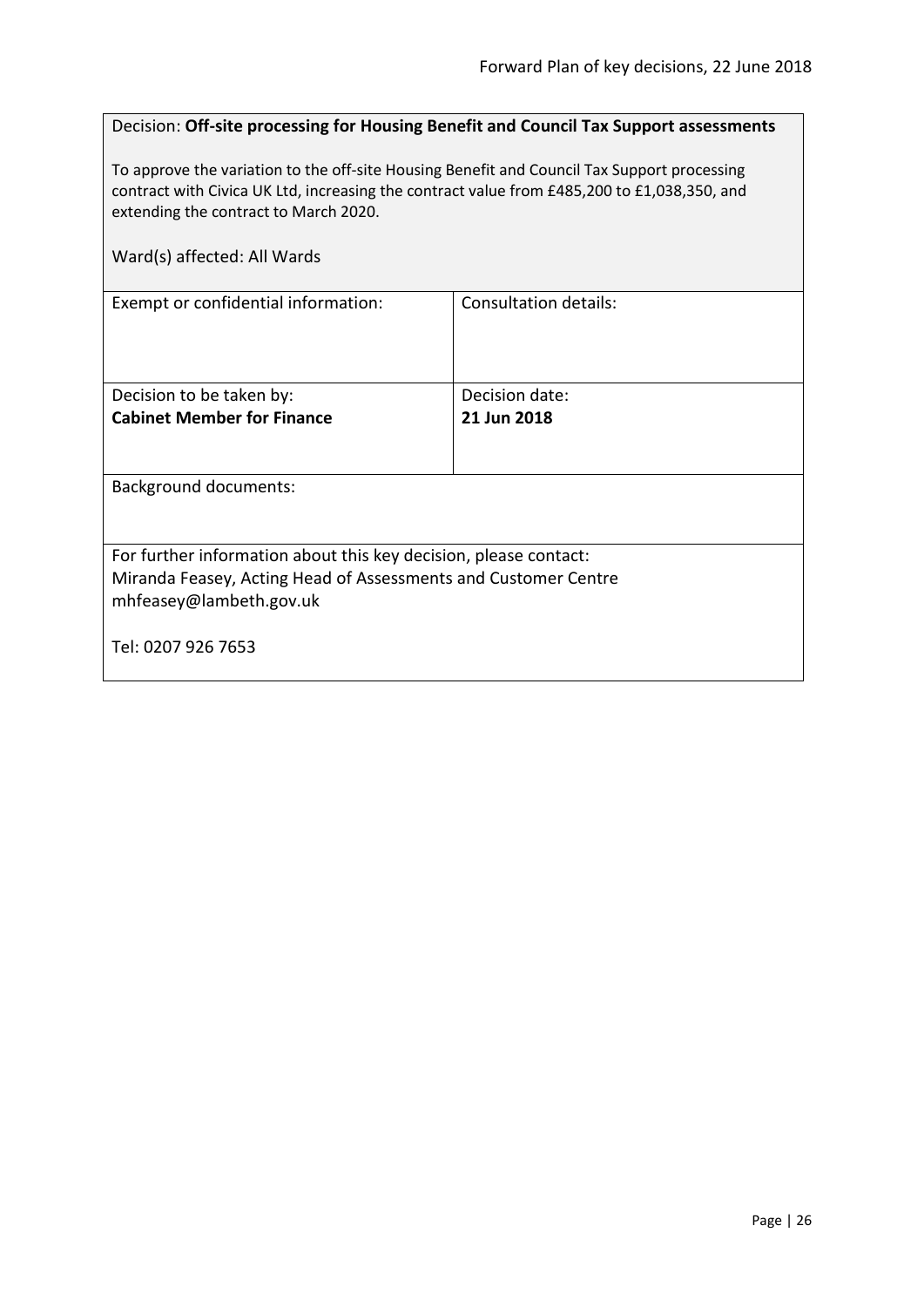# <span id="page-25-0"></span>Decision: **Off-site processing for Housing Benefit and Council Tax Support assessments**

To approve the variation to the off-site Housing Benefit and Council Tax Support processing contract with Civica UK Ltd, increasing the contract value from £485,200 to £1,038,350, and extending the contract to March 2020.

| Ward(s) affected: All Wards                                                                                                                                   |                       |
|---------------------------------------------------------------------------------------------------------------------------------------------------------------|-----------------------|
| Exempt or confidential information:                                                                                                                           | Consultation details: |
| Decision to be taken by:                                                                                                                                      | Decision date:        |
| <b>Cabinet Member for Finance</b>                                                                                                                             | 21 Jun 2018           |
| <b>Background documents:</b>                                                                                                                                  |                       |
| For further information about this key decision, please contact:<br>Miranda Feasey, Acting Head of Assessments and Customer Centre<br>mhfeasey@lambeth.gov.uk |                       |
| Tel: 0207 926 7653                                                                                                                                            |                       |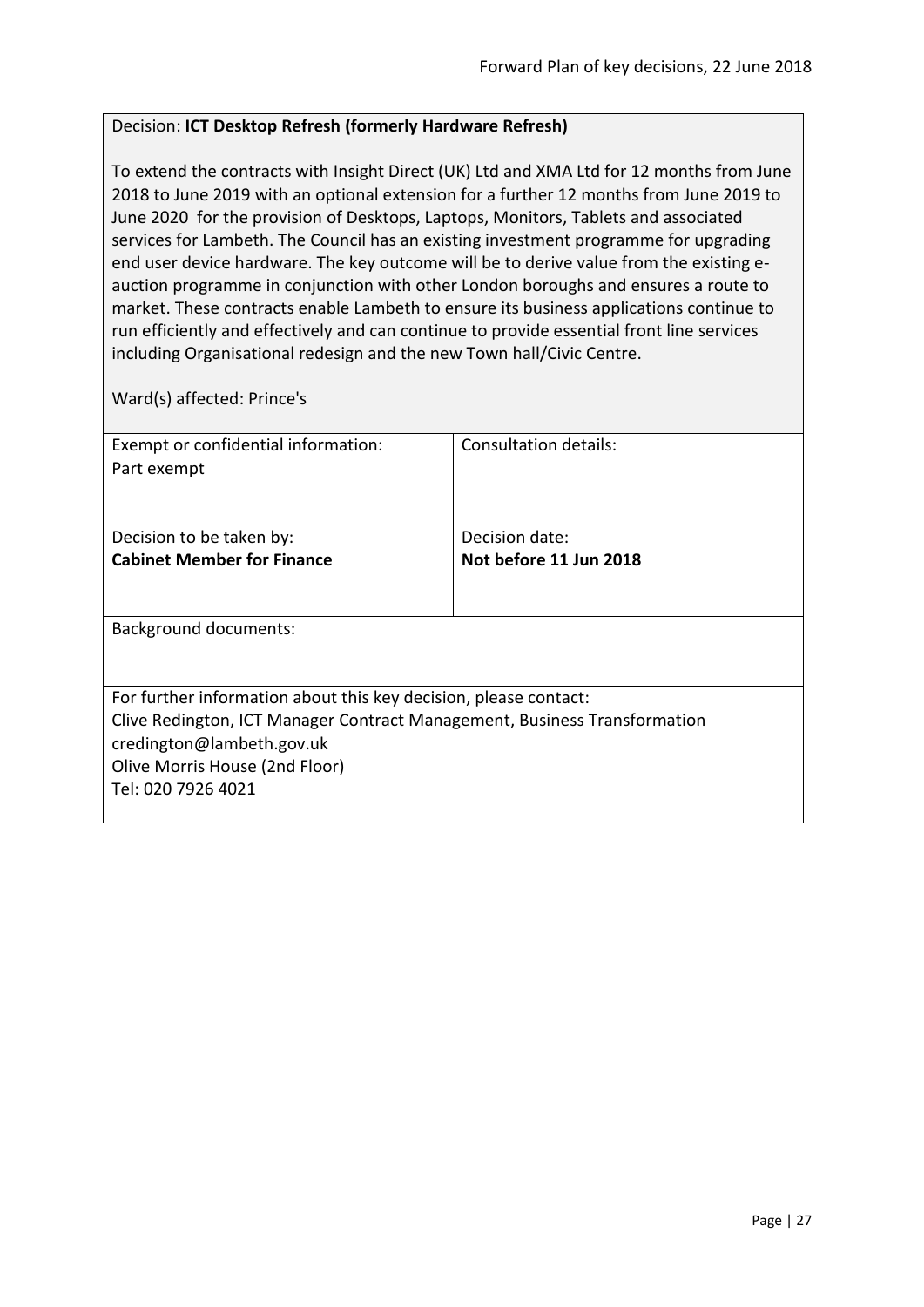## <span id="page-26-0"></span>Decision: **ICT Desktop Refresh (formerly Hardware Refresh)**

To extend the contracts with Insight Direct (UK) Ltd and XMA Ltd for 12 months from June 2018 to June 2019 with an optional extension for a further 12 months from June 2019 to June 2020 for the provision of Desktops, Laptops, Monitors, Tablets and associated services for Lambeth. The Council has an existing investment programme for upgrading end user device hardware. The key outcome will be to derive value from the existing eauction programme in conjunction with other London boroughs and ensures a route to market. These contracts enable Lambeth to ensure its business applications continue to run efficiently and effectively and can continue to provide essential front line services including Organisational redesign and the new Town hall/Civic Centre.

Ward(s) affected: Prince's

| Exempt or confidential information:                                       | Consultation details:  |
|---------------------------------------------------------------------------|------------------------|
| Part exempt                                                               |                        |
|                                                                           |                        |
|                                                                           |                        |
| Decision to be taken by:                                                  | Decision date:         |
| <b>Cabinet Member for Finance</b>                                         | Not before 11 Jun 2018 |
|                                                                           |                        |
|                                                                           |                        |
| Background documents:                                                     |                        |
|                                                                           |                        |
|                                                                           |                        |
| For further information about this key decision, please contact:          |                        |
| Clive Redington, ICT Manager Contract Management, Business Transformation |                        |
| credington@lambeth.gov.uk                                                 |                        |
| Olive Morris House (2nd Floor)                                            |                        |
| Tel: 020 7926 4021                                                        |                        |
|                                                                           |                        |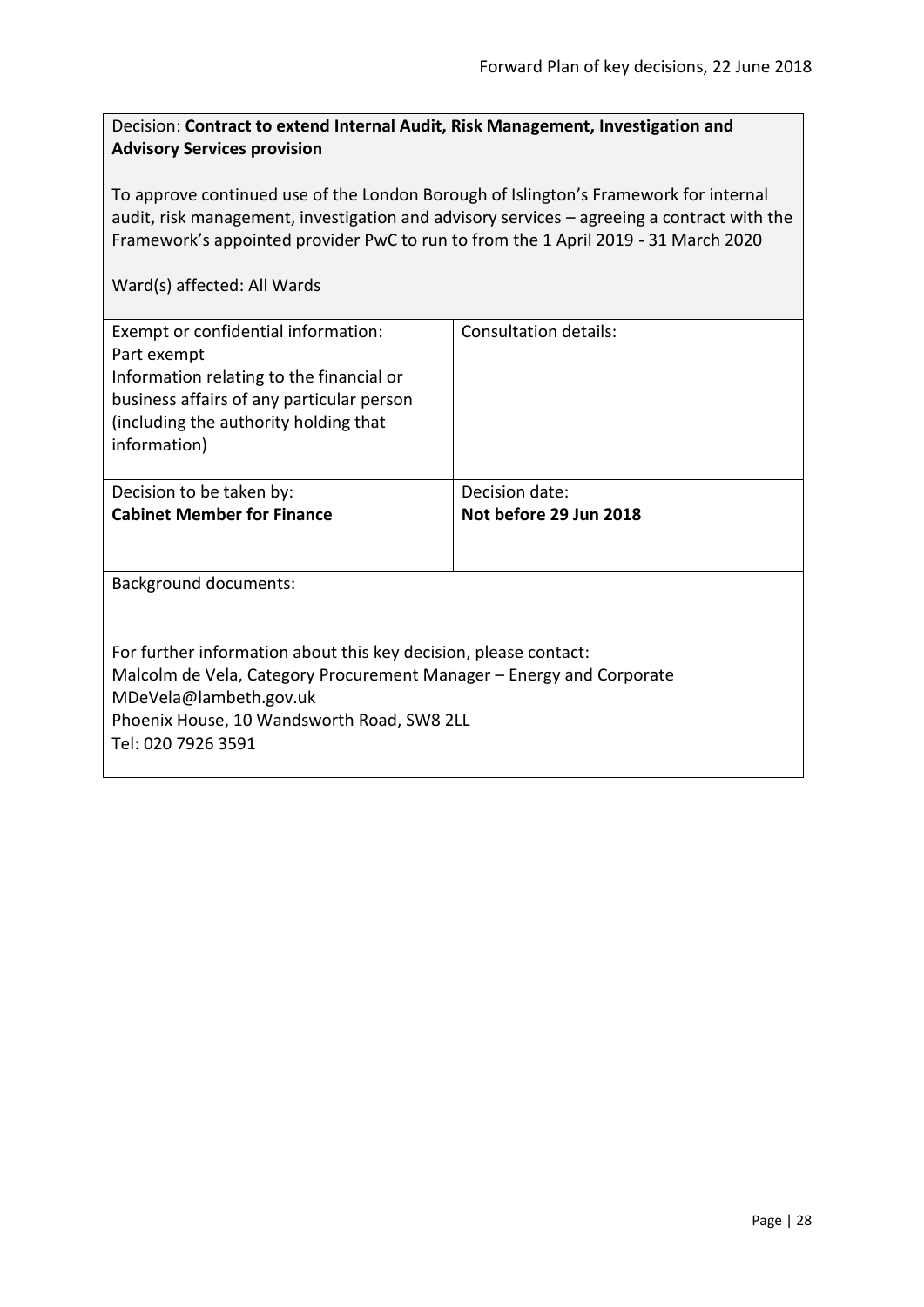# <span id="page-27-0"></span>Decision: **Contract to extend Internal Audit, Risk Management, Investigation and Advisory Services provision**

To approve continued use of the London Borough of Islington's Framework for internal audit, risk management, investigation and advisory services – agreeing a contract with the Framework's appointed provider PwC to run to from the 1 April 2019 - 31 March 2020

| Exempt or confidential information:<br>Part exempt<br>Information relating to the financial or<br>business affairs of any particular person<br>(including the authority holding that | <b>Consultation details:</b> |
|--------------------------------------------------------------------------------------------------------------------------------------------------------------------------------------|------------------------------|
| information)                                                                                                                                                                         |                              |
| Decision to be taken by:                                                                                                                                                             | Decision date:               |
| <b>Cabinet Member for Finance</b>                                                                                                                                                    | Not before 29 Jun 2018       |
| <b>Background documents:</b>                                                                                                                                                         |                              |
| For further information about this key decision, please contact:                                                                                                                     |                              |
| Malcolm de Vela, Category Procurement Manager – Energy and Corporate<br>MDeVela@lambeth.gov.uk                                                                                       |                              |
| Phoenix House, 10 Wandsworth Road, SW8 2LL                                                                                                                                           |                              |
| Tel: 020 7926 3591                                                                                                                                                                   |                              |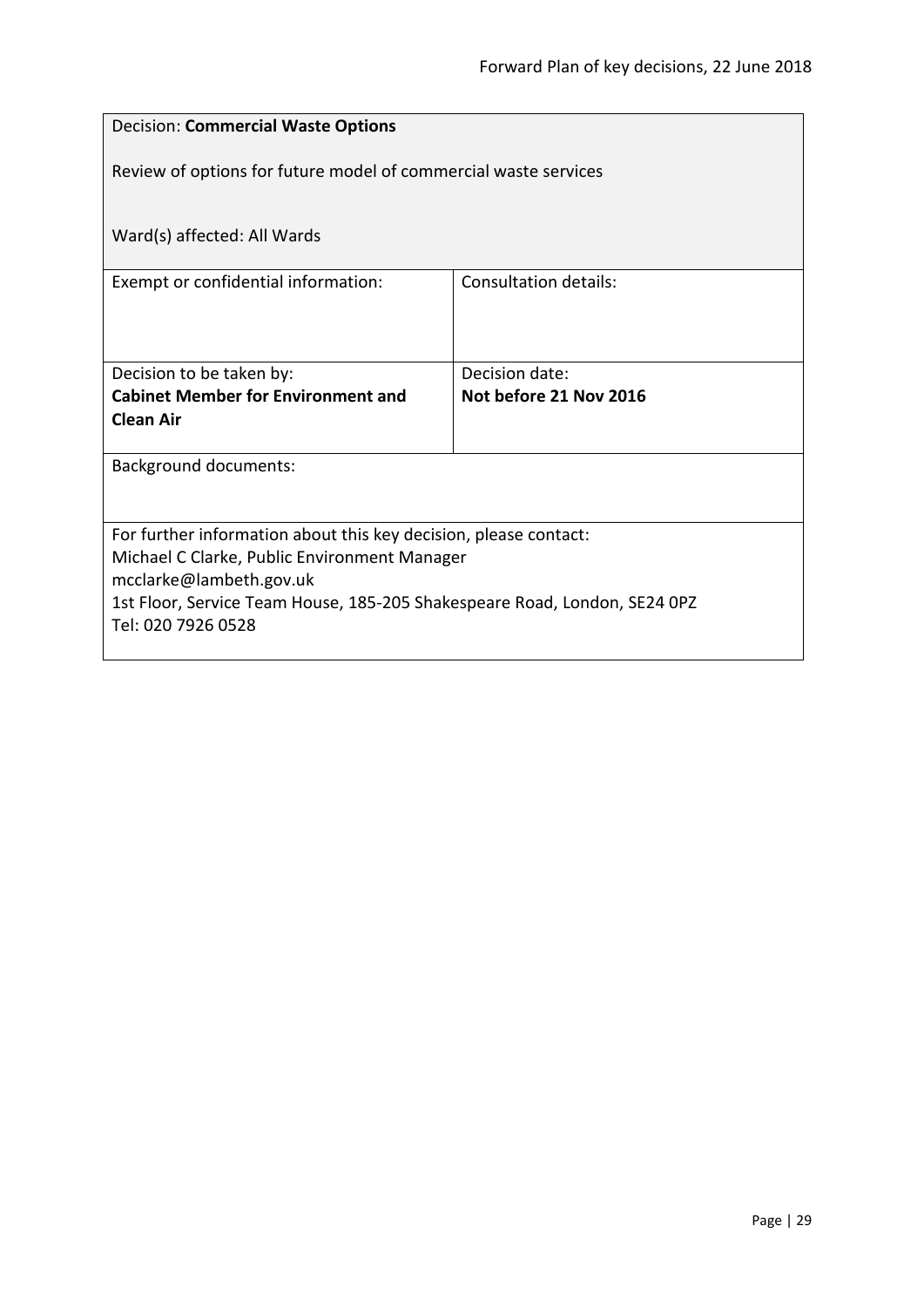<span id="page-28-0"></span>

| <b>Decision: Commercial Waste Options</b>                                                                                                                                                                                                      |                              |  |
|------------------------------------------------------------------------------------------------------------------------------------------------------------------------------------------------------------------------------------------------|------------------------------|--|
| Review of options for future model of commercial waste services                                                                                                                                                                                |                              |  |
| Ward(s) affected: All Wards                                                                                                                                                                                                                    |                              |  |
| Exempt or confidential information:                                                                                                                                                                                                            | <b>Consultation details:</b> |  |
|                                                                                                                                                                                                                                                |                              |  |
| Decision to be taken by:                                                                                                                                                                                                                       | Decision date:               |  |
| <b>Cabinet Member for Environment and</b><br><b>Clean Air</b>                                                                                                                                                                                  | Not before 21 Nov 2016       |  |
| <b>Background documents:</b>                                                                                                                                                                                                                   |                              |  |
| For further information about this key decision, please contact:<br>Michael C Clarke, Public Environment Manager<br>mcclarke@lambeth.gov.uk<br>1st Floor, Service Team House, 185-205 Shakespeare Road, London, SE24 0PZ<br>Tel: 020 7926 0528 |                              |  |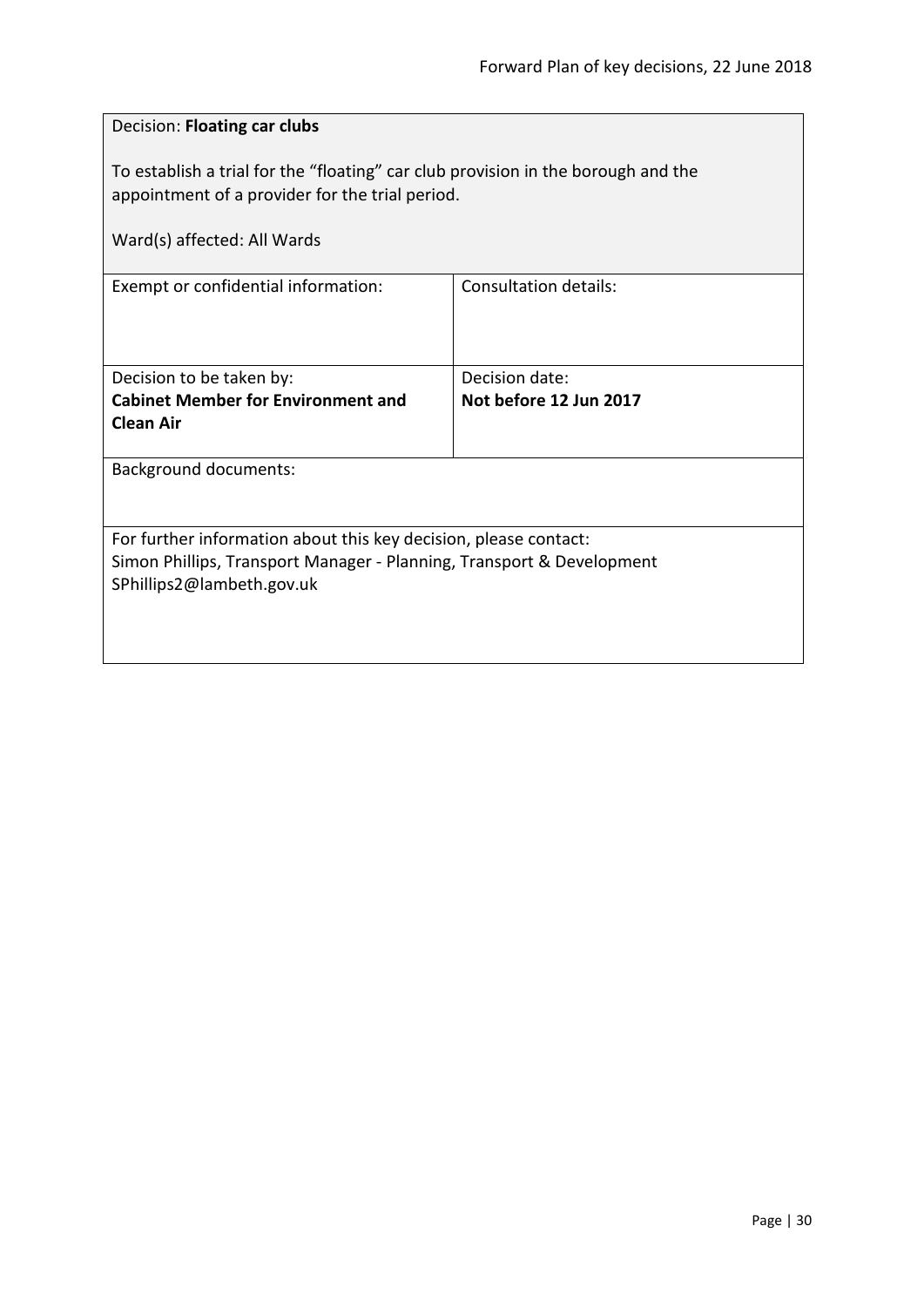<span id="page-29-0"></span>

| Decision: Floating car clubs                                                                                                                                           |                        |
|------------------------------------------------------------------------------------------------------------------------------------------------------------------------|------------------------|
| To establish a trial for the "floating" car club provision in the borough and the<br>appointment of a provider for the trial period.                                   |                        |
| Ward(s) affected: All Wards                                                                                                                                            |                        |
| Exempt or confidential information:                                                                                                                                    | Consultation details:  |
| Decision to be taken by:                                                                                                                                               | Decision date:         |
| <b>Cabinet Member for Environment and</b><br><b>Clean Air</b>                                                                                                          | Not before 12 Jun 2017 |
| <b>Background documents:</b>                                                                                                                                           |                        |
| For further information about this key decision, please contact:<br>Simon Phillips, Transport Manager - Planning, Transport & Development<br>SPhillips2@lambeth.gov.uk |                        |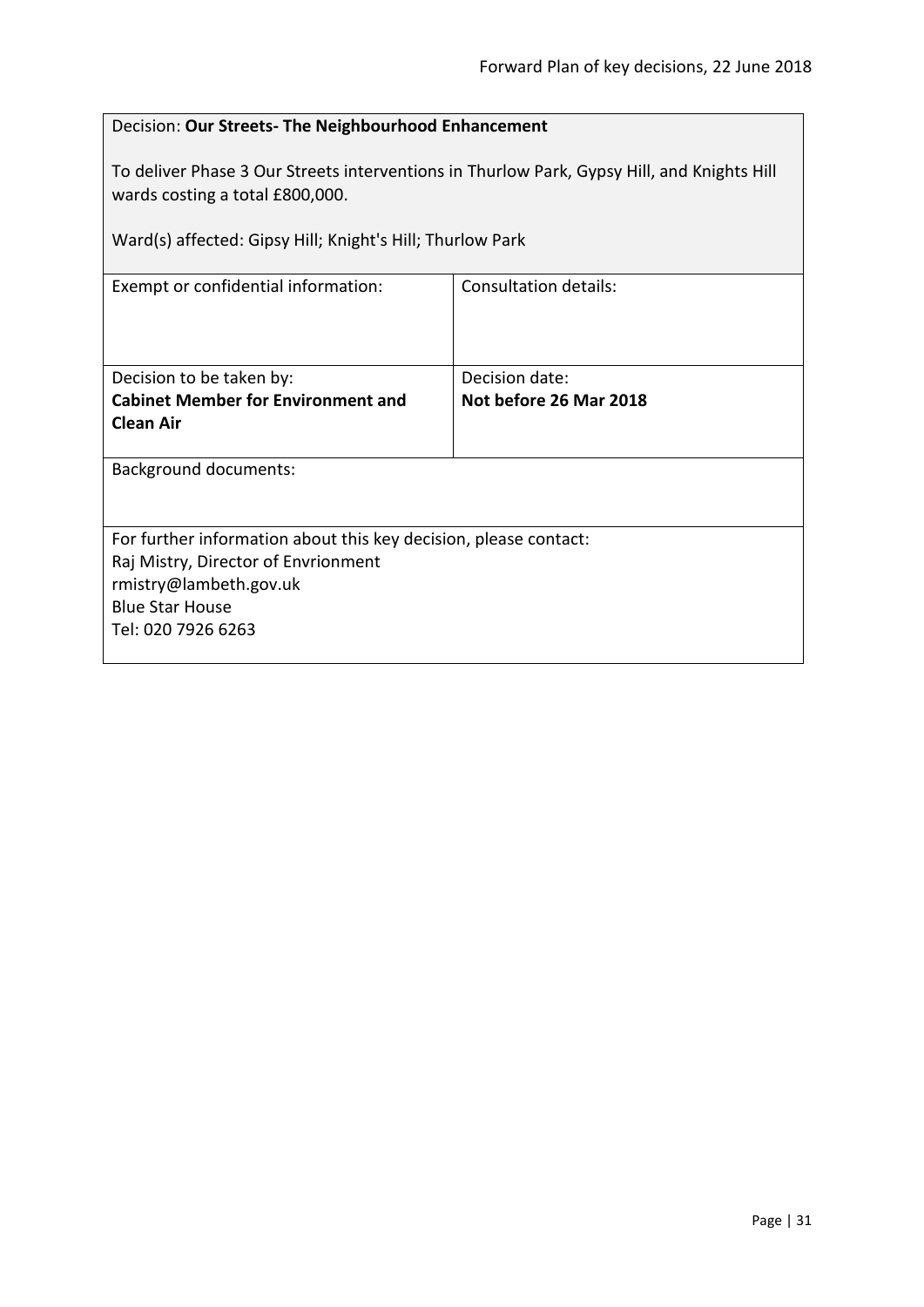<span id="page-30-0"></span>

| Decision: Our Streets- The Neighbourhood Enhancement                                                                                                                                       |                              |  |
|--------------------------------------------------------------------------------------------------------------------------------------------------------------------------------------------|------------------------------|--|
| To deliver Phase 3 Our Streets interventions in Thurlow Park, Gypsy Hill, and Knights Hill<br>wards costing a total £800,000.<br>Ward(s) affected: Gipsy Hill; Knight's Hill; Thurlow Park |                              |  |
| Exempt or confidential information:                                                                                                                                                        | <b>Consultation details:</b> |  |
|                                                                                                                                                                                            |                              |  |
| Decision to be taken by:                                                                                                                                                                   | Decision date:               |  |
| <b>Cabinet Member for Environment and</b><br><b>Clean Air</b>                                                                                                                              | Not before 26 Mar 2018       |  |
| <b>Background documents:</b>                                                                                                                                                               |                              |  |
| For further information about this key decision, please contact:<br>Raj Mistry, Director of Envrionment<br>rmistry@lambeth.gov.uk<br><b>Blue Star House</b><br>Tel: 020 7926 6263          |                              |  |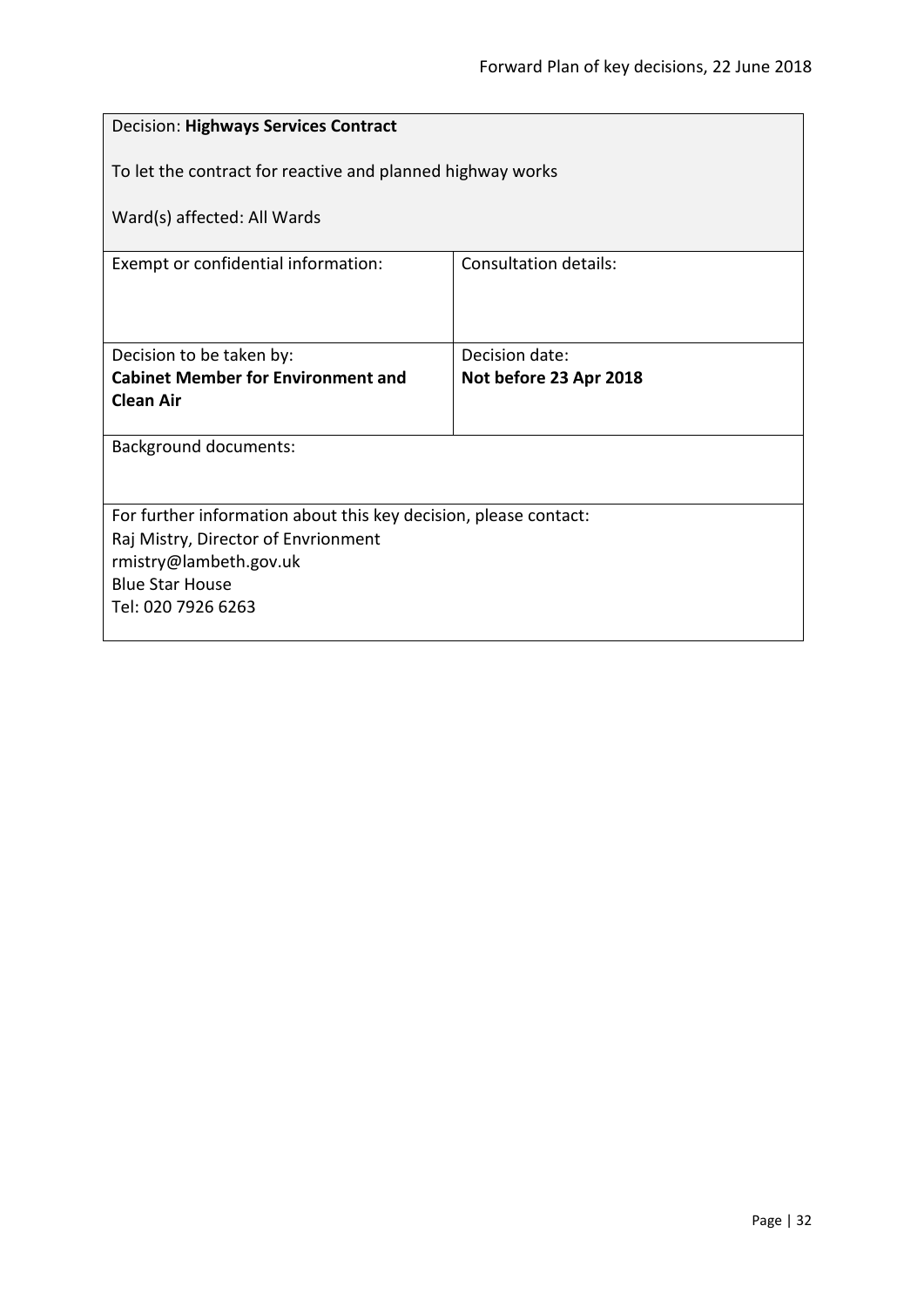<span id="page-31-0"></span>

| <b>Decision: Highways Services Contract</b>                      |                        |  |
|------------------------------------------------------------------|------------------------|--|
| To let the contract for reactive and planned highway works       |                        |  |
| Ward(s) affected: All Wards                                      |                        |  |
| Exempt or confidential information:                              | Consultation details:  |  |
|                                                                  |                        |  |
| Decision to be taken by:                                         | Decision date:         |  |
| <b>Cabinet Member for Environment and</b>                        | Not before 23 Apr 2018 |  |
| <b>Clean Air</b>                                                 |                        |  |
| <b>Background documents:</b>                                     |                        |  |
|                                                                  |                        |  |
| For further information about this key decision, please contact: |                        |  |
| Raj Mistry, Director of Envrionment                              |                        |  |
| rmistry@lambeth.gov.uk                                           |                        |  |
| <b>Blue Star House</b>                                           |                        |  |
| Tel: 020 7926 6263                                               |                        |  |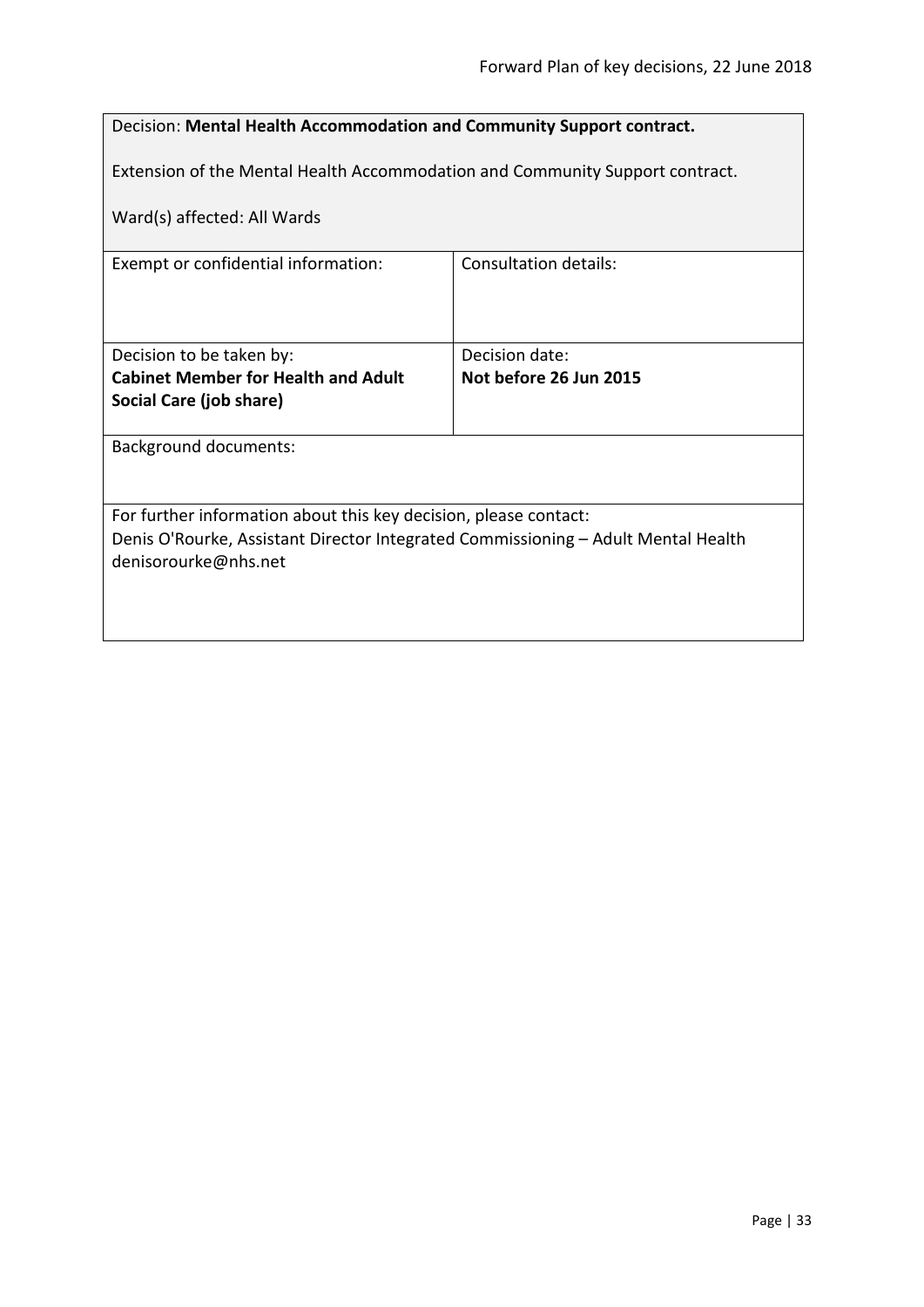<span id="page-32-0"></span>

| Decision: Mental Health Accommodation and Community Support contract.                                     |  |  |
|-----------------------------------------------------------------------------------------------------------|--|--|
| Extension of the Mental Health Accommodation and Community Support contract.                              |  |  |
| Ward(s) affected: All Wards                                                                               |  |  |
| Consultation details:                                                                                     |  |  |
|                                                                                                           |  |  |
| Decision date:                                                                                            |  |  |
| Not before 26 Jun 2015                                                                                    |  |  |
|                                                                                                           |  |  |
| Background documents:                                                                                     |  |  |
|                                                                                                           |  |  |
| For further information about this key decision, please contact:                                          |  |  |
| Denis O'Rourke, Assistant Director Integrated Commissioning - Adult Mental Health<br>denisorourke@nhs.net |  |  |
|                                                                                                           |  |  |
|                                                                                                           |  |  |
|                                                                                                           |  |  |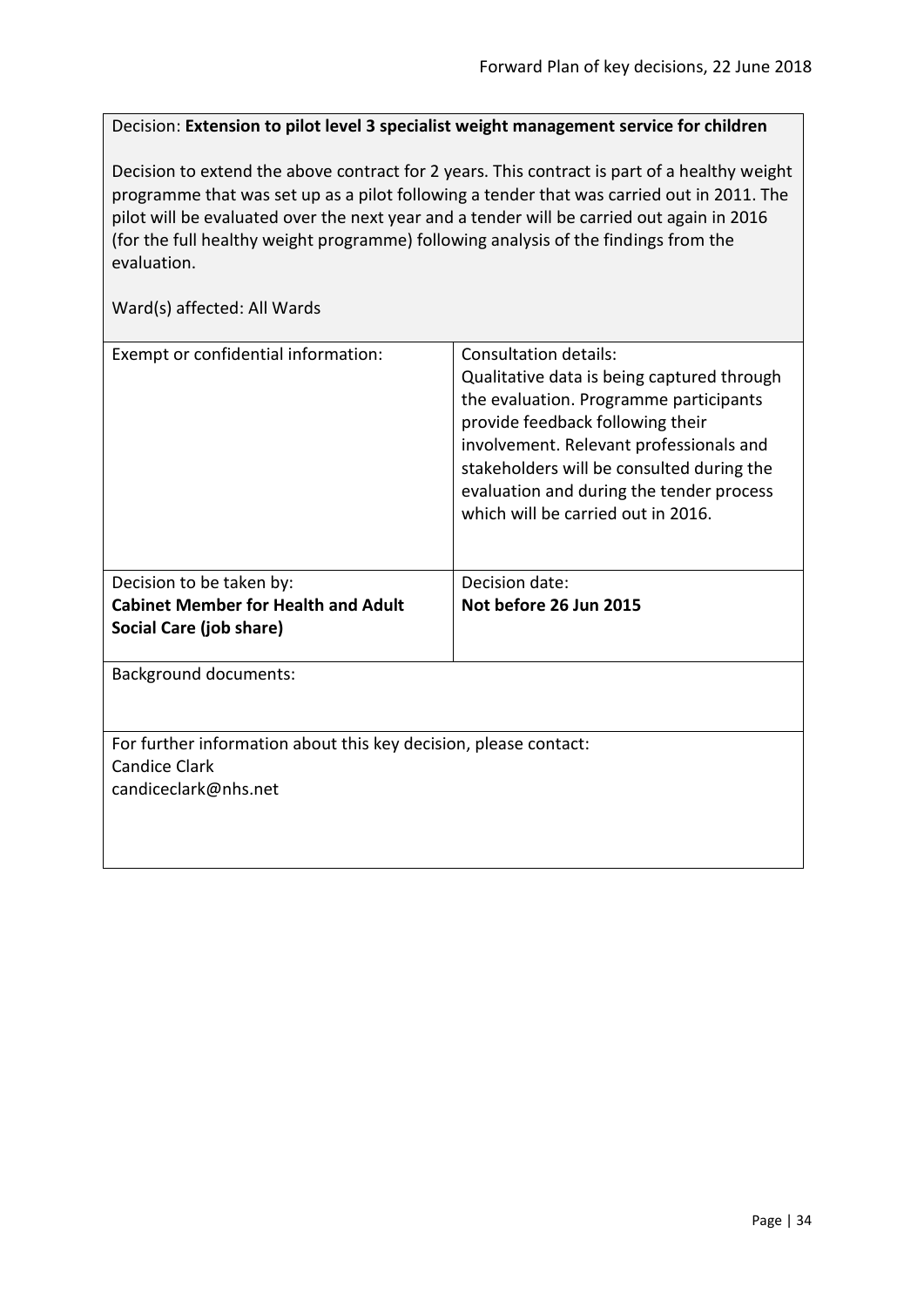<span id="page-33-0"></span>Decision: **Extension to pilot level 3 specialist weight management service for children**

Decision to extend the above contract for 2 years. This contract is part of a healthy weight programme that was set up as a pilot following a tender that was carried out in 2011. The pilot will be evaluated over the next year and a tender will be carried out again in 2016 (for the full healthy weight programme) following analysis of the findings from the evaluation.

| Exempt or confidential information:                              | Consultation details:<br>Qualitative data is being captured through<br>the evaluation. Programme participants<br>provide feedback following their<br>involvement. Relevant professionals and<br>stakeholders will be consulted during the<br>evaluation and during the tender process<br>which will be carried out in 2016. |
|------------------------------------------------------------------|-----------------------------------------------------------------------------------------------------------------------------------------------------------------------------------------------------------------------------------------------------------------------------------------------------------------------------|
| Decision to be taken by:                                         | Decision date:                                                                                                                                                                                                                                                                                                              |
| <b>Cabinet Member for Health and Adult</b>                       | Not before 26 Jun 2015                                                                                                                                                                                                                                                                                                      |
| Social Care (job share)                                          |                                                                                                                                                                                                                                                                                                                             |
| <b>Background documents:</b>                                     |                                                                                                                                                                                                                                                                                                                             |
|                                                                  |                                                                                                                                                                                                                                                                                                                             |
| For further information about this key decision, please contact: |                                                                                                                                                                                                                                                                                                                             |
| <b>Candice Clark</b>                                             |                                                                                                                                                                                                                                                                                                                             |
|                                                                  |                                                                                                                                                                                                                                                                                                                             |
| candiceclark@nhs.net                                             |                                                                                                                                                                                                                                                                                                                             |
|                                                                  |                                                                                                                                                                                                                                                                                                                             |
|                                                                  |                                                                                                                                                                                                                                                                                                                             |
|                                                                  |                                                                                                                                                                                                                                                                                                                             |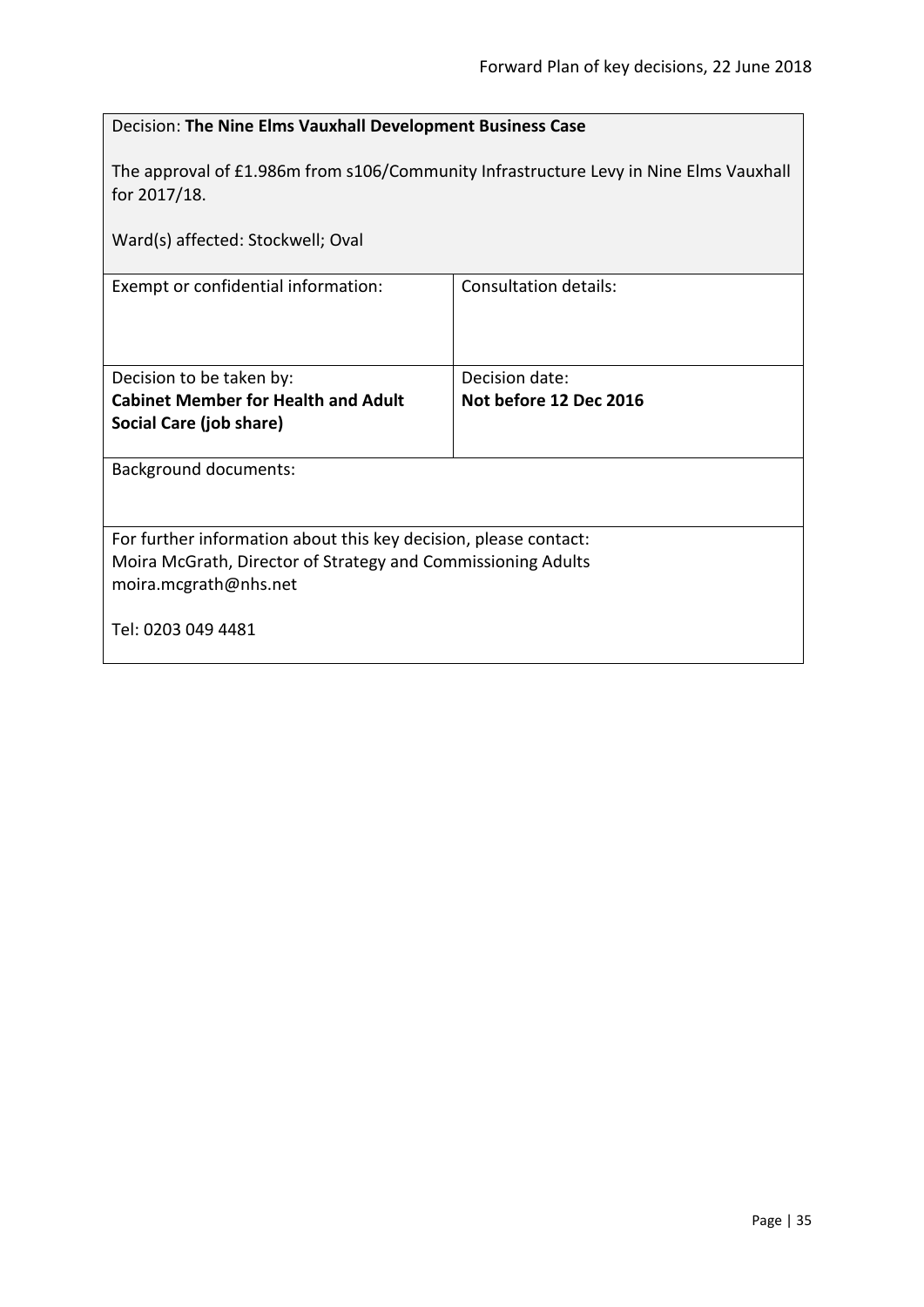<span id="page-34-0"></span>

| Decision: The Nine Elms Vauxhall Development Business Case                                                                                                |                        |
|-----------------------------------------------------------------------------------------------------------------------------------------------------------|------------------------|
| The approval of £1.986m from s106/Community Infrastructure Levy in Nine Elms Vauxhall<br>for 2017/18.                                                     |                        |
| Ward(s) affected: Stockwell; Oval                                                                                                                         |                        |
| Exempt or confidential information:                                                                                                                       | Consultation details:  |
| Decision to be taken by:                                                                                                                                  | Decision date:         |
| <b>Cabinet Member for Health and Adult</b><br>Social Care (job share)                                                                                     | Not before 12 Dec 2016 |
| <b>Background documents:</b>                                                                                                                              |                        |
| For further information about this key decision, please contact:<br>Moira McGrath, Director of Strategy and Commissioning Adults<br>moira.mcgrath@nhs.net |                        |
| Tel: 0203 049 4481                                                                                                                                        |                        |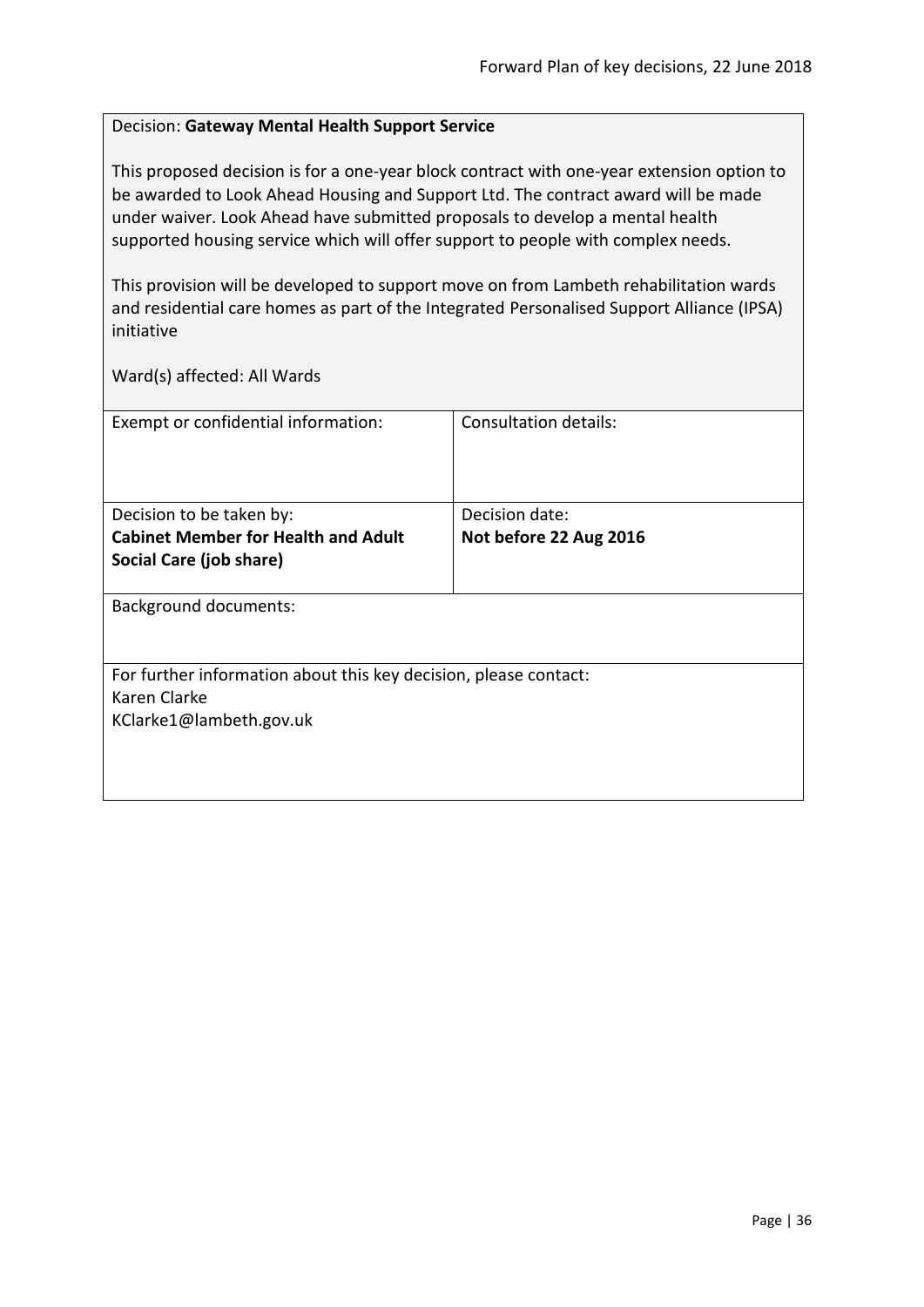#### <span id="page-35-0"></span>Decision: **Gateway Mental Health Support Service**

This proposed decision is for a one-year block contract with one-year extension option to be awarded to Look Ahead Housing and Support Ltd. The contract award will be made under waiver. Look Ahead have submitted proposals to develop a mental health supported housing service which will offer support to people with complex needs.

This provision will be developed to support move on from Lambeth rehabilitation wards and residential care homes as part of the Integrated Personalised Support Alliance (IPSA) initiative

| Exempt or confidential information:                              | Consultation details:  |
|------------------------------------------------------------------|------------------------|
|                                                                  |                        |
| Decision to be taken by:                                         | Decision date:         |
| <b>Cabinet Member for Health and Adult</b>                       | Not before 22 Aug 2016 |
| Social Care (job share)                                          |                        |
|                                                                  |                        |
| <b>Background documents:</b>                                     |                        |
|                                                                  |                        |
|                                                                  |                        |
| For further information about this key decision, please contact: |                        |
| Karen Clarke                                                     |                        |
| KClarke1@lambeth.gov.uk                                          |                        |
|                                                                  |                        |
|                                                                  |                        |
|                                                                  |                        |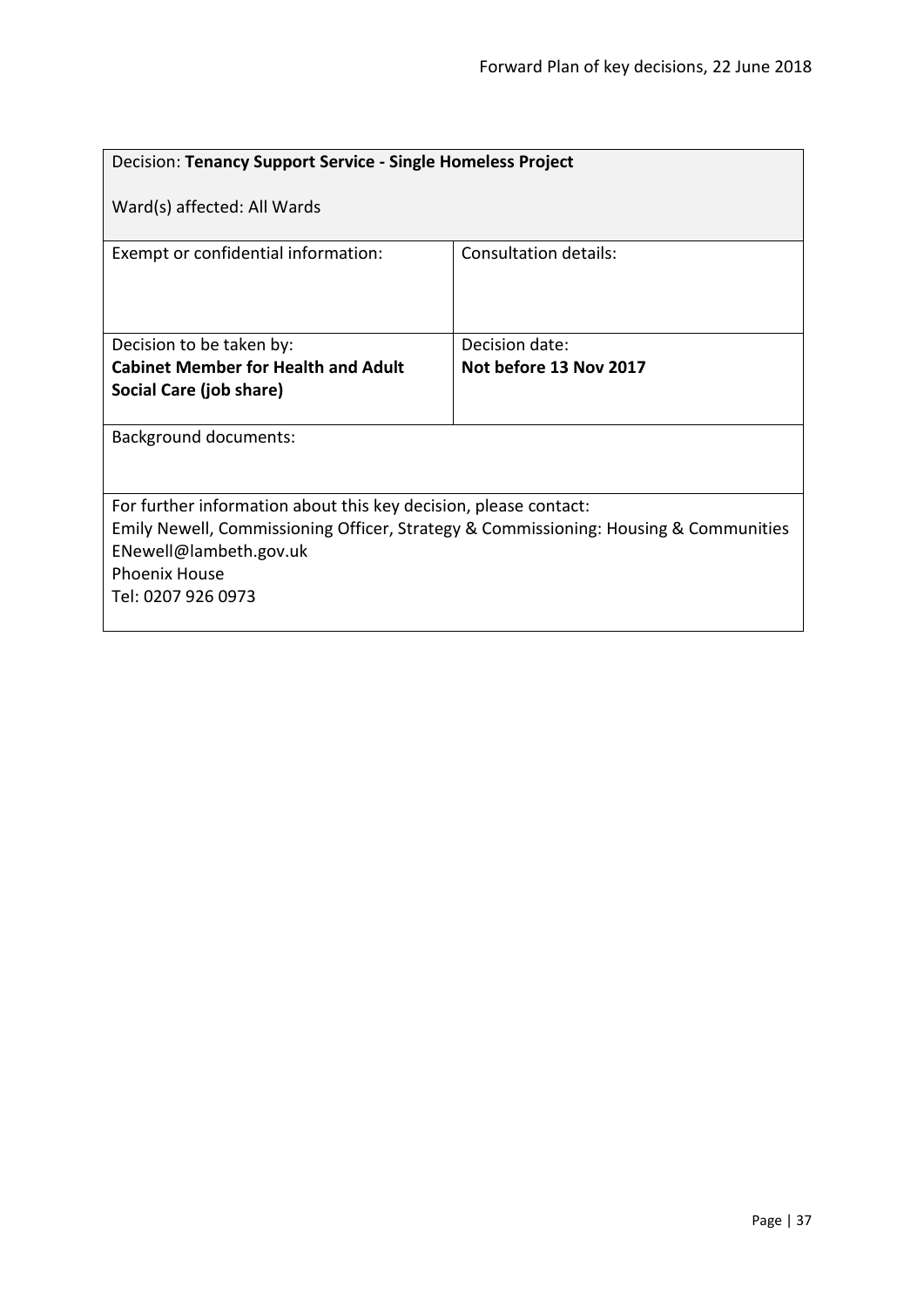| Decision: Tenancy Support Service - Single Homeless Project                                                                                                                                                                      |                        |  |
|----------------------------------------------------------------------------------------------------------------------------------------------------------------------------------------------------------------------------------|------------------------|--|
| Ward(s) affected: All Wards                                                                                                                                                                                                      |                        |  |
| Exempt or confidential information:                                                                                                                                                                                              | Consultation details:  |  |
| Decision to be taken by:                                                                                                                                                                                                         | Decision date:         |  |
| <b>Cabinet Member for Health and Adult</b>                                                                                                                                                                                       | Not before 13 Nov 2017 |  |
| Social Care (job share)                                                                                                                                                                                                          |                        |  |
| Background documents:                                                                                                                                                                                                            |                        |  |
| For further information about this key decision, please contact:<br>Emily Newell, Commissioning Officer, Strategy & Commissioning: Housing & Communities<br>ENewell@lambeth.gov.uk<br><b>Phoenix House</b><br>Tel: 0207 926 0973 |                        |  |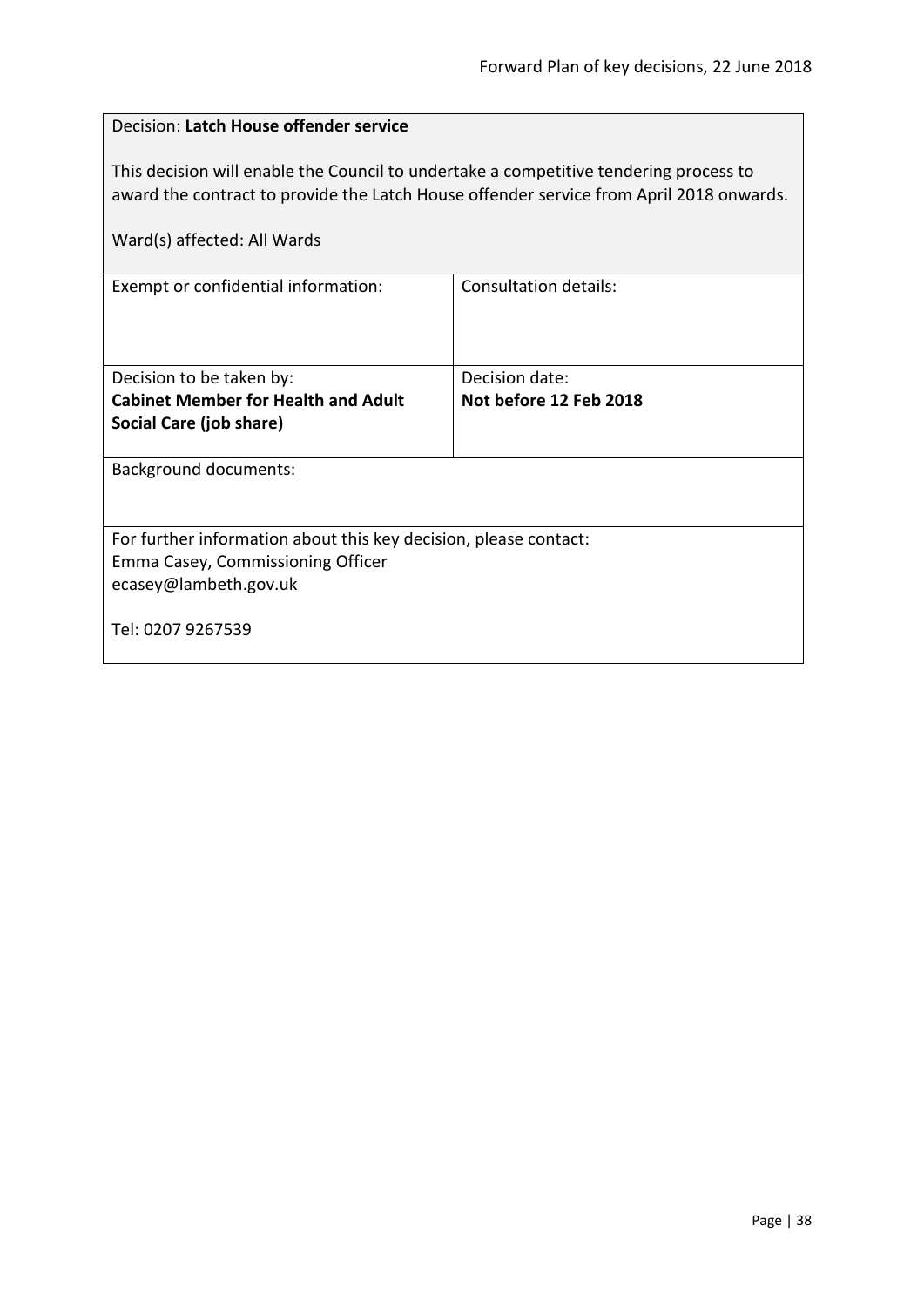| Decision: Latch House offender service                                                                                                                                                                          |                        |  |
|-----------------------------------------------------------------------------------------------------------------------------------------------------------------------------------------------------------------|------------------------|--|
| This decision will enable the Council to undertake a competitive tendering process to<br>award the contract to provide the Latch House offender service from April 2018 onwards.<br>Ward(s) affected: All Wards |                        |  |
| Exempt or confidential information:                                                                                                                                                                             | Consultation details:  |  |
|                                                                                                                                                                                                                 |                        |  |
| Decision to be taken by:                                                                                                                                                                                        | Decision date:         |  |
| <b>Cabinet Member for Health and Adult</b>                                                                                                                                                                      | Not before 12 Feb 2018 |  |
| Social Care (job share)                                                                                                                                                                                         |                        |  |
| <b>Background documents:</b>                                                                                                                                                                                    |                        |  |
|                                                                                                                                                                                                                 |                        |  |
| For further information about this key decision, please contact:                                                                                                                                                |                        |  |
| Emma Casey, Commissioning Officer                                                                                                                                                                               |                        |  |
| ecasey@lambeth.gov.uk                                                                                                                                                                                           |                        |  |
| Tel: 0207 9267539                                                                                                                                                                                               |                        |  |
|                                                                                                                                                                                                                 |                        |  |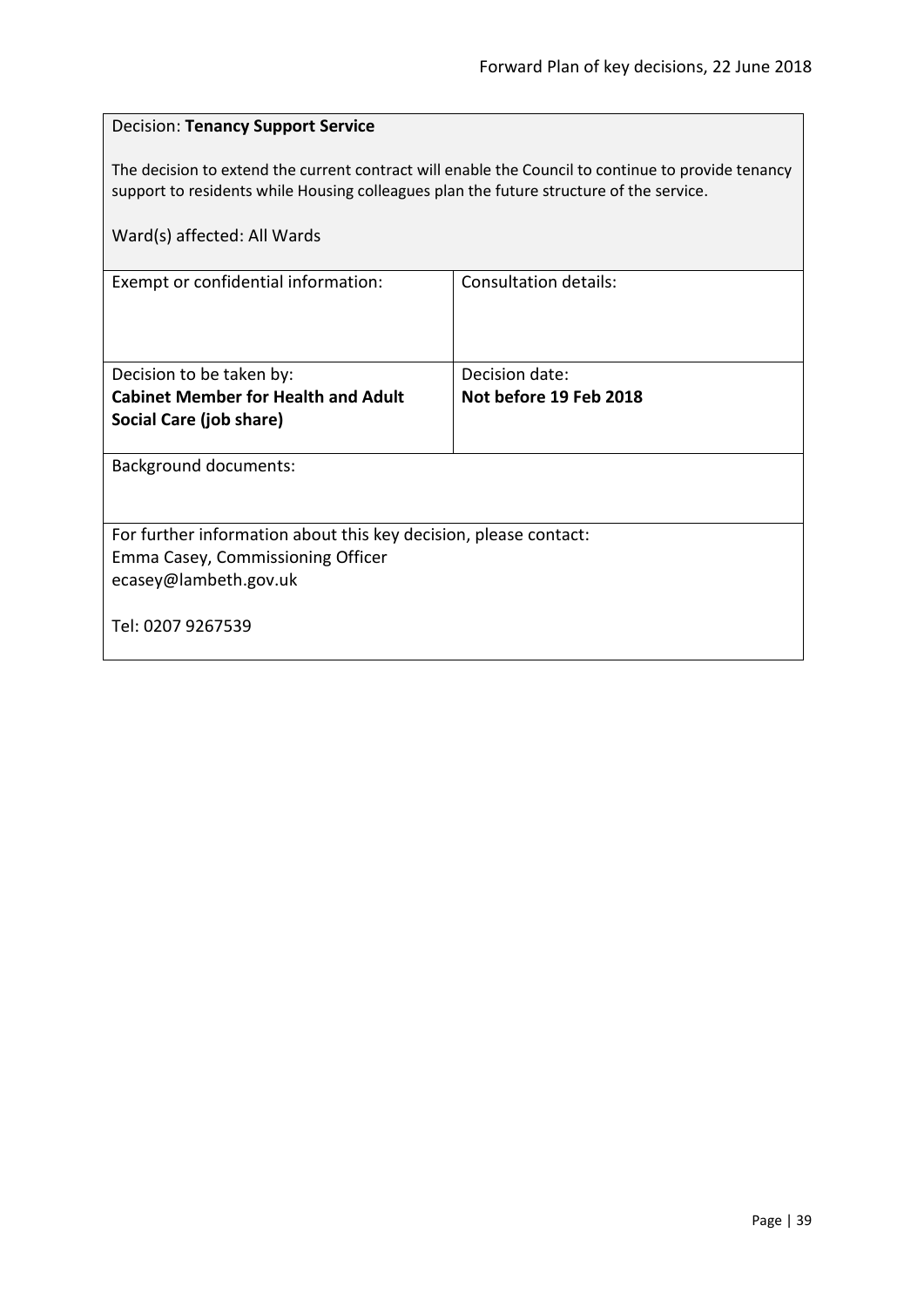| <b>Decision: Tenancy Support Service</b>                                                                                                                                                      |                        |  |
|-----------------------------------------------------------------------------------------------------------------------------------------------------------------------------------------------|------------------------|--|
| The decision to extend the current contract will enable the Council to continue to provide tenancy<br>support to residents while Housing colleagues plan the future structure of the service. |                        |  |
| Ward(s) affected: All Wards                                                                                                                                                                   |                        |  |
| Exempt or confidential information:                                                                                                                                                           | Consultation details:  |  |
| Decision to be taken by:                                                                                                                                                                      | Decision date:         |  |
| <b>Cabinet Member for Health and Adult</b><br>Social Care (job share)                                                                                                                         | Not before 19 Feb 2018 |  |
|                                                                                                                                                                                               |                        |  |
| <b>Background documents:</b>                                                                                                                                                                  |                        |  |
| For further information about this key decision, please contact:                                                                                                                              |                        |  |
| Emma Casey, Commissioning Officer<br>ecasey@lambeth.gov.uk                                                                                                                                    |                        |  |
| Tel: 0207 9267539                                                                                                                                                                             |                        |  |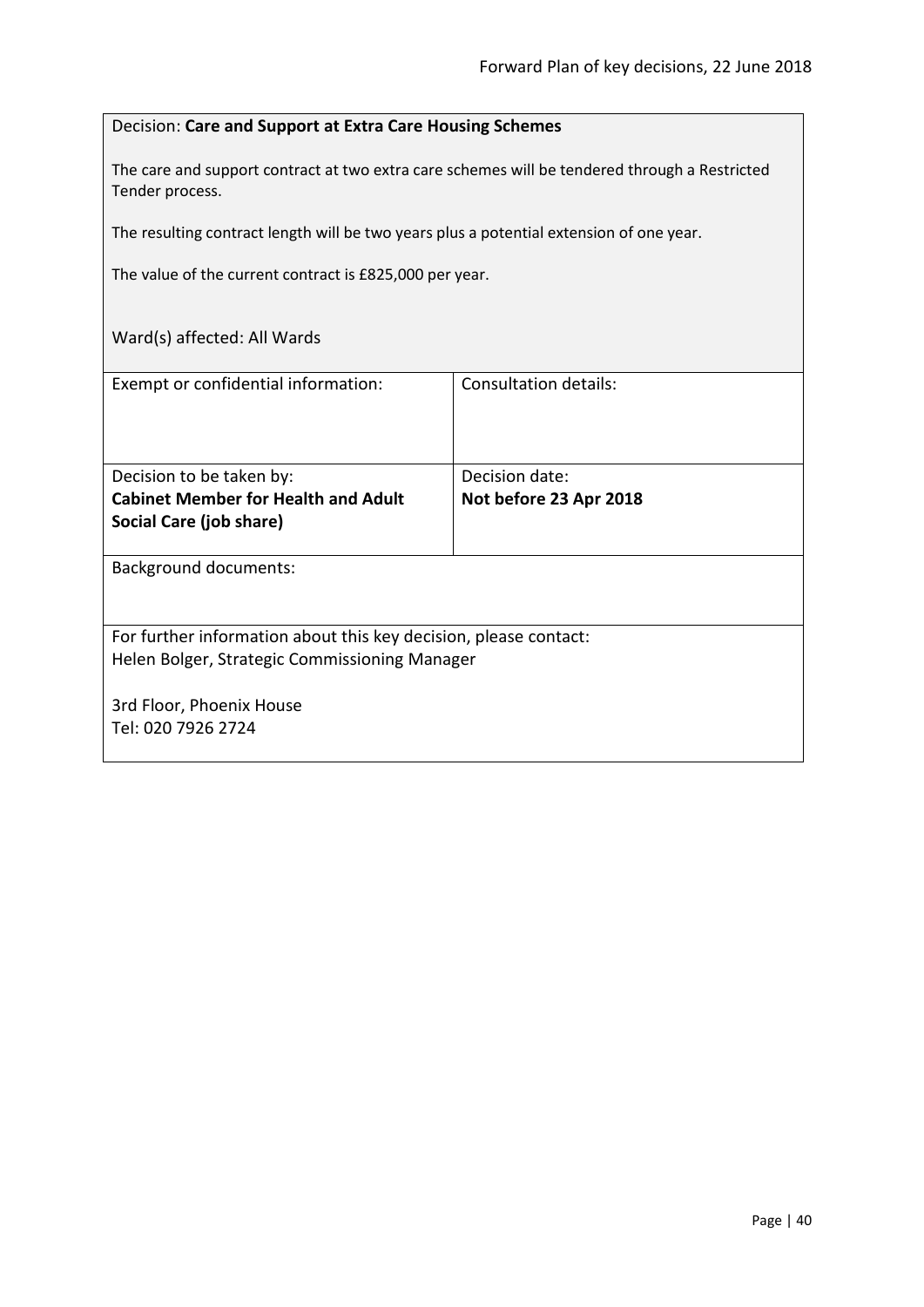### Decision: **Care and Support at Extra Care Housing Schemes**

The care and support contract at two extra care schemes will be tendered through a Restricted Tender process.

The resulting contract length will be two years plus a potential extension of one year.

The value of the current contract is £825,000 per year.

| Exempt or confidential information:                              | Consultation details:  |
|------------------------------------------------------------------|------------------------|
|                                                                  |                        |
| Decision to be taken by:                                         | Decision date:         |
| <b>Cabinet Member for Health and Adult</b>                       | Not before 23 Apr 2018 |
| Social Care (job share)                                          |                        |
|                                                                  |                        |
| <b>Background documents:</b>                                     |                        |
|                                                                  |                        |
| For further information about this key decision, please contact: |                        |
| Helen Bolger, Strategic Commissioning Manager                    |                        |
|                                                                  |                        |
| 3rd Floor, Phoenix House<br>Tel: 020 7926 2724                   |                        |
|                                                                  |                        |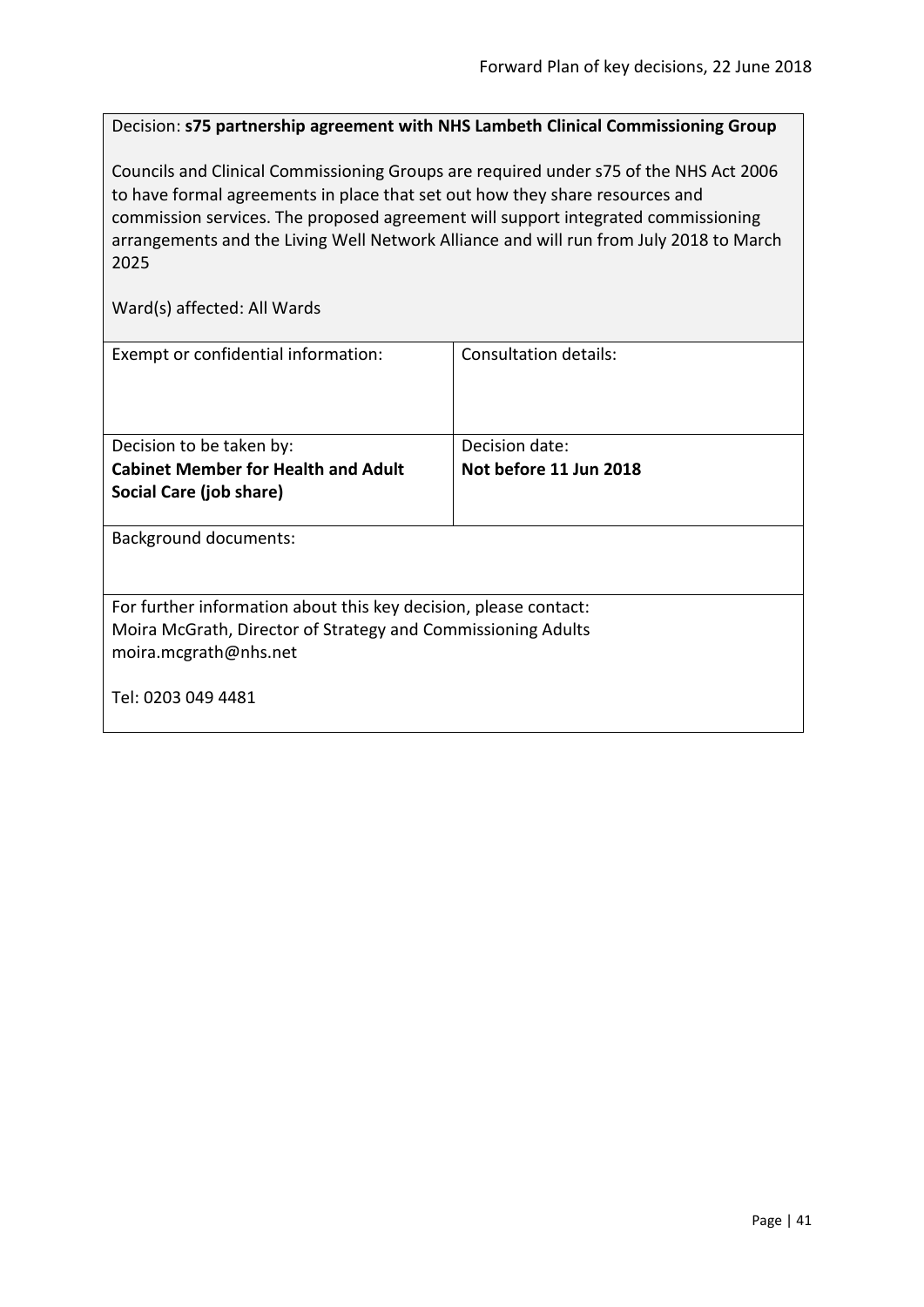Decision: **s75 partnership agreement with NHS Lambeth Clinical Commissioning Group**

Councils and Clinical Commissioning Groups are required under s75 of the NHS Act 2006 to have formal agreements in place that set out how they share resources and commission services. The proposed agreement will support integrated commissioning arrangements and the Living Well Network Alliance and will run from July 2018 to March 2025

| Exempt or confidential information:                                                                                                                       | Consultation details:  |  |
|-----------------------------------------------------------------------------------------------------------------------------------------------------------|------------------------|--|
| Decision to be taken by:                                                                                                                                  | Decision date:         |  |
| <b>Cabinet Member for Health and Adult</b>                                                                                                                | Not before 11 Jun 2018 |  |
| Social Care (job share)                                                                                                                                   |                        |  |
| <b>Background documents:</b>                                                                                                                              |                        |  |
| For further information about this key decision, please contact:<br>Moira McGrath, Director of Strategy and Commissioning Adults<br>moira.mcgrath@nhs.net |                        |  |
| Tel: 0203 049 4481                                                                                                                                        |                        |  |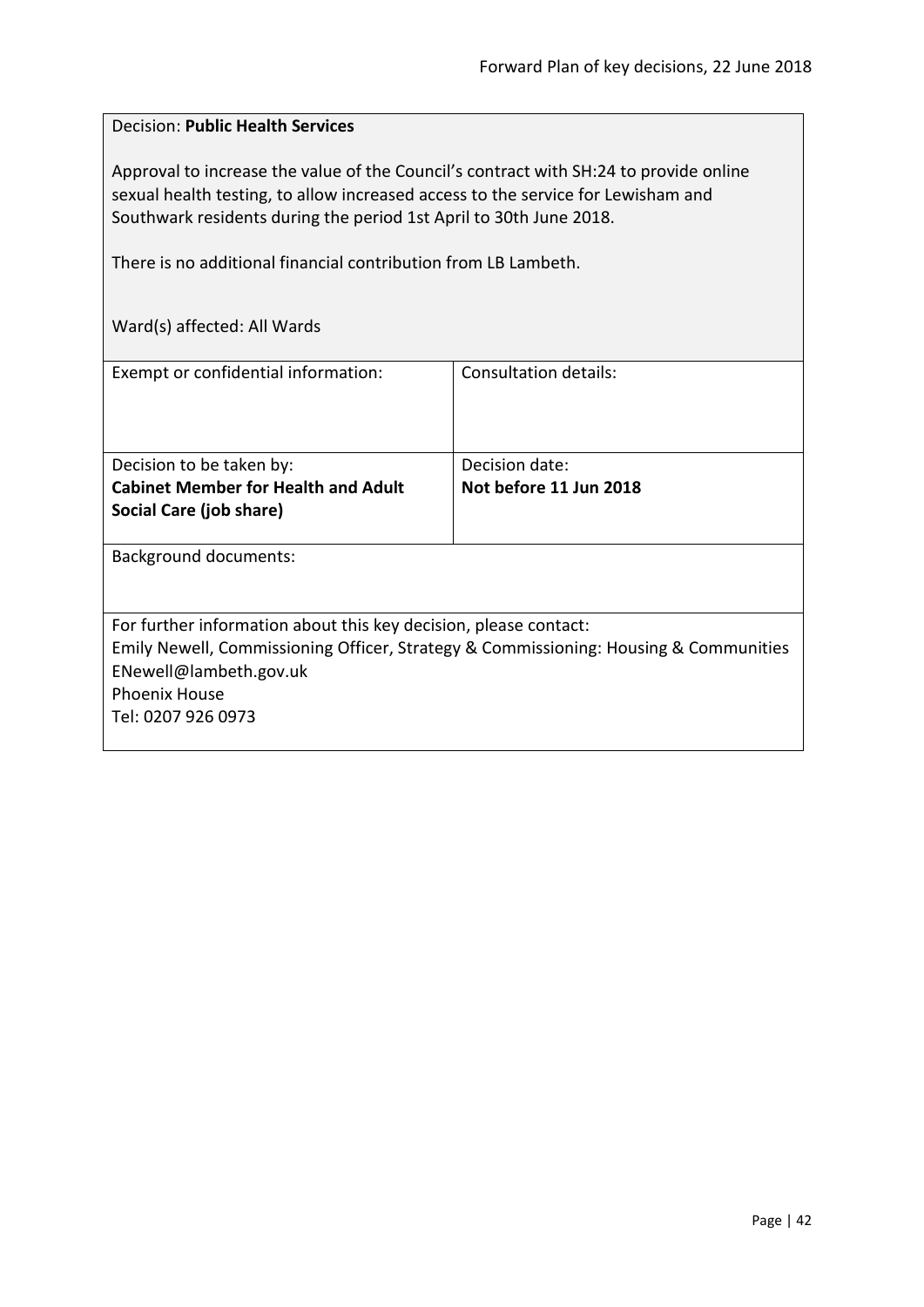# Decision: **Public Health Services**

Approval to increase the value of the Council's contract with SH:24 to provide online sexual health testing, to allow increased access to the service for Lewisham and Southwark residents during the period 1st April to 30th June 2018.

There is no additional financial contribution from LB Lambeth.

| Exempt or confidential information:                                                  | Consultation details:  |
|--------------------------------------------------------------------------------------|------------------------|
|                                                                                      |                        |
|                                                                                      |                        |
|                                                                                      |                        |
|                                                                                      |                        |
| Decision to be taken by:                                                             | Decision date:         |
| <b>Cabinet Member for Health and Adult</b>                                           | Not before 11 Jun 2018 |
| Social Care (job share)                                                              |                        |
|                                                                                      |                        |
|                                                                                      |                        |
| <b>Background documents:</b>                                                         |                        |
|                                                                                      |                        |
|                                                                                      |                        |
| For further information about this key decision, please contact:                     |                        |
| Emily Newell, Commissioning Officer, Strategy & Commissioning: Housing & Communities |                        |
| ENewell@lambeth.gov.uk                                                               |                        |
|                                                                                      |                        |
| <b>Phoenix House</b>                                                                 |                        |
| Tel: 0207 926 0973                                                                   |                        |
|                                                                                      |                        |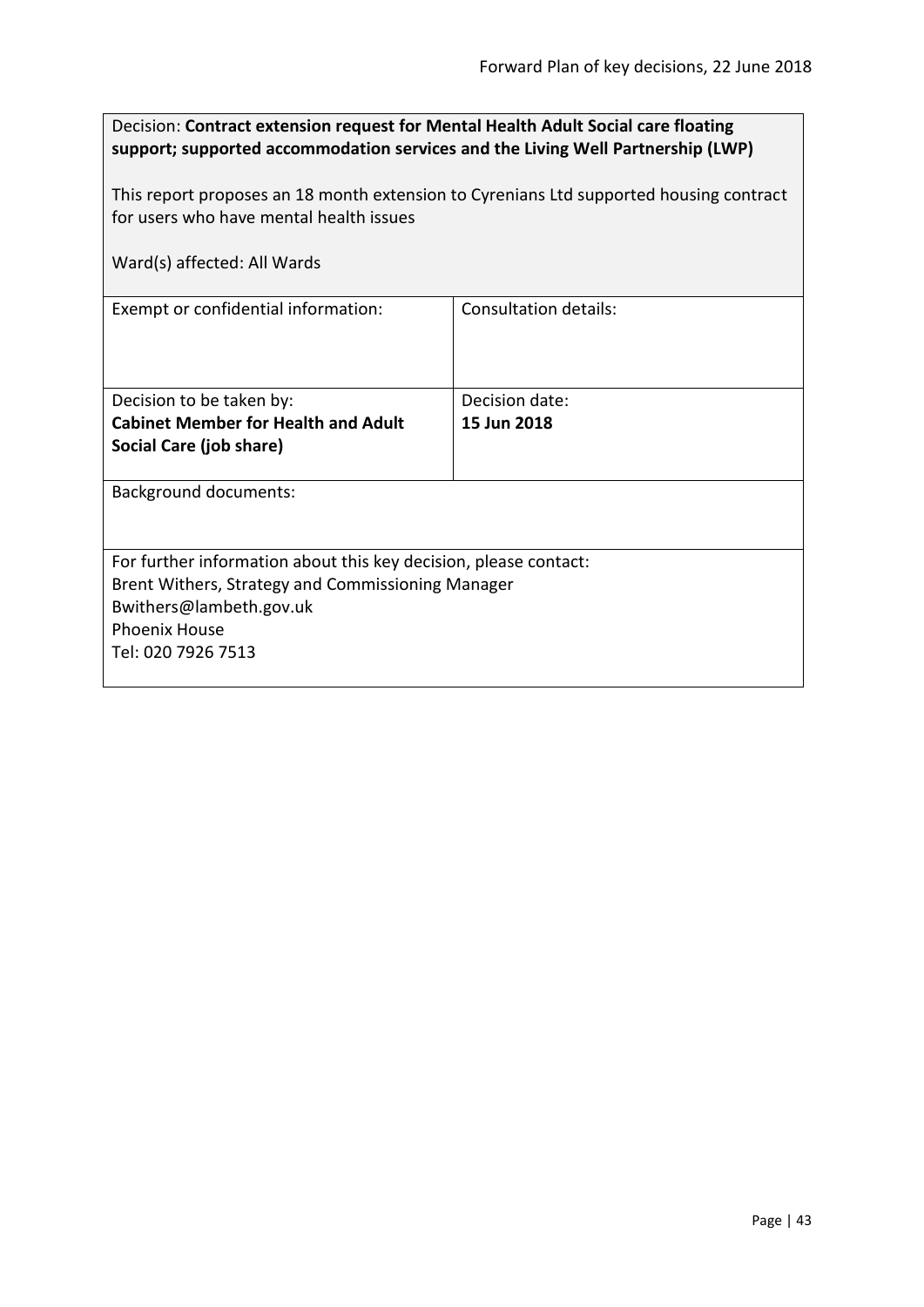| Decision: Contract extension request for Mental Health Adult Social care floating<br>support; supported accommodation services and the Living Well Partnership (LWP)<br>This report proposes an 18 month extension to Cyrenians Ltd supported housing contract<br>for users who have mental health issues |                              |  |
|-----------------------------------------------------------------------------------------------------------------------------------------------------------------------------------------------------------------------------------------------------------------------------------------------------------|------------------------------|--|
| Ward(s) affected: All Wards                                                                                                                                                                                                                                                                               |                              |  |
| Exempt or confidential information:                                                                                                                                                                                                                                                                       | <b>Consultation details:</b> |  |
| Decision to be taken by:                                                                                                                                                                                                                                                                                  | Decision date:               |  |
| <b>Cabinet Member for Health and Adult</b><br>Social Care (job share)                                                                                                                                                                                                                                     | 15 Jun 2018                  |  |
| <b>Background documents:</b>                                                                                                                                                                                                                                                                              |                              |  |
| For further information about this key decision, please contact:<br>Brent Withers, Strategy and Commissioning Manager<br>Bwithers@lambeth.gov.uk<br><b>Phoenix House</b><br>Tel: 020 7926 7513                                                                                                            |                              |  |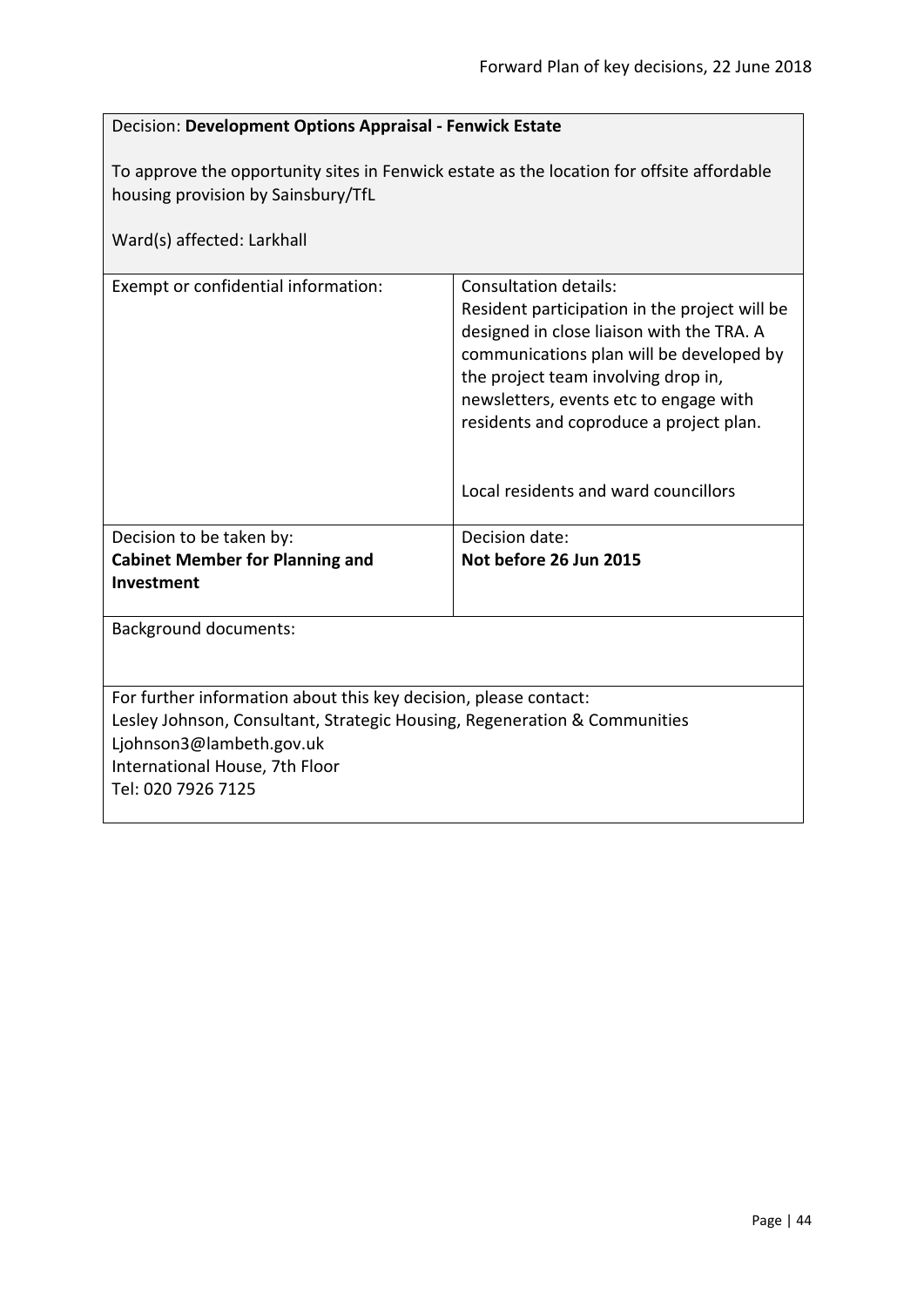| Decision: Development Options Appraisal - Fenwick Estate                                                                                                                                                                          |                                                                                                                                                                                                                                                                                                                                            |  |
|-----------------------------------------------------------------------------------------------------------------------------------------------------------------------------------------------------------------------------------|--------------------------------------------------------------------------------------------------------------------------------------------------------------------------------------------------------------------------------------------------------------------------------------------------------------------------------------------|--|
| To approve the opportunity sites in Fenwick estate as the location for offsite affordable<br>housing provision by Sainsbury/TfL<br>Ward(s) affected: Larkhall                                                                     |                                                                                                                                                                                                                                                                                                                                            |  |
| Exempt or confidential information:                                                                                                                                                                                               | <b>Consultation details:</b><br>Resident participation in the project will be<br>designed in close liaison with the TRA. A<br>communications plan will be developed by<br>the project team involving drop in,<br>newsletters, events etc to engage with<br>residents and coproduce a project plan.<br>Local residents and ward councillors |  |
| Decision to be taken by:<br><b>Cabinet Member for Planning and</b><br>Investment                                                                                                                                                  | Decision date:<br>Not before 26 Jun 2015                                                                                                                                                                                                                                                                                                   |  |
| <b>Background documents:</b>                                                                                                                                                                                                      |                                                                                                                                                                                                                                                                                                                                            |  |
| For further information about this key decision, please contact:<br>Lesley Johnson, Consultant, Strategic Housing, Regeneration & Communities<br>Ljohnson3@lambeth.gov.uk<br>International House, 7th Floor<br>Tel: 020 7926 7125 |                                                                                                                                                                                                                                                                                                                                            |  |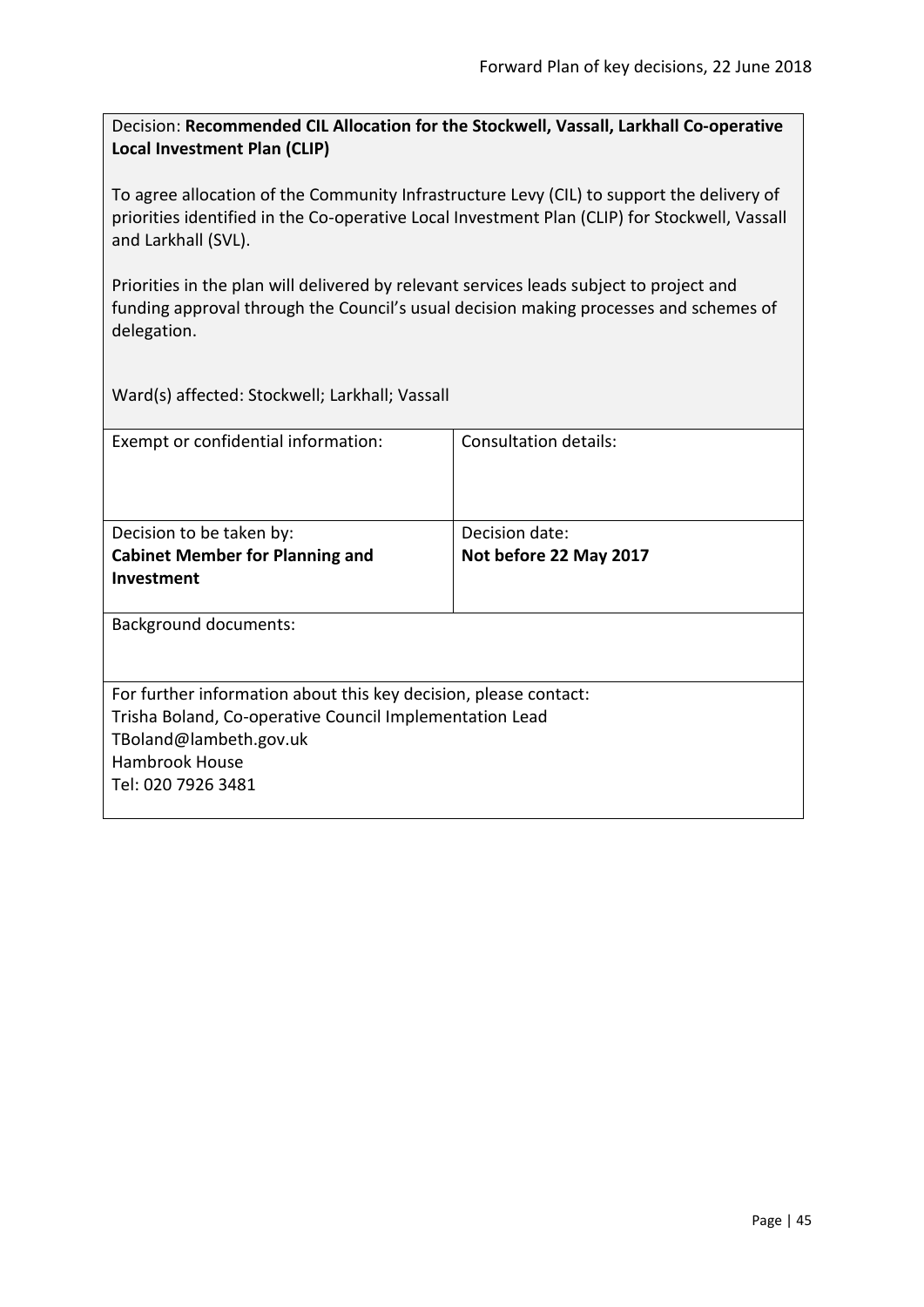Decision: **Recommended CIL Allocation for the Stockwell, Vassall, Larkhall Co-operative Local Investment Plan (CLIP)**

To agree allocation of the Community Infrastructure Levy (CIL) to support the delivery of priorities identified in the Co-operative Local Investment Plan (CLIP) for Stockwell, Vassall and Larkhall (SVL).

Priorities in the plan will delivered by relevant services leads subject to project and funding approval through the Council's usual decision making processes and schemes of delegation.

Ward(s) affected: Stockwell; Larkhall; Vassall

| Exempt or confidential information:                              | Consultation details:  |
|------------------------------------------------------------------|------------------------|
| Decision to be taken by:                                         | Decision date:         |
| <b>Cabinet Member for Planning and</b>                           | Not before 22 May 2017 |
| <b>Investment</b>                                                |                        |
| Background documents:                                            |                        |
| For further information about this key decision, please contact: |                        |
| Trisha Boland, Co-operative Council Implementation Lead          |                        |
| TBoland@lambeth.gov.uk                                           |                        |
| <b>Hambrook House</b>                                            |                        |
| Tel: 020 7926 3481                                               |                        |
|                                                                  |                        |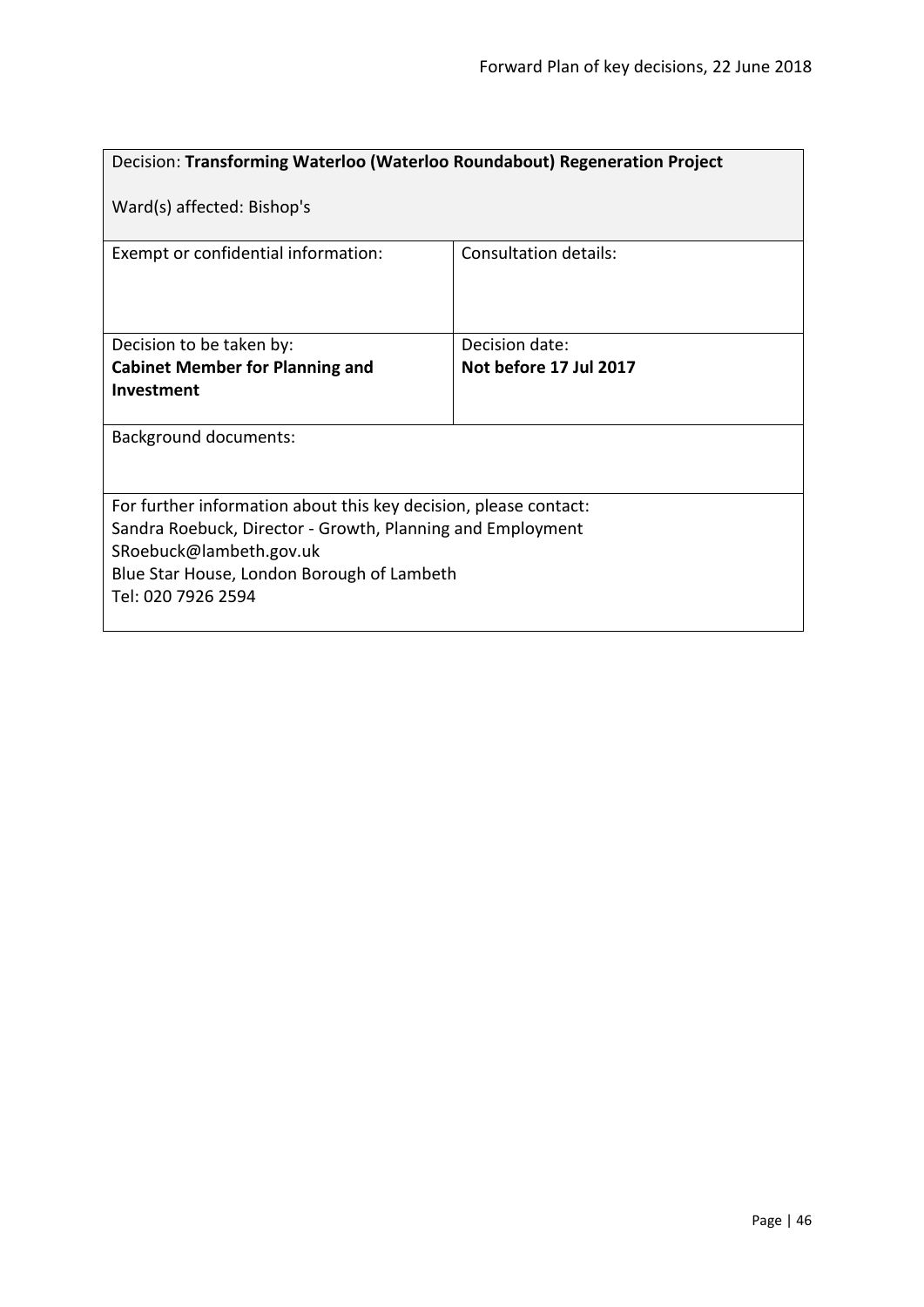| Decision: Transforming Waterloo (Waterloo Roundabout) Regeneration Project                                                                                                                                                    |                              |  |
|-------------------------------------------------------------------------------------------------------------------------------------------------------------------------------------------------------------------------------|------------------------------|--|
| Ward(s) affected: Bishop's                                                                                                                                                                                                    |                              |  |
| Exempt or confidential information:                                                                                                                                                                                           | <b>Consultation details:</b> |  |
| Decision to be taken by:                                                                                                                                                                                                      | Decision date:               |  |
| <b>Cabinet Member for Planning and</b>                                                                                                                                                                                        | Not before 17 Jul 2017       |  |
| Investment                                                                                                                                                                                                                    |                              |  |
| <b>Background documents:</b>                                                                                                                                                                                                  |                              |  |
| For further information about this key decision, please contact:<br>Sandra Roebuck, Director - Growth, Planning and Employment<br>SRoebuck@lambeth.gov.uk<br>Blue Star House, London Borough of Lambeth<br>Tel: 020 7926 2594 |                              |  |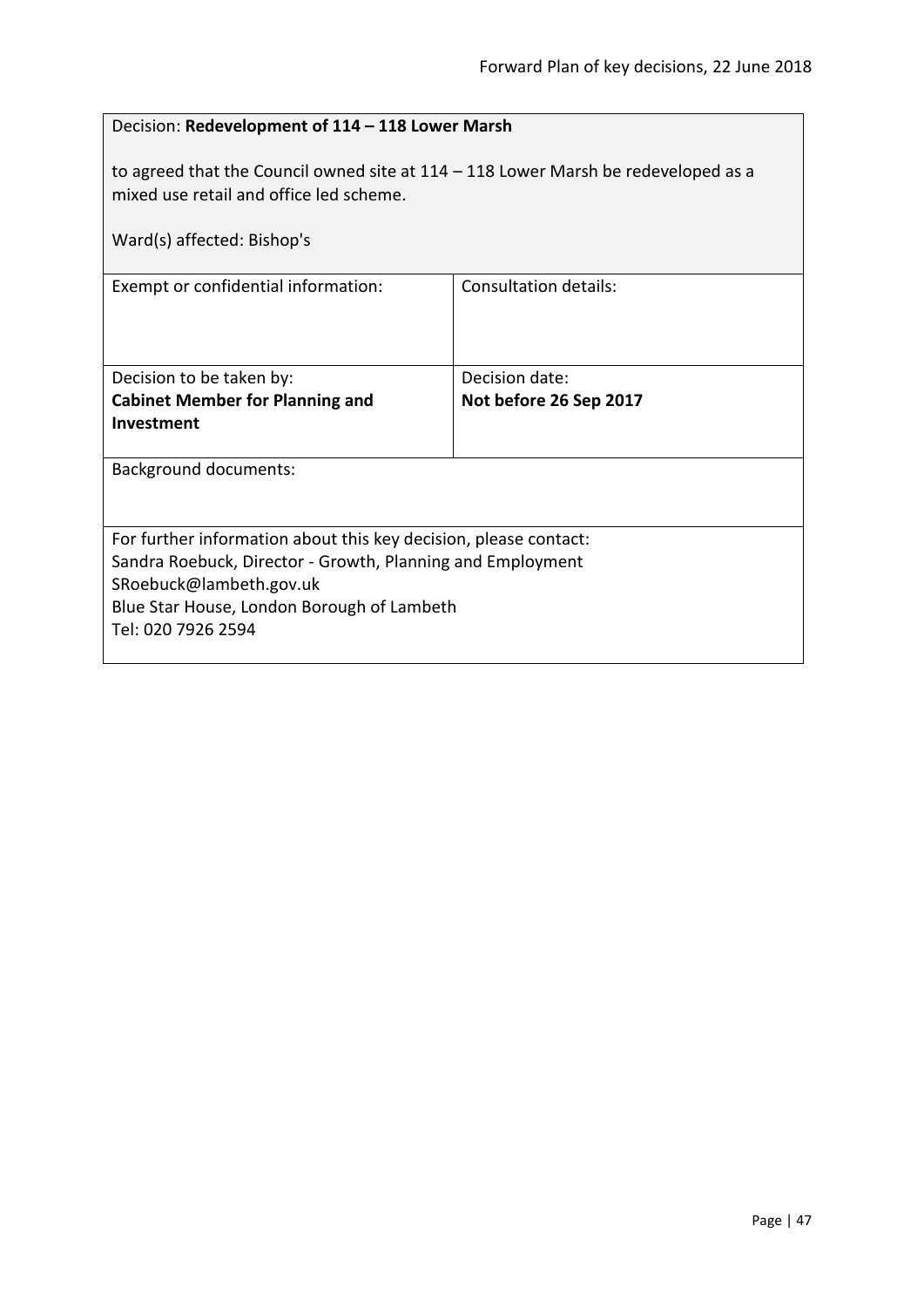| Decision: Redevelopment of 114 - 118 Lower Marsh                                                                                                              |                        |  |
|---------------------------------------------------------------------------------------------------------------------------------------------------------------|------------------------|--|
| to agreed that the Council owned site at $114 - 118$ Lower Marsh be redeveloped as a<br>mixed use retail and office led scheme.<br>Ward(s) affected: Bishop's |                        |  |
| Exempt or confidential information:                                                                                                                           | Consultation details:  |  |
|                                                                                                                                                               |                        |  |
| Decision to be taken by:                                                                                                                                      | Decision date:         |  |
| <b>Cabinet Member for Planning and</b>                                                                                                                        | Not before 26 Sep 2017 |  |
| Investment                                                                                                                                                    |                        |  |
| <b>Background documents:</b>                                                                                                                                  |                        |  |
|                                                                                                                                                               |                        |  |
| For further information about this key decision, please contact:                                                                                              |                        |  |
| Sandra Roebuck, Director - Growth, Planning and Employment                                                                                                    |                        |  |
| SRoebuck@lambeth.gov.uk<br>Blue Star House, London Borough of Lambeth                                                                                         |                        |  |
| Tel: 020 7926 2594                                                                                                                                            |                        |  |
|                                                                                                                                                               |                        |  |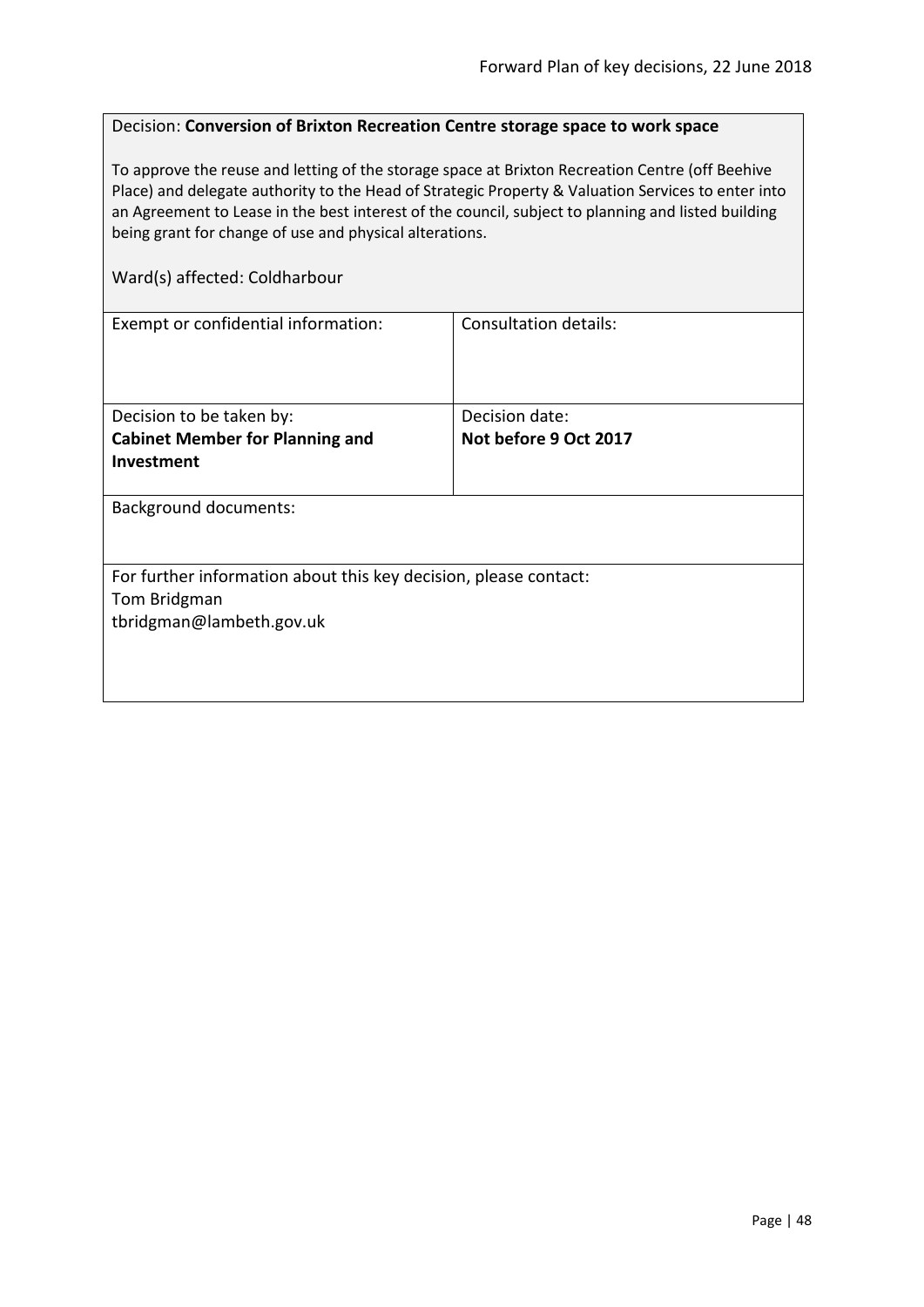# Decision: **Conversion of Brixton Recreation Centre storage space to work space**

To approve the reuse and letting of the storage space at Brixton Recreation Centre (off Beehive Place) and delegate authority to the Head of Strategic Property & Valuation Services to enter into an Agreement to Lease in the best interest of the council, subject to planning and listed building being grant for change of use and physical alterations.

#### Ward(s) affected: Coldharbour

| Exempt or confidential information:                              | <b>Consultation details:</b> |  |
|------------------------------------------------------------------|------------------------------|--|
|                                                                  |                              |  |
|                                                                  |                              |  |
|                                                                  |                              |  |
| Decision to be taken by:                                         | Decision date:               |  |
| <b>Cabinet Member for Planning and</b>                           | Not before 9 Oct 2017        |  |
| Investment                                                       |                              |  |
|                                                                  |                              |  |
| <b>Background documents:</b>                                     |                              |  |
|                                                                  |                              |  |
|                                                                  |                              |  |
| For further information about this key decision, please contact: |                              |  |
| Tom Bridgman                                                     |                              |  |
| tbridgman@lambeth.gov.uk                                         |                              |  |
|                                                                  |                              |  |
|                                                                  |                              |  |
|                                                                  |                              |  |
|                                                                  |                              |  |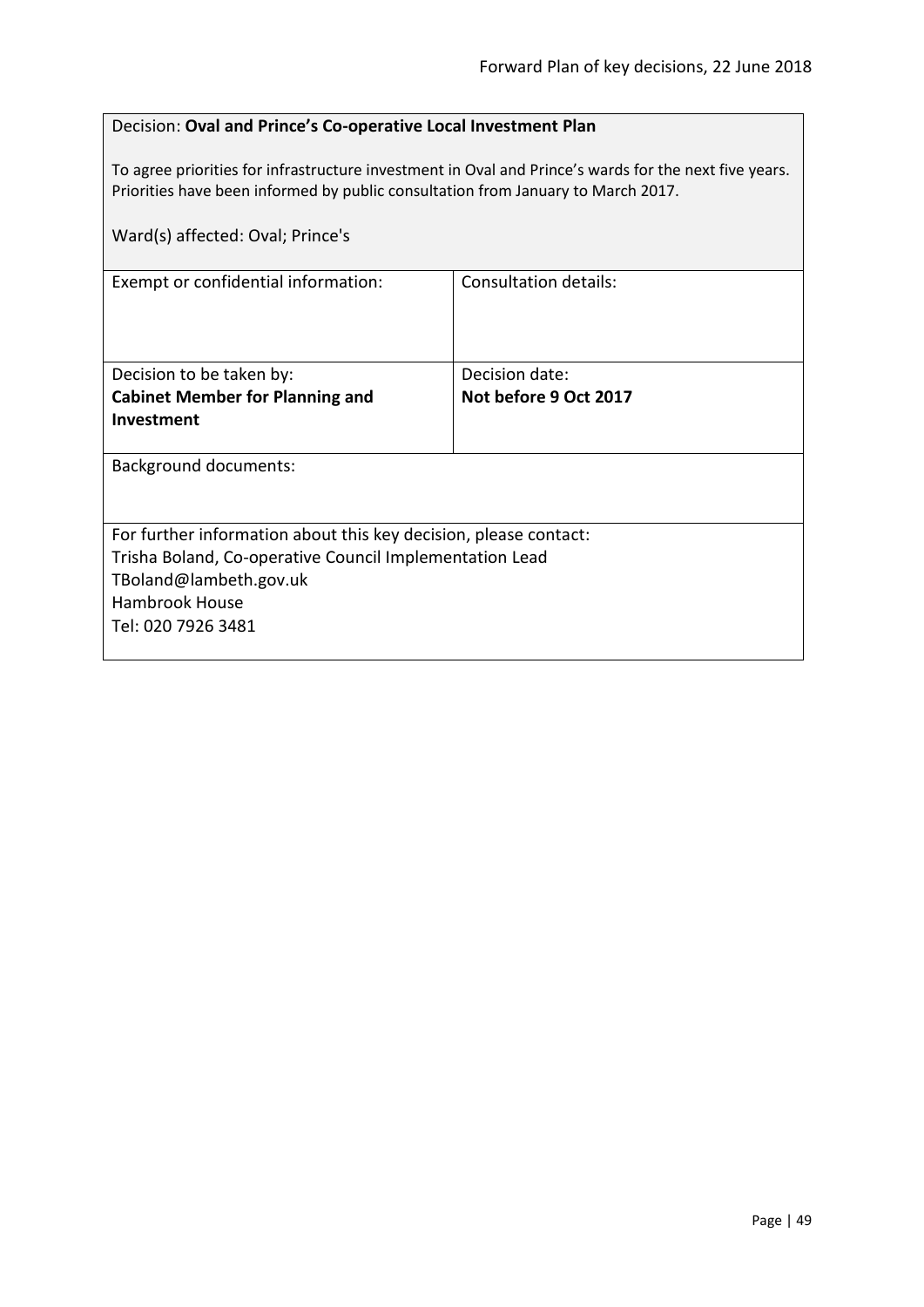### Decision: **Oval and Prince's Co-operative Local Investment Plan**

To agree priorities for infrastructure investment in Oval and Prince's wards for the next five years. Priorities have been informed by public consultation from January to March 2017.

| Ward(s) affected: Oval; Prince's                                 |                              |  |
|------------------------------------------------------------------|------------------------------|--|
| Exempt or confidential information:                              | <b>Consultation details:</b> |  |
| Decision to be taken by:                                         | Decision date:               |  |
| <b>Cabinet Member for Planning and</b>                           | Not before 9 Oct 2017        |  |
| Investment                                                       |                              |  |
| <b>Background documents:</b>                                     |                              |  |
| For further information about this key decision, please contact: |                              |  |
| Trisha Boland, Co-operative Council Implementation Lead          |                              |  |
| TBoland@lambeth.gov.uk                                           |                              |  |
| Hambrook House                                                   |                              |  |
| Tel: 020 7926 3481                                               |                              |  |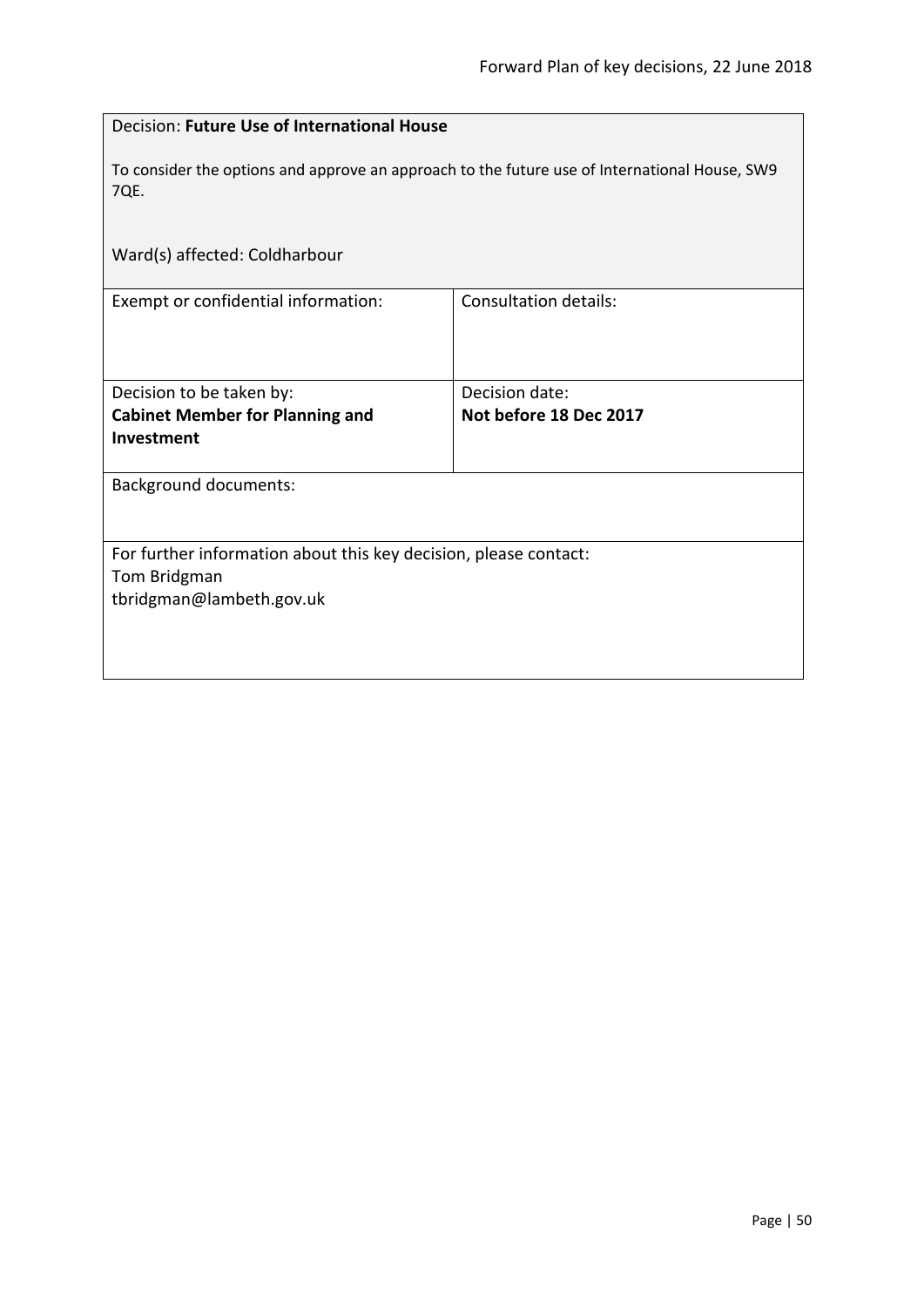| Decision: Future Use of International House                                                                  |                              |  |
|--------------------------------------------------------------------------------------------------------------|------------------------------|--|
| To consider the options and approve an approach to the future use of International House, SW9<br>7QE.        |                              |  |
| Ward(s) affected: Coldharbour                                                                                |                              |  |
| Exempt or confidential information:                                                                          | <b>Consultation details:</b> |  |
| Decision to be taken by:                                                                                     | Decision date:               |  |
| <b>Cabinet Member for Planning and</b>                                                                       | Not before 18 Dec 2017       |  |
| Investment                                                                                                   |                              |  |
| <b>Background documents:</b>                                                                                 |                              |  |
| For further information about this key decision, please contact:<br>Tom Bridgman<br>tbridgman@lambeth.gov.uk |                              |  |
|                                                                                                              |                              |  |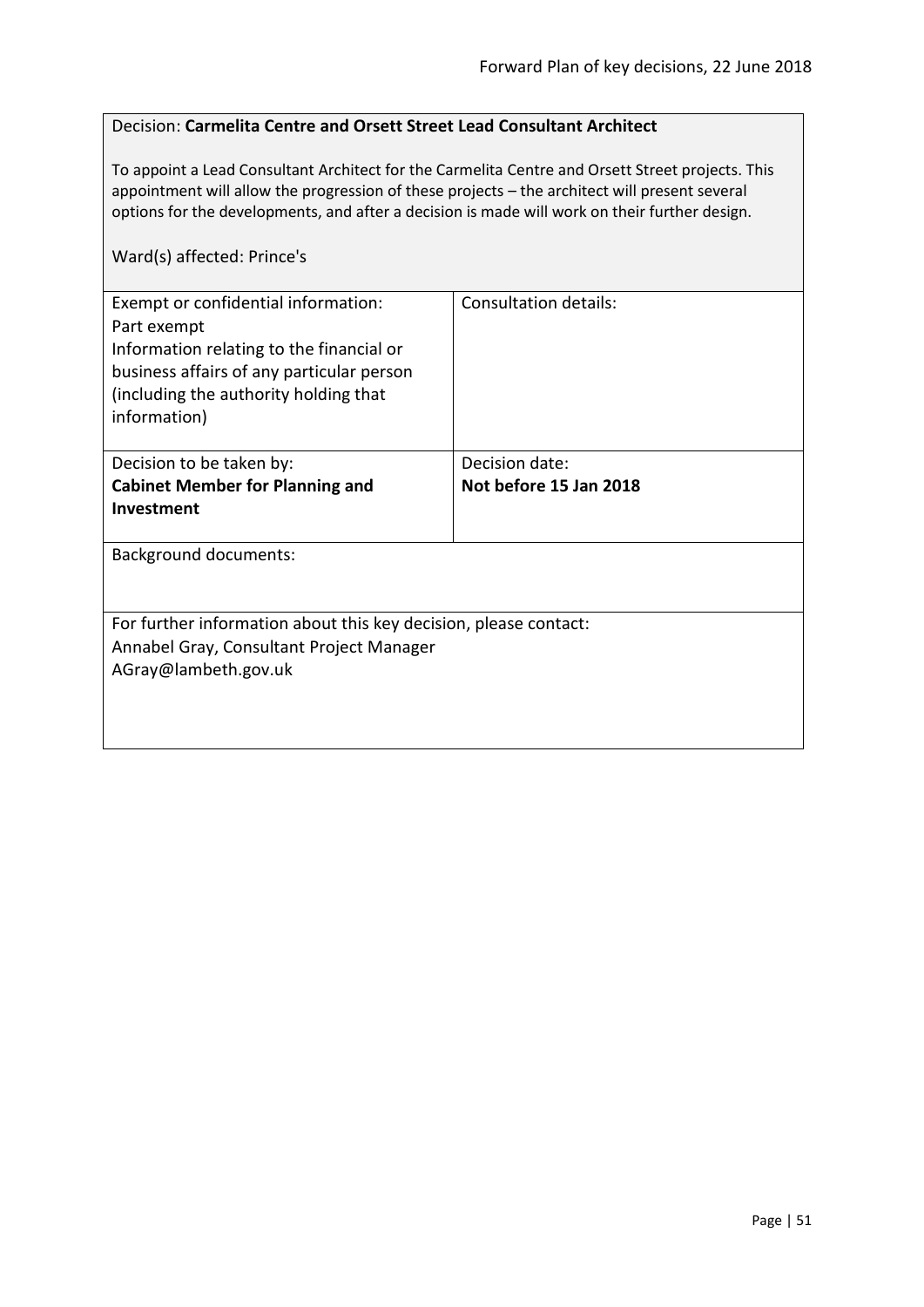### Decision: **Carmelita Centre and Orsett Street Lead Consultant Architect**

To appoint a Lead Consultant Architect for the Carmelita Centre and Orsett Street projects. This appointment will allow the progression of these projects – the architect will present several options for the developments, and after a decision is made will work on their further design.

### Ward(s) affected: Prince's

| Exempt or confidential information:<br>Part exempt<br>Information relating to the financial or<br>business affairs of any particular person<br>(including the authority holding that<br>information) | Consultation details:  |
|------------------------------------------------------------------------------------------------------------------------------------------------------------------------------------------------------|------------------------|
|                                                                                                                                                                                                      |                        |
| Decision to be taken by:                                                                                                                                                                             | Decision date:         |
| <b>Cabinet Member for Planning and</b>                                                                                                                                                               | Not before 15 Jan 2018 |
| <b>Investment</b>                                                                                                                                                                                    |                        |
|                                                                                                                                                                                                      |                        |
| <b>Background documents:</b>                                                                                                                                                                         |                        |
| For further information about this key decision, please contact:                                                                                                                                     |                        |
| Annabel Gray, Consultant Project Manager                                                                                                                                                             |                        |
| AGray@lambeth.gov.uk                                                                                                                                                                                 |                        |
|                                                                                                                                                                                                      |                        |
|                                                                                                                                                                                                      |                        |
|                                                                                                                                                                                                      |                        |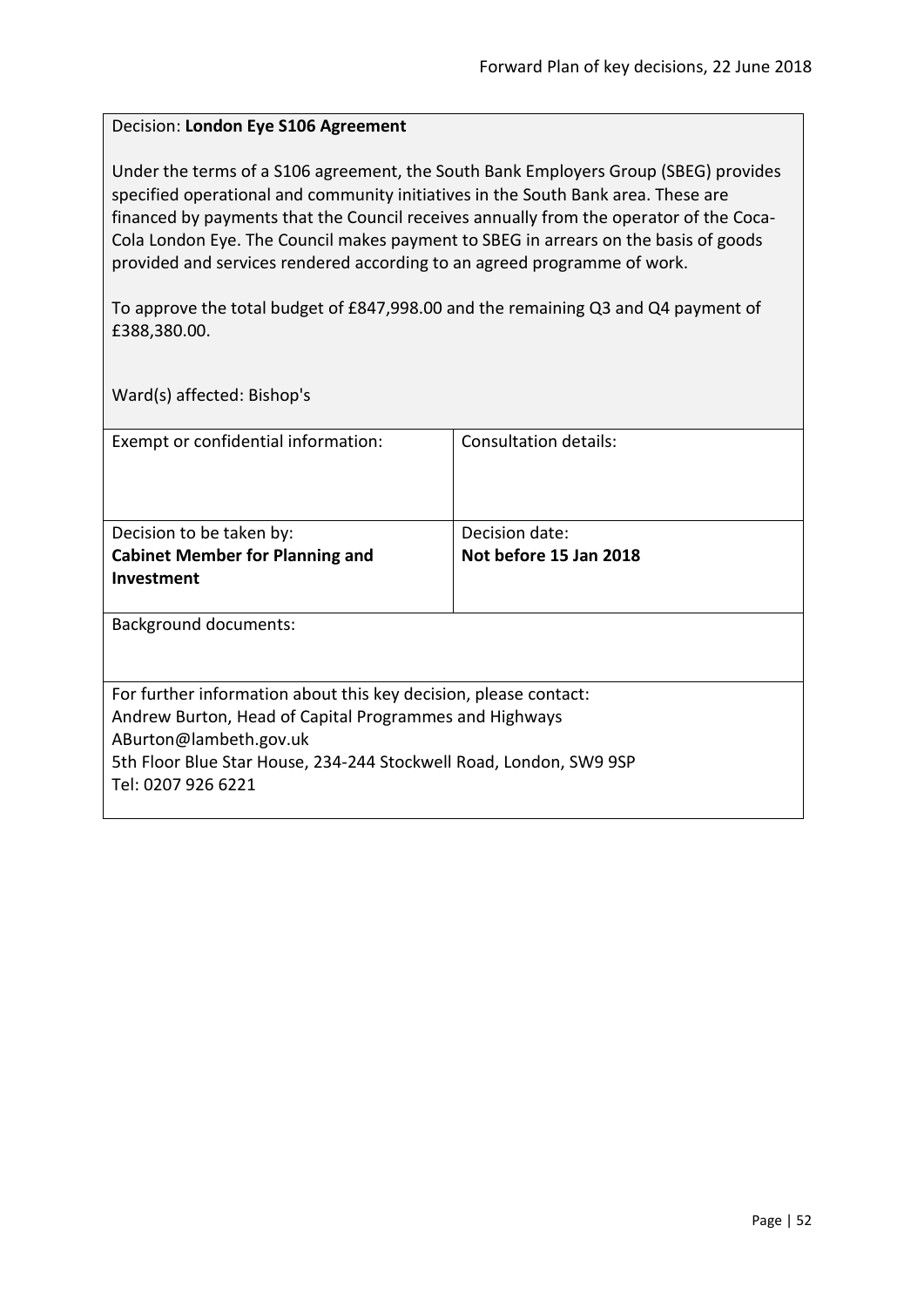### Decision: **London Eye S106 Agreement**

Under the terms of a S106 agreement, the South Bank Employers Group (SBEG) provides specified operational and community initiatives in the South Bank area. These are financed by payments that the Council receives annually from the operator of the Coca-Cola London Eye. The Council makes payment to SBEG in arrears on the basis of goods provided and services rendered according to an agreed programme of work.

To approve the total budget of £847,998.00 and the remaining Q3 and Q4 payment of £388,380.00.

Ward(s) affected: Bishop's

| Exempt or confidential information:                                | Consultation details:  |
|--------------------------------------------------------------------|------------------------|
| Decision to be taken by:                                           | Decision date:         |
| <b>Cabinet Member for Planning and</b>                             | Not before 15 Jan 2018 |
| Investment                                                         |                        |
| Background documents:                                              |                        |
| For further information about this key decision, please contact:   |                        |
| Andrew Burton, Head of Capital Programmes and Highways             |                        |
| ABurton@lambeth.gov.uk                                             |                        |
| 5th Floor Blue Star House, 234-244 Stockwell Road, London, SW9 9SP |                        |
| Tel: 0207 926 6221                                                 |                        |
|                                                                    |                        |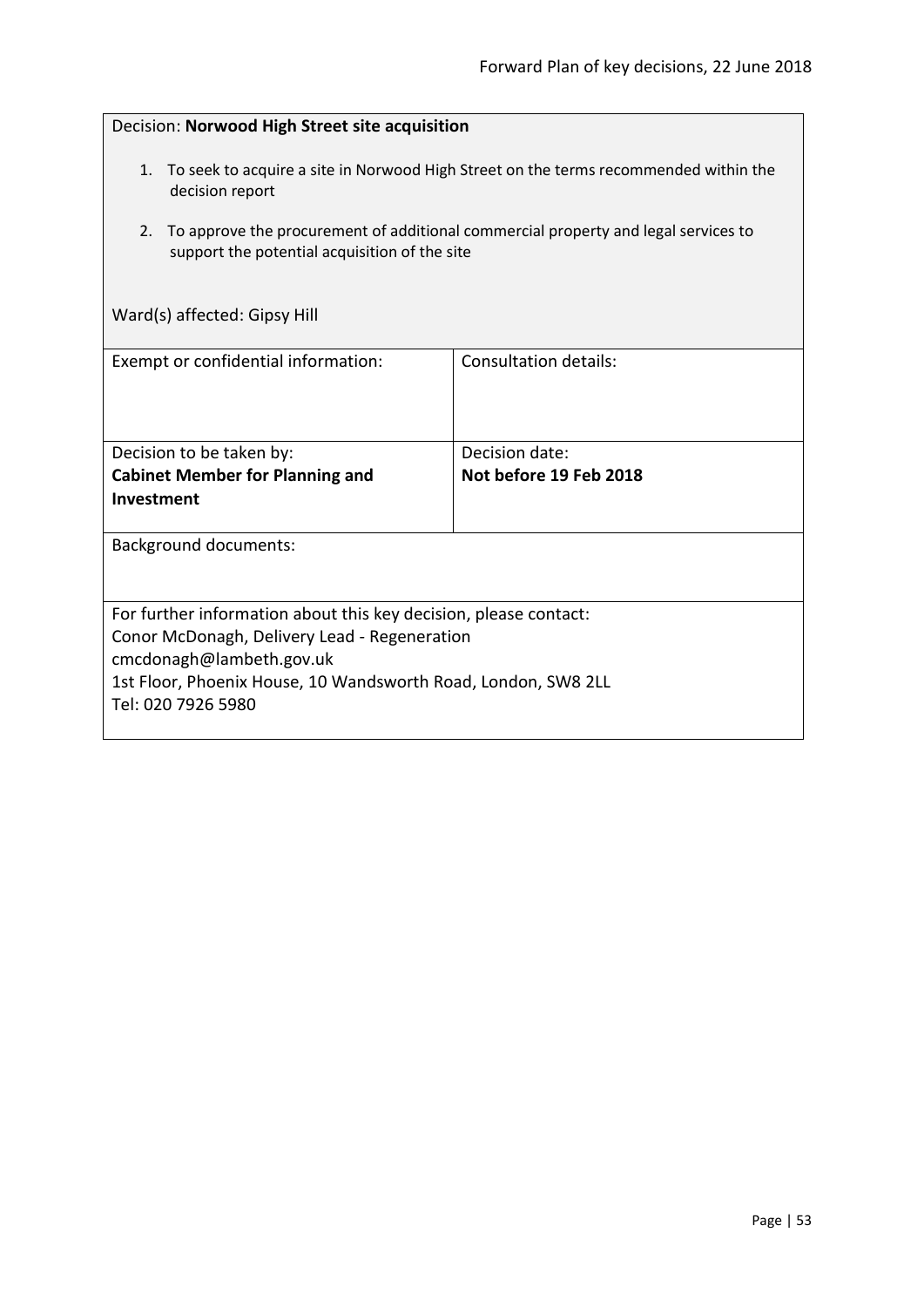| Decision: Norwood High Street site acquisition                                                                                                                                                                                      |                              |  |
|-------------------------------------------------------------------------------------------------------------------------------------------------------------------------------------------------------------------------------------|------------------------------|--|
| To seek to acquire a site in Norwood High Street on the terms recommended within the<br>1.<br>decision report                                                                                                                       |                              |  |
| To approve the procurement of additional commercial property and legal services to<br>2.<br>support the potential acquisition of the site                                                                                           |                              |  |
| Ward(s) affected: Gipsy Hill                                                                                                                                                                                                        |                              |  |
| Exempt or confidential information:                                                                                                                                                                                                 | <b>Consultation details:</b> |  |
| Decision to be taken by:                                                                                                                                                                                                            | Decision date:               |  |
| <b>Cabinet Member for Planning and</b><br>Investment                                                                                                                                                                                | Not before 19 Feb 2018       |  |
| <b>Background documents:</b>                                                                                                                                                                                                        |                              |  |
| For further information about this key decision, please contact:<br>Conor McDonagh, Delivery Lead - Regeneration<br>cmcdonagh@lambeth.gov.uk<br>1st Floor, Phoenix House, 10 Wandsworth Road, London, SW8 2LL<br>Tel: 020 7926 5980 |                              |  |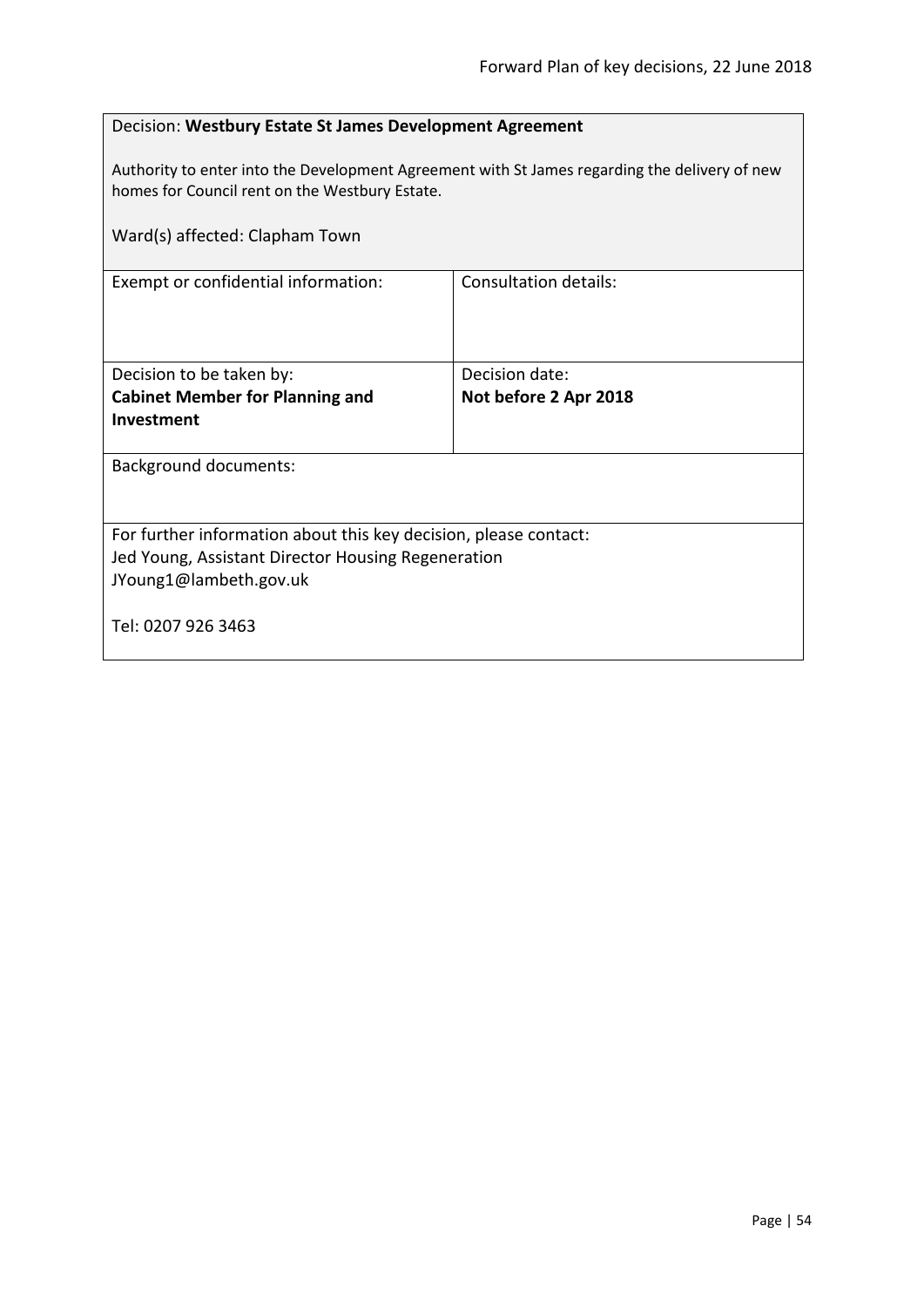| Decision: Westbury Estate St James Development Agreement                                                                                        |                       |
|-------------------------------------------------------------------------------------------------------------------------------------------------|-----------------------|
| Authority to enter into the Development Agreement with St James regarding the delivery of new<br>homes for Council rent on the Westbury Estate. |                       |
| Ward(s) affected: Clapham Town                                                                                                                  |                       |
| Exempt or confidential information:                                                                                                             | Consultation details: |
| Decision to be taken by:                                                                                                                        | Decision date:        |
| <b>Cabinet Member for Planning and</b>                                                                                                          | Not before 2 Apr 2018 |
| Investment                                                                                                                                      |                       |
| <b>Background documents:</b>                                                                                                                    |                       |
| For further information about this key decision, please contact:                                                                                |                       |
| Jed Young, Assistant Director Housing Regeneration<br>JYoung1@lambeth.gov.uk                                                                    |                       |
| Tel: 0207 926 3463                                                                                                                              |                       |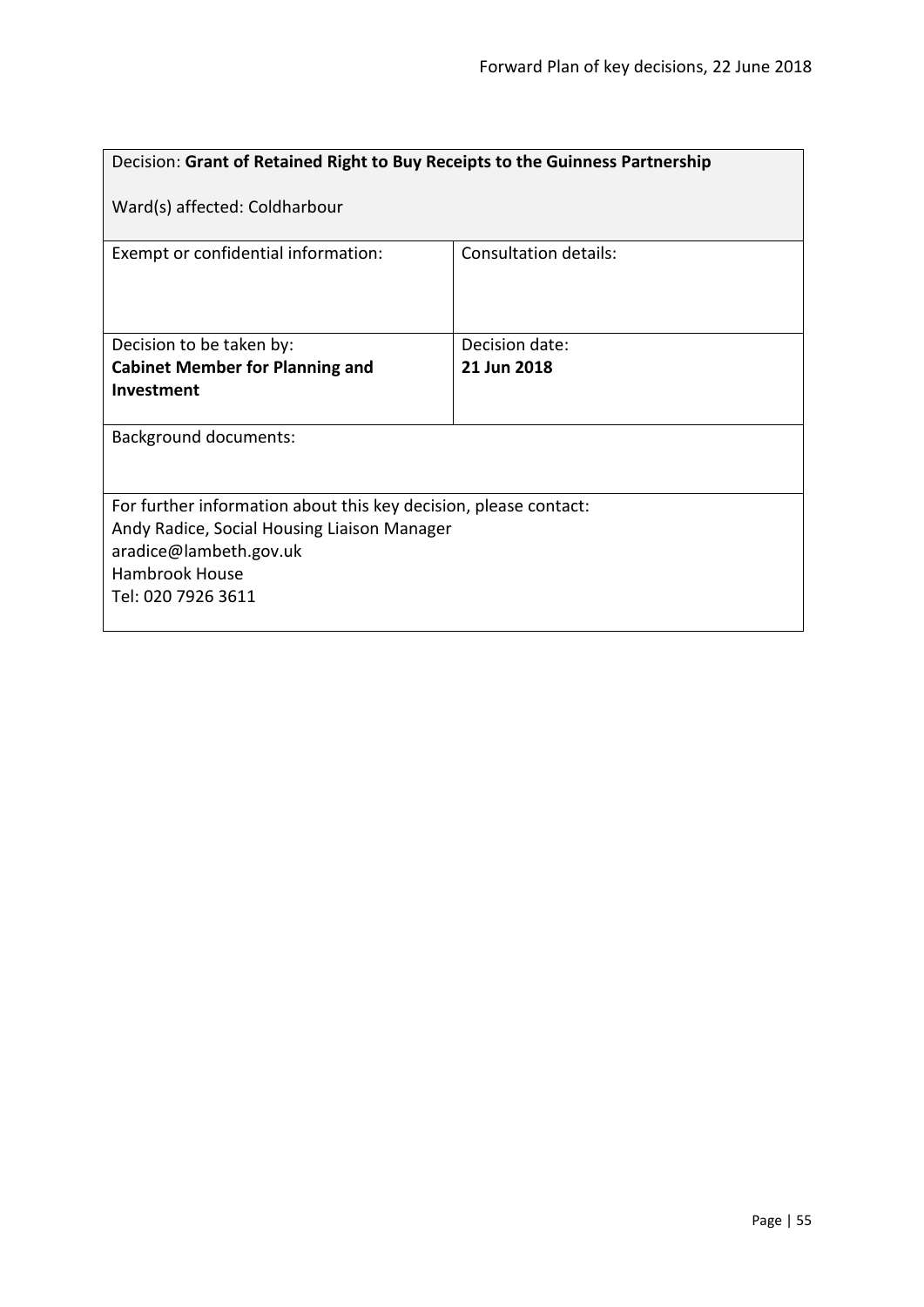| Decision: Grant of Retained Right to Buy Receipts to the Guinness Partnership                                                                                                            |                              |  |
|------------------------------------------------------------------------------------------------------------------------------------------------------------------------------------------|------------------------------|--|
| Ward(s) affected: Coldharbour                                                                                                                                                            |                              |  |
| Exempt or confidential information:                                                                                                                                                      | <b>Consultation details:</b> |  |
| Decision to be taken by:                                                                                                                                                                 | Decision date:               |  |
| <b>Cabinet Member for Planning and</b>                                                                                                                                                   | 21 Jun 2018                  |  |
| Investment                                                                                                                                                                               |                              |  |
| <b>Background documents:</b>                                                                                                                                                             |                              |  |
| For further information about this key decision, please contact:<br>Andy Radice, Social Housing Liaison Manager<br>aradice@lambeth.gov.uk<br><b>Hambrook House</b><br>Tel: 020 7926 3611 |                              |  |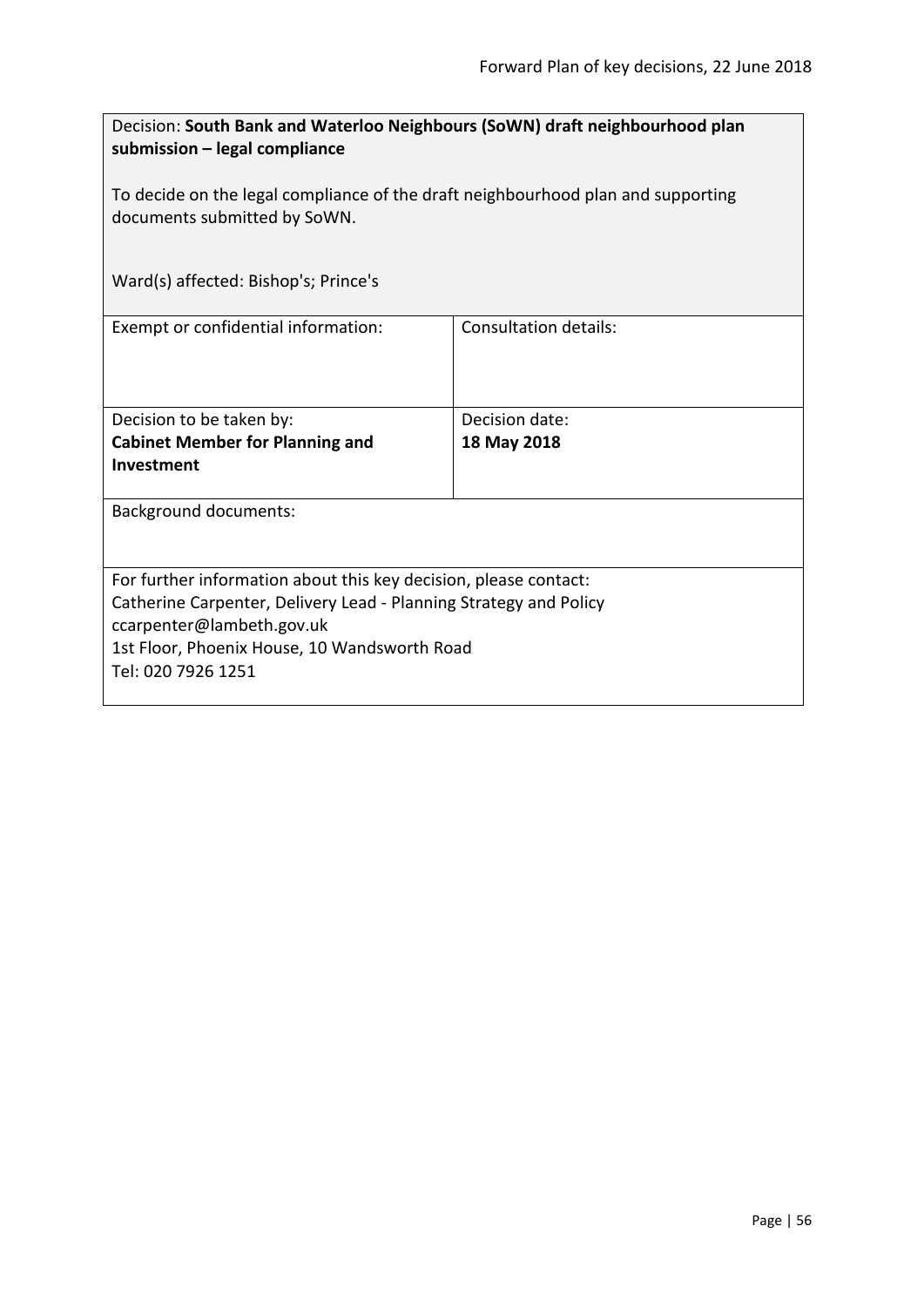| Decision: South Bank and Waterloo Neighbours (SoWN) draft neighbourhood plan<br>submission - legal compliance    |                       |  |
|------------------------------------------------------------------------------------------------------------------|-----------------------|--|
| To decide on the legal compliance of the draft neighbourhood plan and supporting<br>documents submitted by SoWN. |                       |  |
| Ward(s) affected: Bishop's; Prince's                                                                             |                       |  |
| Exempt or confidential information:                                                                              | Consultation details: |  |
| Decision to be taken by:                                                                                         | Decision date:        |  |
| <b>Cabinet Member for Planning and</b><br>Investment                                                             | 18 May 2018           |  |
| <b>Background documents:</b>                                                                                     |                       |  |
| For further information about this key decision, please contact:                                                 |                       |  |
| Catherine Carpenter, Delivery Lead - Planning Strategy and Policy<br>ccarpenter@lambeth.gov.uk                   |                       |  |
| 1st Floor, Phoenix House, 10 Wandsworth Road                                                                     |                       |  |
| Tel: 020 7926 1251                                                                                               |                       |  |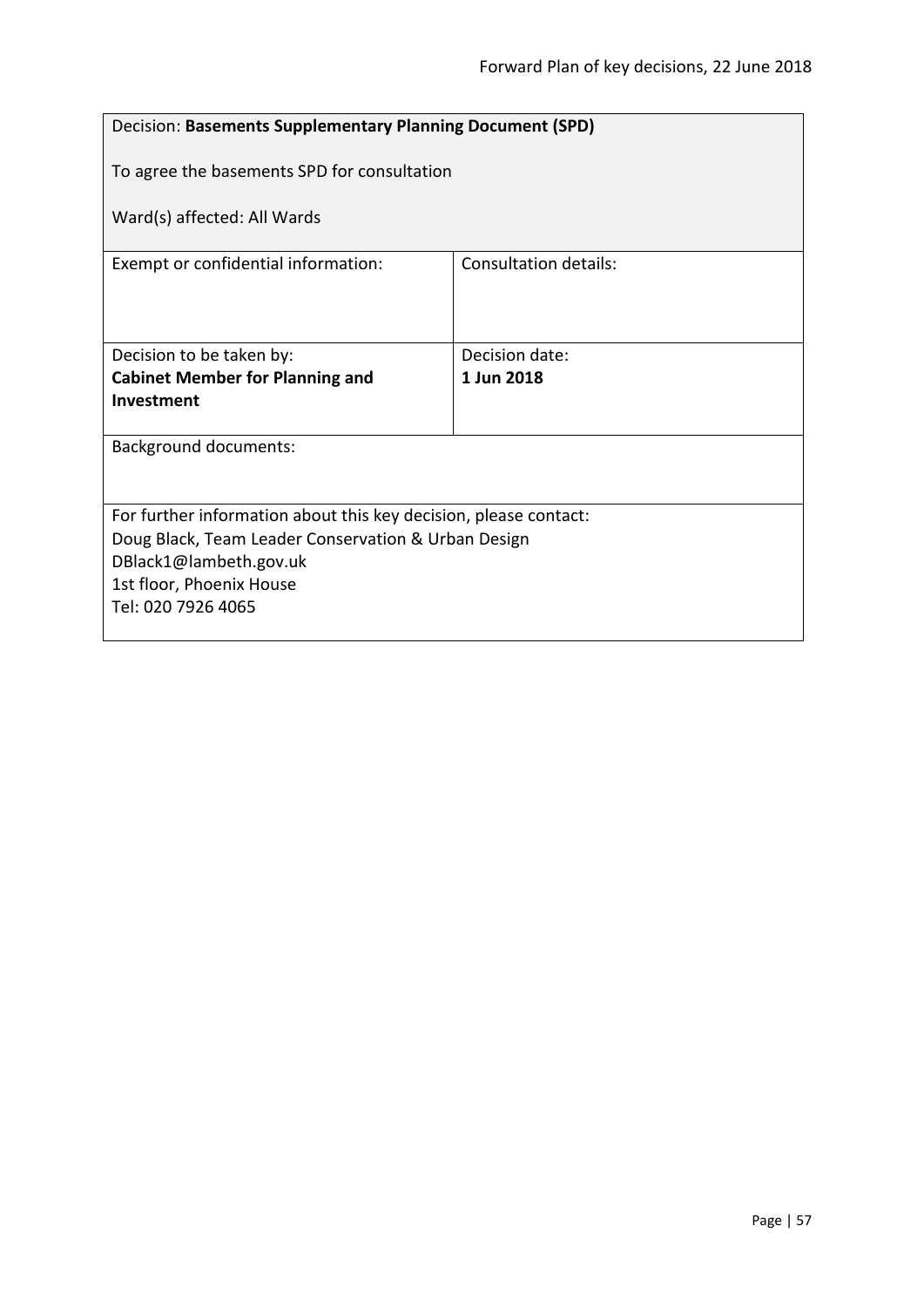| Decision: Basements Supplementary Planning Document (SPD)        |                              |  |
|------------------------------------------------------------------|------------------------------|--|
| To agree the basements SPD for consultation                      |                              |  |
| Ward(s) affected: All Wards                                      |                              |  |
| Exempt or confidential information:                              | <b>Consultation details:</b> |  |
|                                                                  |                              |  |
| Decision to be taken by:                                         | Decision date:               |  |
| <b>Cabinet Member for Planning and</b>                           | 1 Jun 2018                   |  |
| Investment                                                       |                              |  |
|                                                                  |                              |  |
| <b>Background documents:</b>                                     |                              |  |
|                                                                  |                              |  |
|                                                                  |                              |  |
| For further information about this key decision, please contact: |                              |  |
| Doug Black, Team Leader Conservation & Urban Design              |                              |  |
| DBlack1@lambeth.gov.uk<br>1st floor, Phoenix House               |                              |  |
| Tel: 020 7926 4065                                               |                              |  |
|                                                                  |                              |  |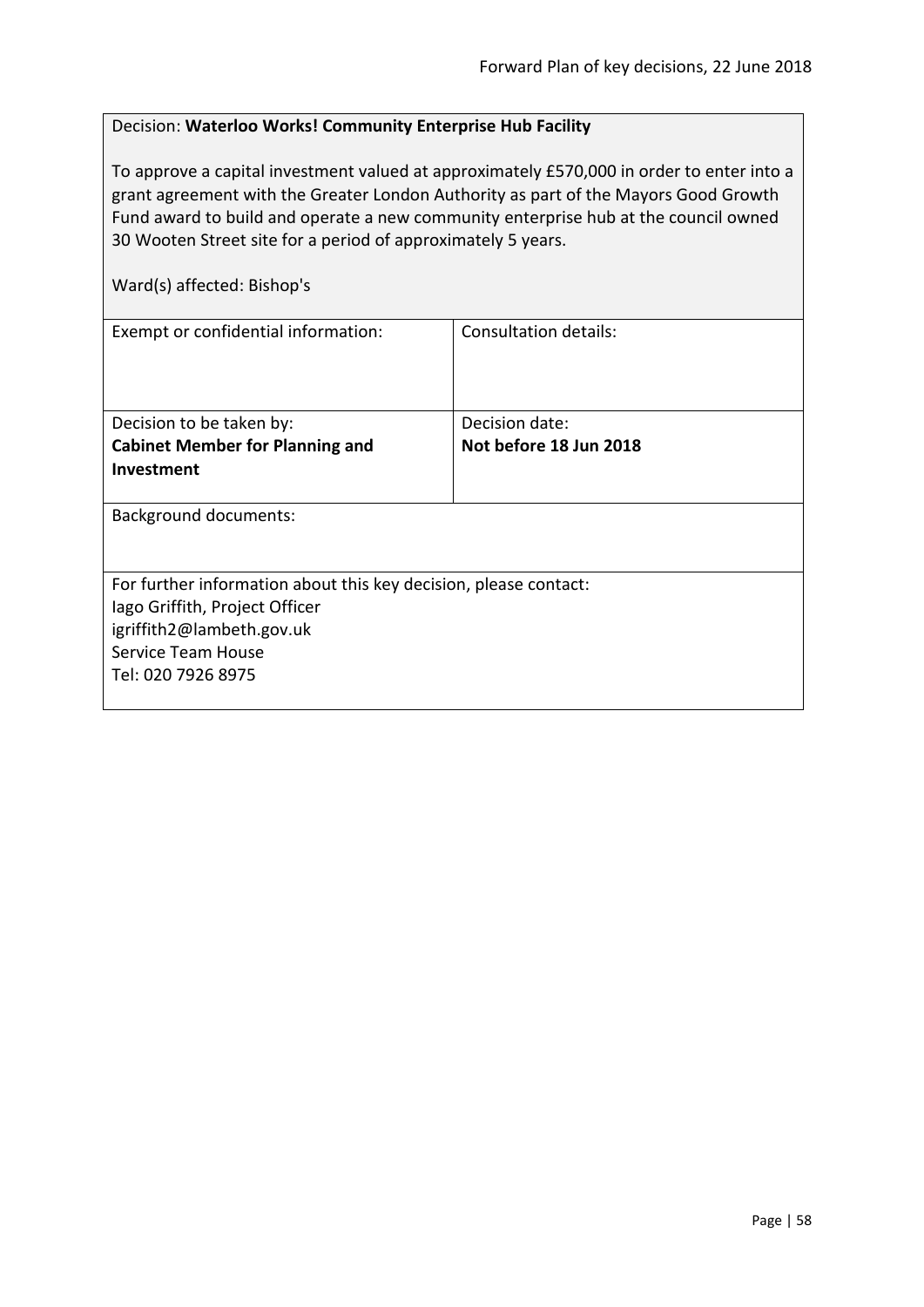## Decision: **Waterloo Works! Community Enterprise Hub Facility**

To approve a capital investment valued at approximately £570,000 in order to enter into a grant agreement with the Greater London Authority as part of the Mayors Good Growth Fund award to build and operate a new community enterprise hub at the council owned 30 Wooten Street site for a period of approximately 5 years.

| Consultation details:                                                                              |  |
|----------------------------------------------------------------------------------------------------|--|
| Decision date:                                                                                     |  |
| Not before 18 Jun 2018                                                                             |  |
|                                                                                                    |  |
|                                                                                                    |  |
| For further information about this key decision, please contact:<br>lago Griffith, Project Officer |  |
|                                                                                                    |  |
|                                                                                                    |  |
|                                                                                                    |  |
|                                                                                                    |  |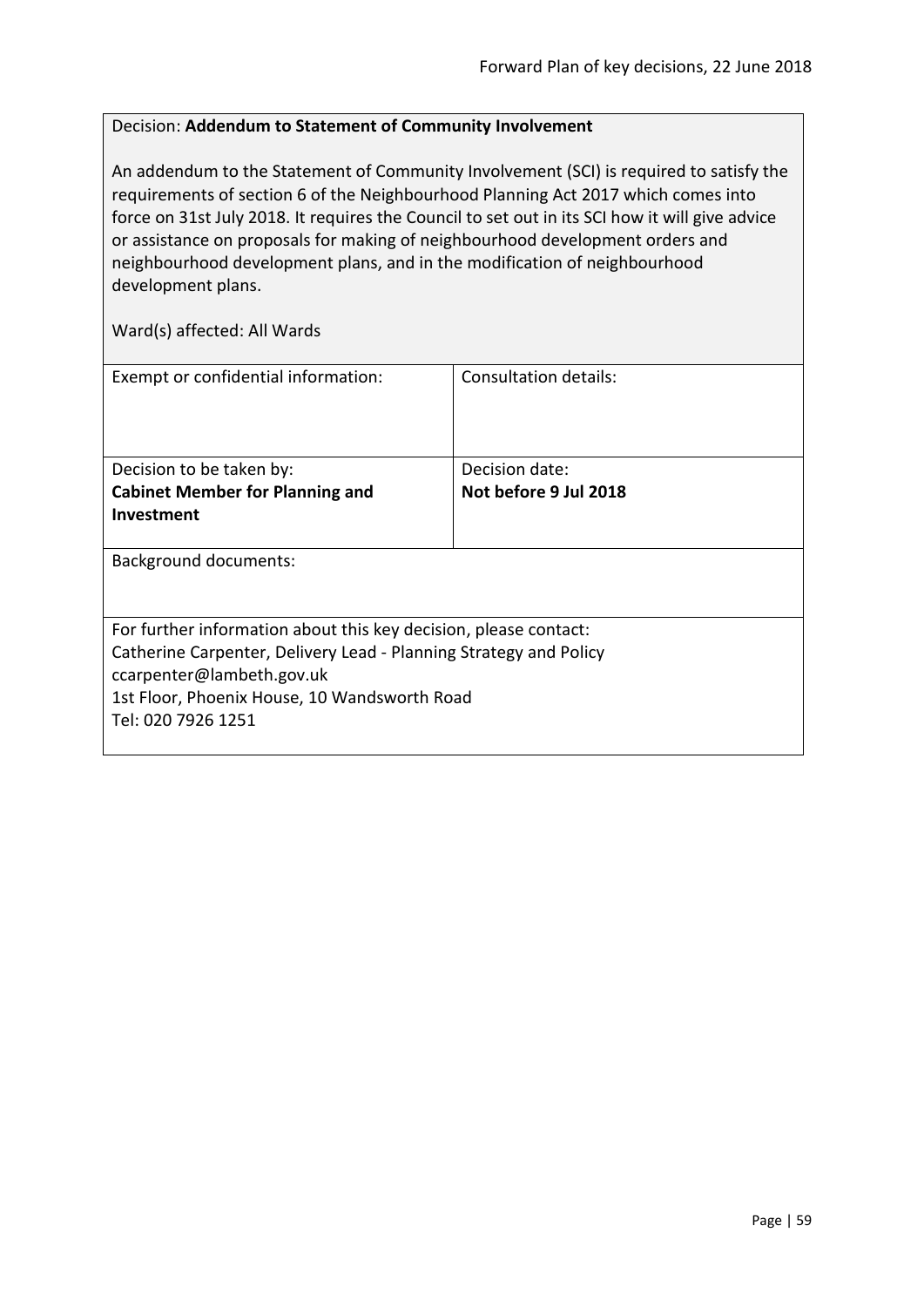#### Decision: **Addendum to Statement of Community Involvement**

An addendum to the Statement of Community Involvement (SCI) is required to satisfy the requirements of section 6 of the Neighbourhood Planning Act 2017 which comes into force on 31st July 2018. It requires the Council to set out in its SCI how it will give advice or assistance on proposals for making of neighbourhood development orders and neighbourhood development plans, and in the modification of neighbourhood development plans.

| Exempt or confidential information:                               | Consultation details: |
|-------------------------------------------------------------------|-----------------------|
| Decision to be taken by:                                          | Decision date:        |
| <b>Cabinet Member for Planning and</b>                            | Not before 9 Jul 2018 |
| Investment                                                        |                       |
|                                                                   |                       |
| <b>Background documents:</b>                                      |                       |
| For further information about this key decision, please contact:  |                       |
| Catherine Carpenter, Delivery Lead - Planning Strategy and Policy |                       |
| ccarpenter@lambeth.gov.uk                                         |                       |
| 1st Floor, Phoenix House, 10 Wandsworth Road                      |                       |
| Tel: 020 7926 1251                                                |                       |
|                                                                   |                       |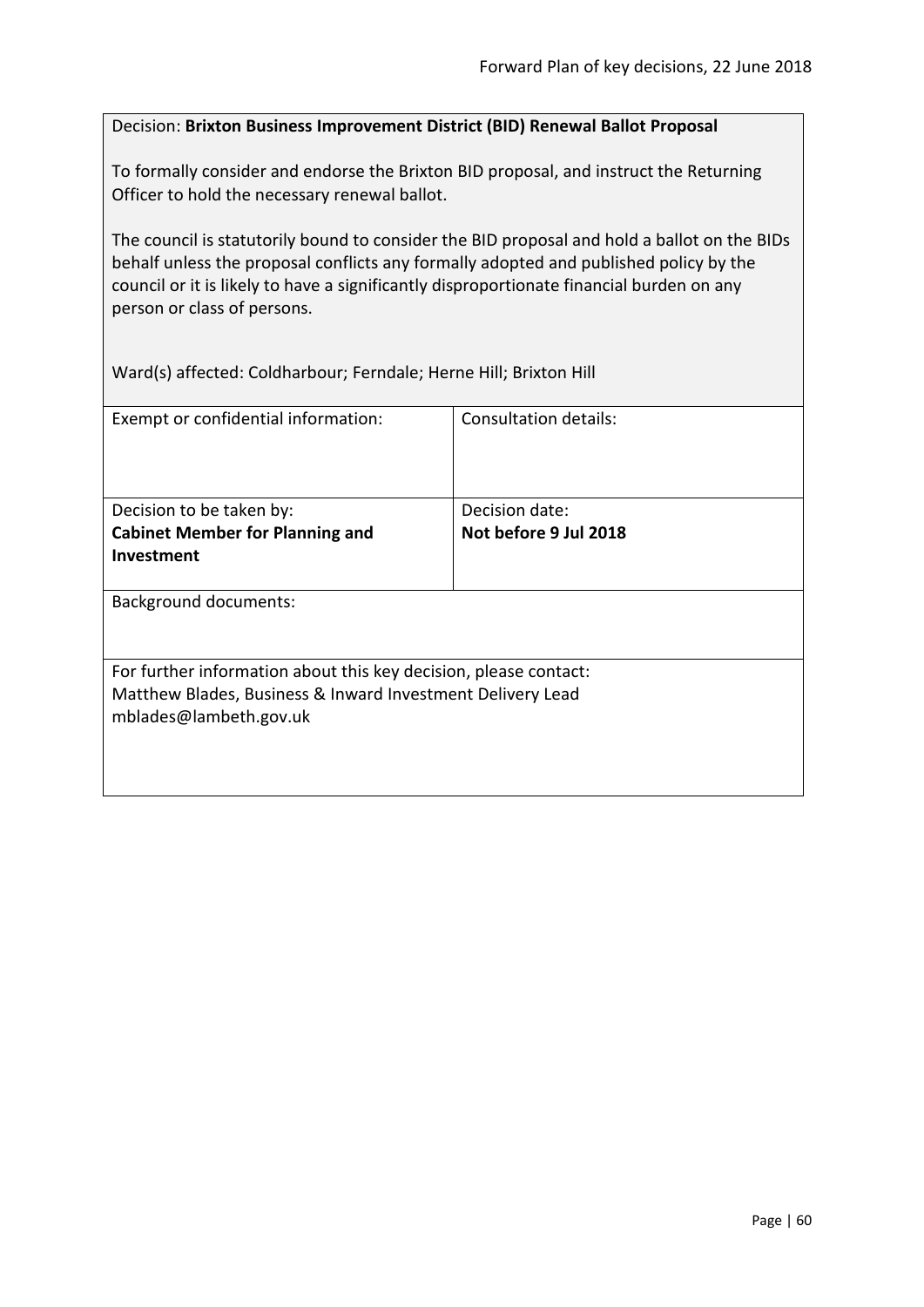# Decision: **Brixton Business Improvement District (BID) Renewal Ballot Proposal**

To formally consider and endorse the Brixton BID proposal, and instruct the Returning Officer to hold the necessary renewal ballot.

The council is statutorily bound to consider the BID proposal and hold a ballot on the BIDs behalf unless the proposal conflicts any formally adopted and published policy by the council or it is likely to have a significantly disproportionate financial burden on any person or class of persons.

Ward(s) affected: Coldharbour; Ferndale; Herne Hill; Brixton Hill

| Exempt or confidential information:                                                                                                                      | Consultation details:                   |
|----------------------------------------------------------------------------------------------------------------------------------------------------------|-----------------------------------------|
| Decision to be taken by:<br><b>Cabinet Member for Planning and</b><br><b>Investment</b>                                                                  | Decision date:<br>Not before 9 Jul 2018 |
| <b>Background documents:</b>                                                                                                                             |                                         |
| For further information about this key decision, please contact:<br>Matthew Blades, Business & Inward Investment Delivery Lead<br>mblades@lambeth.gov.uk |                                         |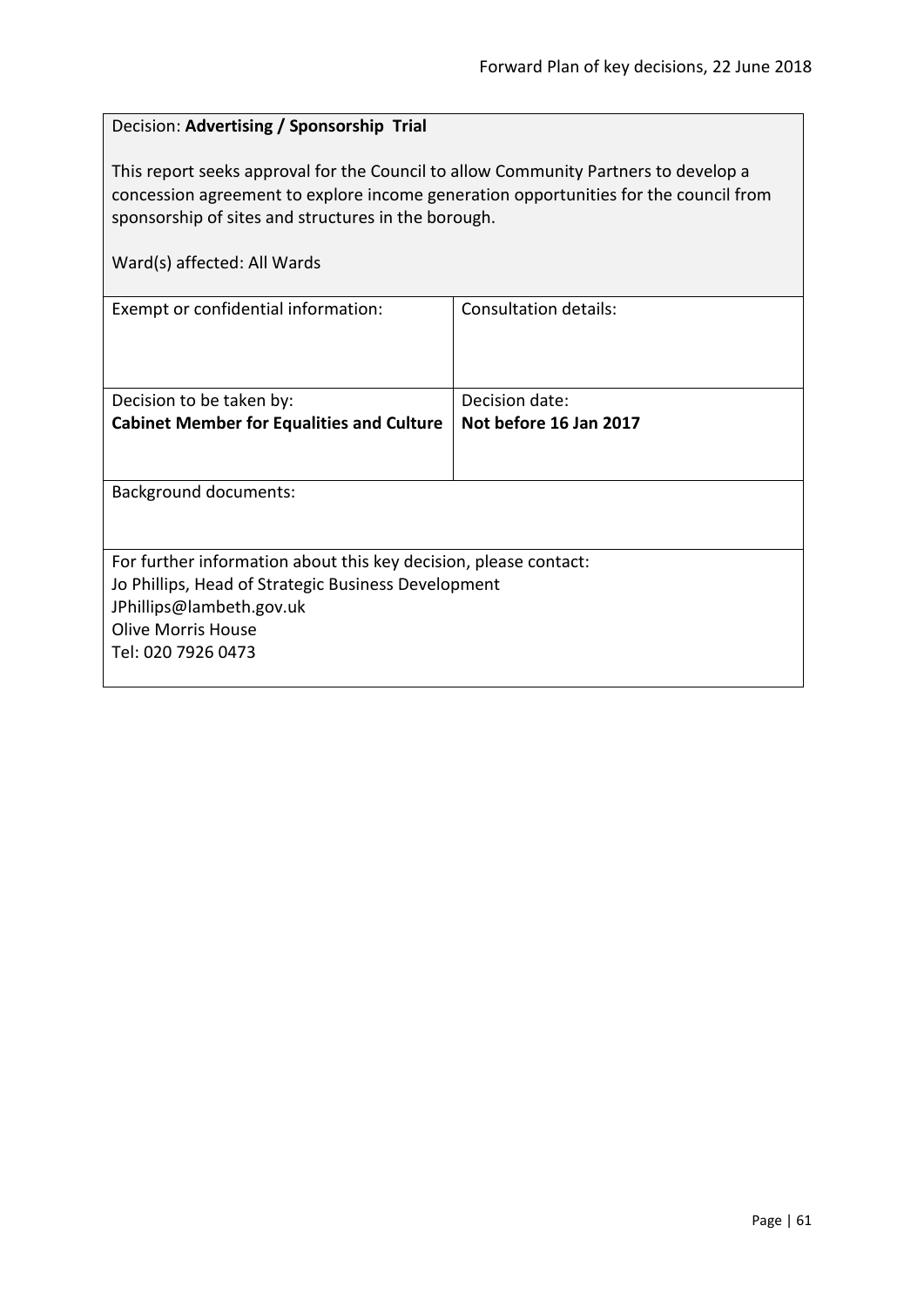# Decision: **Advertising / Sponsorship Trial**

This report seeks approval for the Council to allow Community Partners to develop a concession agreement to explore income generation opportunities for the council from sponsorship of sites and structures in the borough.

|  | Ward(s) affected: All Wards |  |  |
|--|-----------------------------|--|--|
|--|-----------------------------|--|--|

| Exempt or confidential information:                              | Consultation details:  |  |
|------------------------------------------------------------------|------------------------|--|
|                                                                  |                        |  |
| Decision to be taken by:                                         | Decision date:         |  |
| <b>Cabinet Member for Equalities and Culture</b>                 | Not before 16 Jan 2017 |  |
|                                                                  |                        |  |
| Background documents:                                            |                        |  |
| For further information about this key decision, please contact: |                        |  |
| Jo Phillips, Head of Strategic Business Development              |                        |  |
| JPhillips@lambeth.gov.uk                                         |                        |  |
| <b>Olive Morris House</b>                                        |                        |  |
| Tel: 020 7926 0473                                               |                        |  |
|                                                                  |                        |  |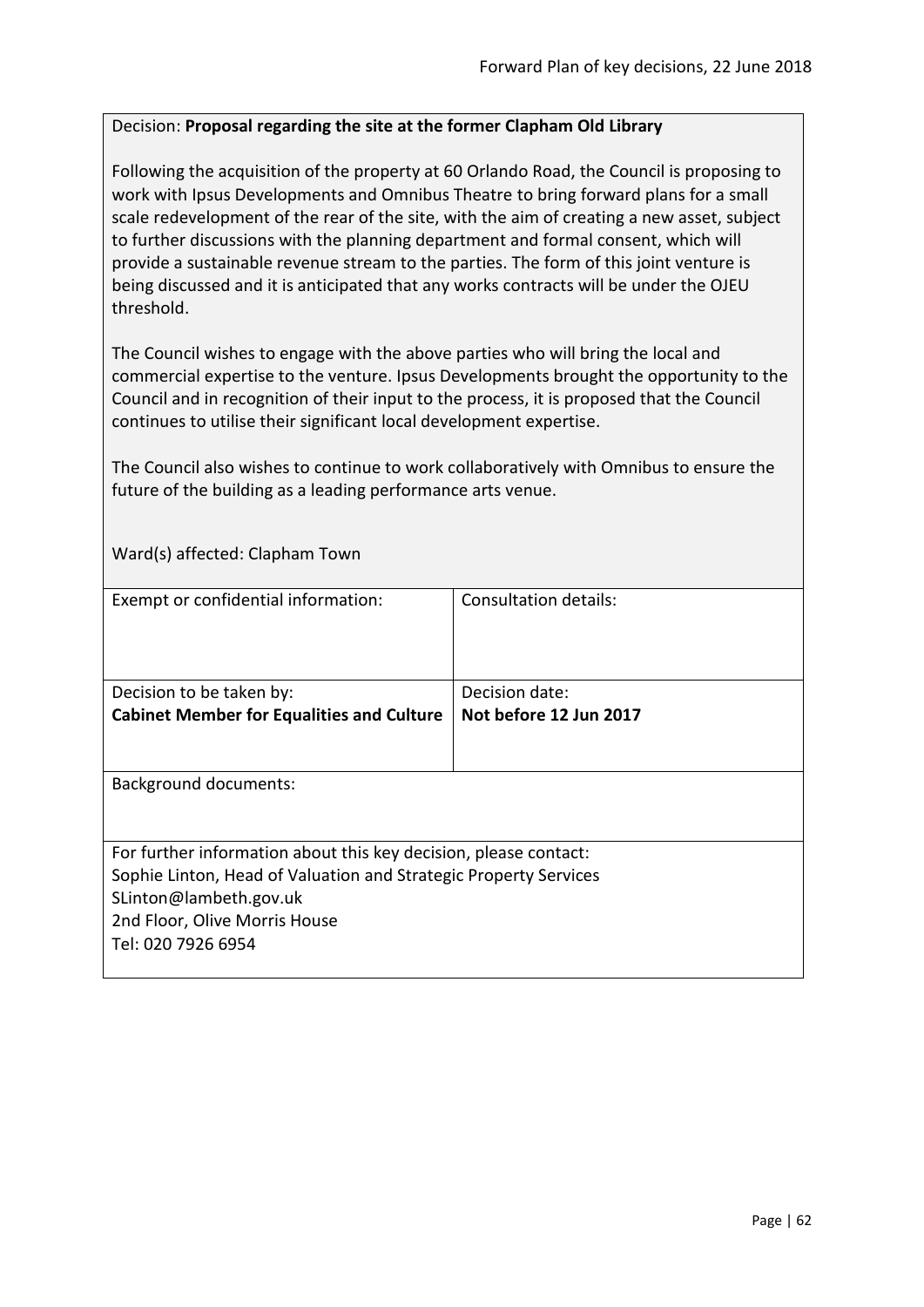### Decision: **Proposal regarding the site at the former Clapham Old Library**

Following the acquisition of the property at 60 Orlando Road, the Council is proposing to work with Ipsus Developments and Omnibus Theatre to bring forward plans for a small scale redevelopment of the rear of the site, with the aim of creating a new asset, subject to further discussions with the planning department and formal consent, which will provide a sustainable revenue stream to the parties. The form of this joint venture is being discussed and it is anticipated that any works contracts will be under the OJEU threshold.

The Council wishes to engage with the above parties who will bring the local and commercial expertise to the venture. Ipsus Developments brought the opportunity to the Council and in recognition of their input to the process, it is proposed that the Council continues to utilise their significant local development expertise.

The Council also wishes to continue to work collaboratively with Omnibus to ensure the future of the building as a leading performance arts venue.

Ward(s) affected: Clapham Town

| Exempt or confidential information:                              | Consultation details:  |
|------------------------------------------------------------------|------------------------|
|                                                                  |                        |
|                                                                  |                        |
|                                                                  |                        |
|                                                                  |                        |
| Decision to be taken by:                                         | Decision date:         |
| <b>Cabinet Member for Equalities and Culture</b>                 | Not before 12 Jun 2017 |
|                                                                  |                        |
|                                                                  |                        |
|                                                                  |                        |
| <b>Background documents:</b>                                     |                        |
|                                                                  |                        |
|                                                                  |                        |
| For further information about this key decision, please contact: |                        |
| Sophie Linton, Head of Valuation and Strategic Property Services |                        |
| SLinton@lambeth.gov.uk                                           |                        |
|                                                                  |                        |
| 2nd Floor, Olive Morris House                                    |                        |
| Tel: 020 7926 6954                                               |                        |
|                                                                  |                        |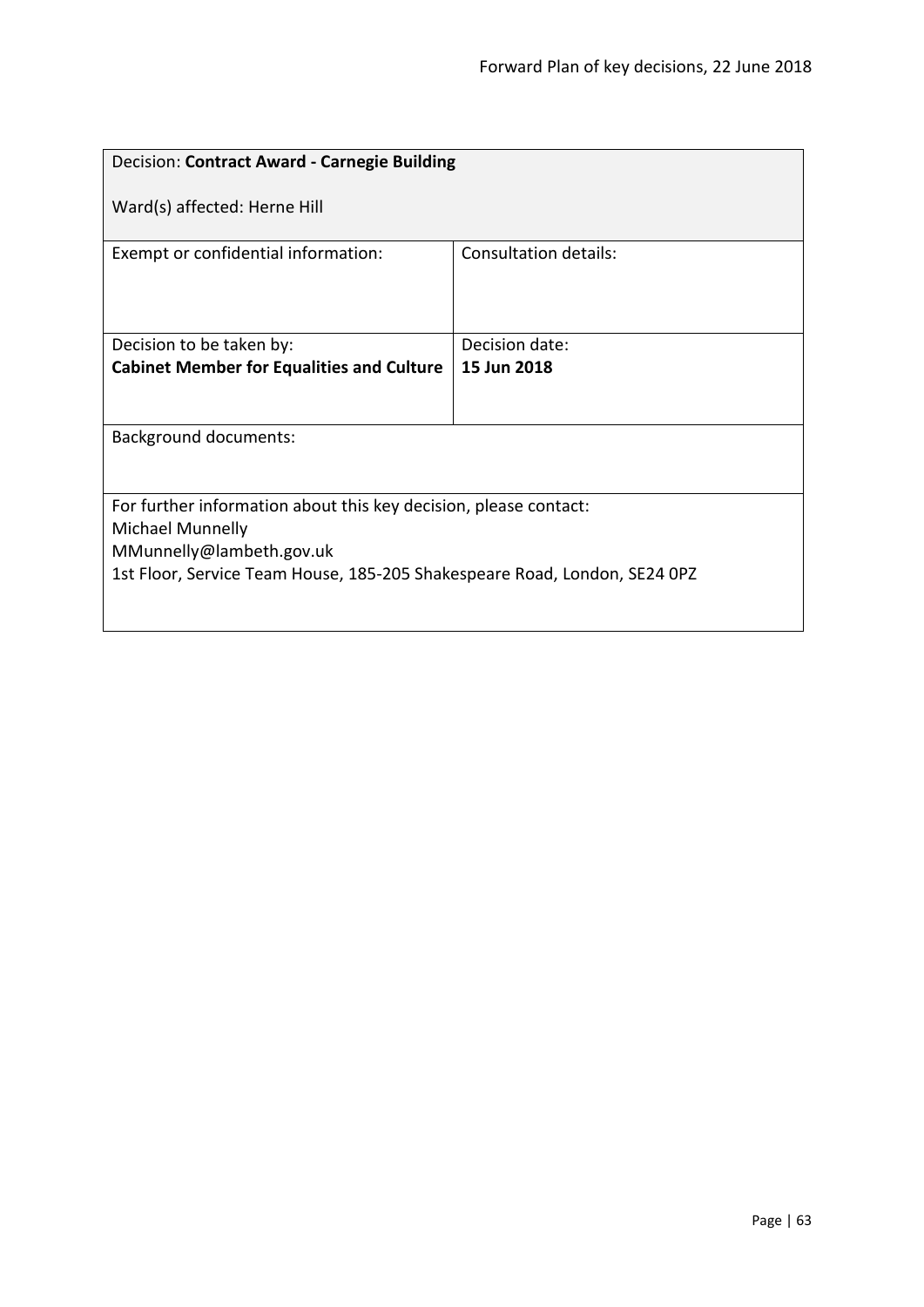| Decision: Contract Award - Carnegie Building                                         |                       |  |
|--------------------------------------------------------------------------------------|-----------------------|--|
| Ward(s) affected: Herne Hill                                                         |                       |  |
| Exempt or confidential information:                                                  | Consultation details: |  |
| Decision to be taken by:                                                             | Decision date:        |  |
| <b>Cabinet Member for Equalities and Culture</b>                                     | 15 Jun 2018           |  |
|                                                                                      |                       |  |
| <b>Background documents:</b>                                                         |                       |  |
| For further information about this key decision, please contact:<br>Michael Munnelly |                       |  |
| MMunnelly@lambeth.gov.uk                                                             |                       |  |
| 1st Floor, Service Team House, 185-205 Shakespeare Road, London, SE24 0PZ            |                       |  |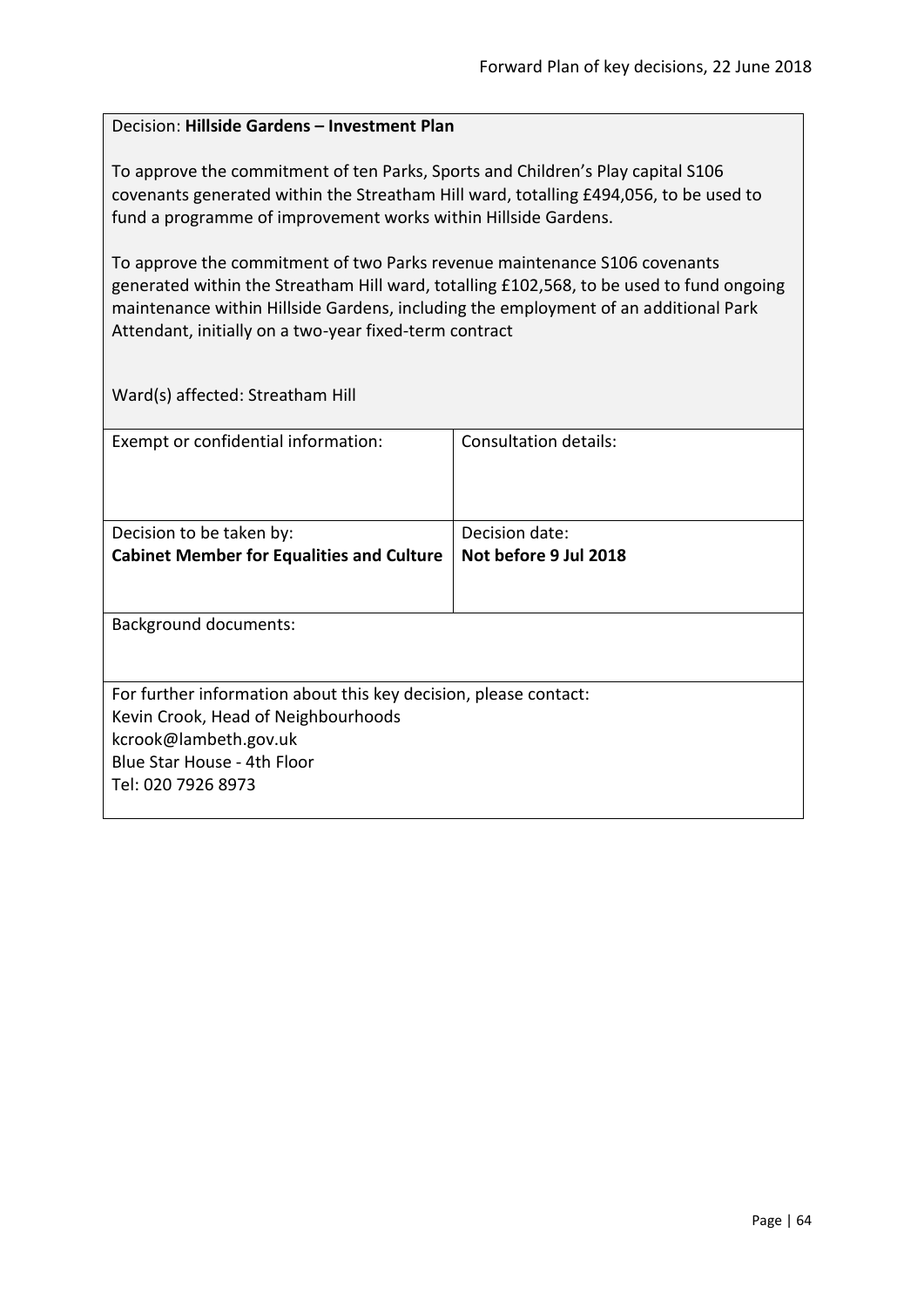#### Decision: **Hillside Gardens – Investment Plan**

To approve the commitment of ten Parks, Sports and Children's Play capital S106 covenants generated within the Streatham Hill ward, totalling £494,056, to be used to fund a programme of improvement works within Hillside Gardens.

To approve the commitment of two Parks revenue maintenance S106 covenants generated within the Streatham Hill ward, totalling £102,568, to be used to fund ongoing maintenance within Hillside Gardens, including the employment of an additional Park Attendant, initially on a two-year fixed-term contract

Ward(s) affected: Streatham Hill

| Exempt or confidential information:                              | Consultation details: |
|------------------------------------------------------------------|-----------------------|
| Decision to be taken by:                                         | Decision date:        |
| <b>Cabinet Member for Equalities and Culture</b>                 | Not before 9 Jul 2018 |
|                                                                  |                       |
| <b>Background documents:</b>                                     |                       |
| For further information about this key decision, please contact: |                       |
| Kevin Crook, Head of Neighbourhoods                              |                       |
| kcrook@lambeth.gov.uk                                            |                       |
| Blue Star House - 4th Floor                                      |                       |
| Tel: 020 7926 8973                                               |                       |
|                                                                  |                       |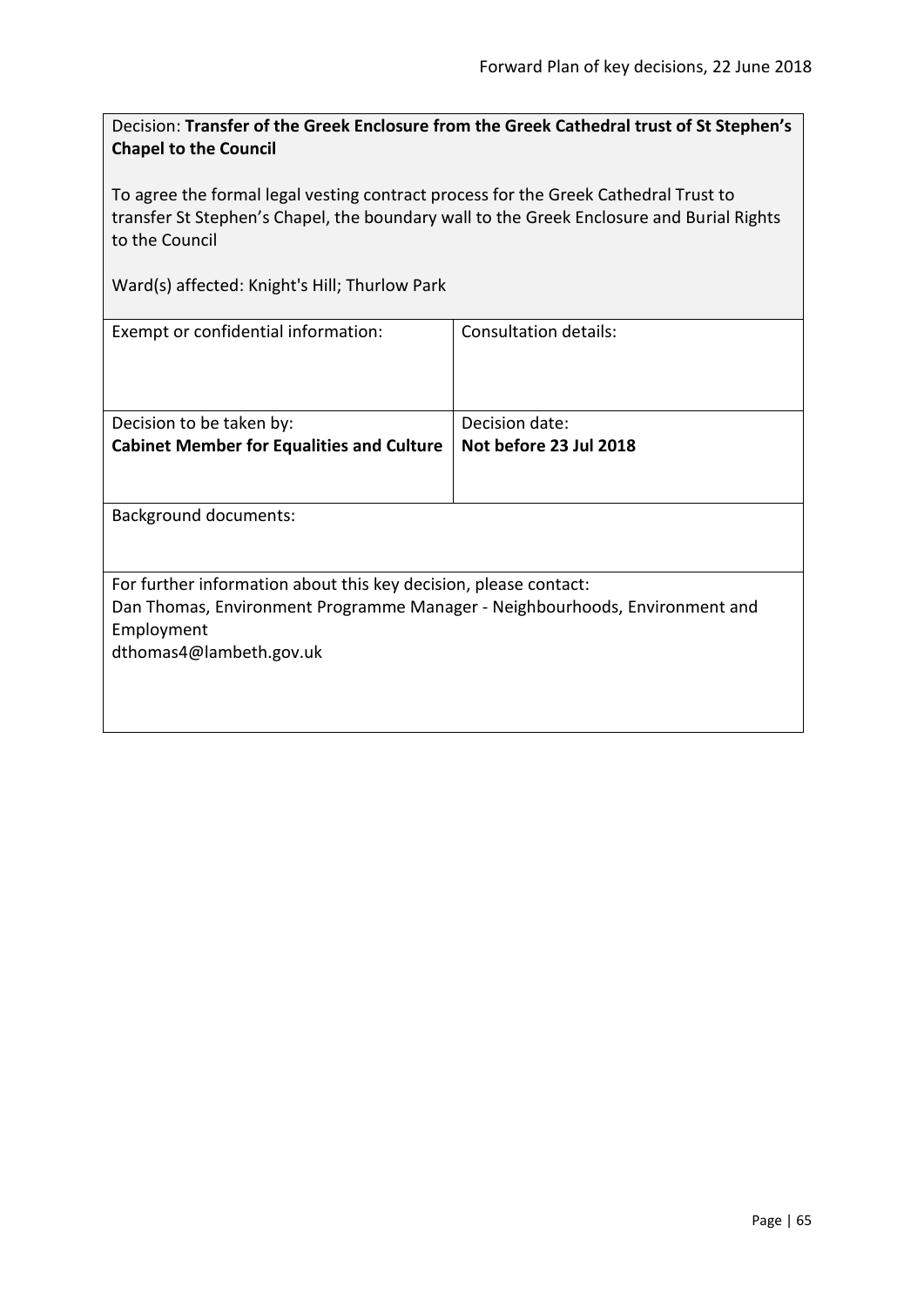Decision: **Transfer of the Greek Enclosure from the Greek Cathedral trust of St Stephen's Chapel to the Council**

To agree the formal legal vesting contract process for the Greek Cathedral Trust to transfer St Stephen's Chapel, the boundary wall to the Greek Enclosure and Burial Rights to the Council

Ward(s) affected: Knight's Hill; Thurlow Park

| Exempt or confidential information:                                         | Consultation details:  |  |
|-----------------------------------------------------------------------------|------------------------|--|
| Decision to be taken by:                                                    | Decision date:         |  |
| <b>Cabinet Member for Equalities and Culture</b>                            | Not before 23 Jul 2018 |  |
|                                                                             |                        |  |
| Background documents:                                                       |                        |  |
| For further information about this key decision, please contact:            |                        |  |
| Dan Thomas, Environment Programme Manager - Neighbourhoods, Environment and |                        |  |
| Employment                                                                  |                        |  |
| dthomas4@lambeth.gov.uk                                                     |                        |  |
|                                                                             |                        |  |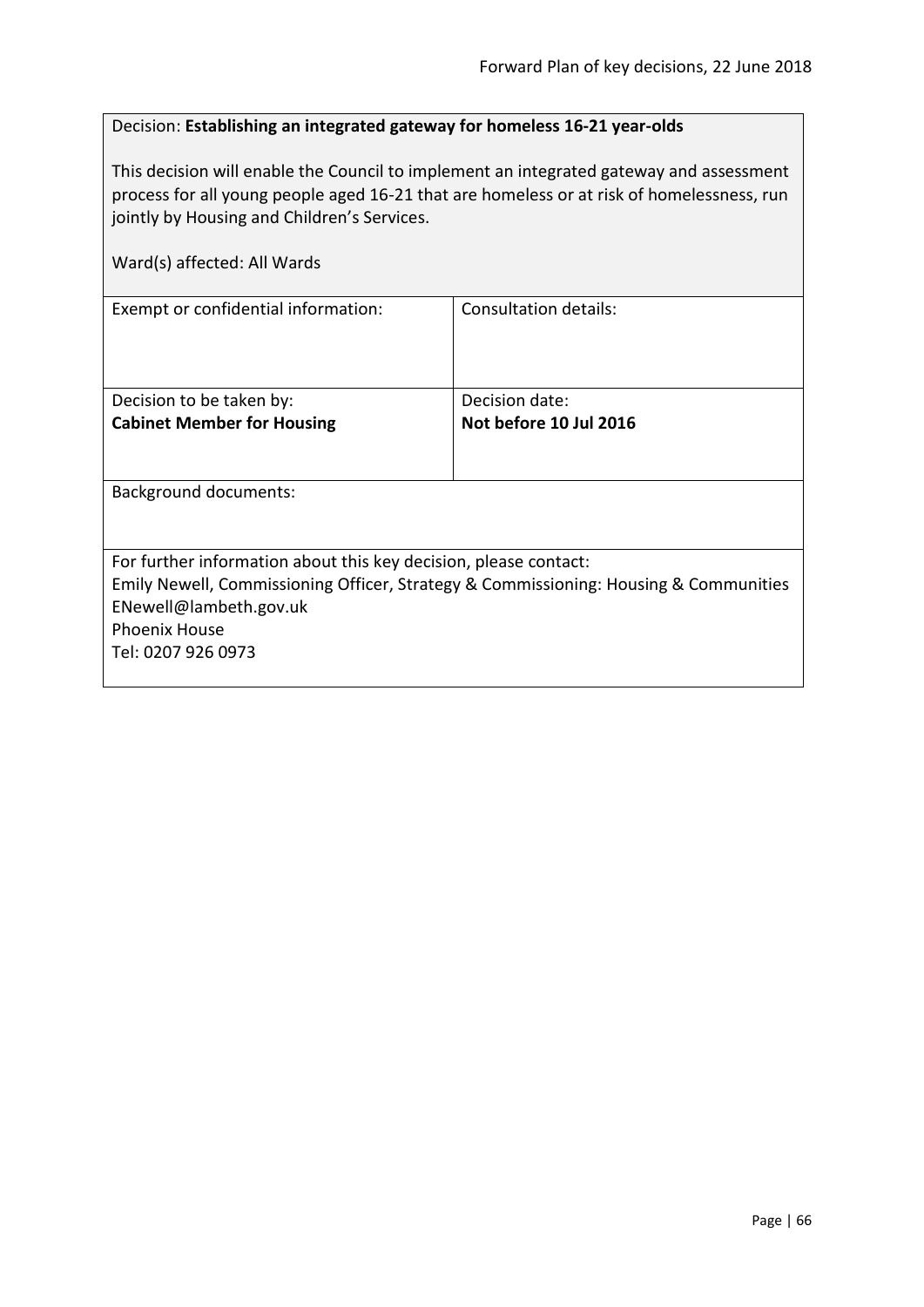### Decision: **Establishing an integrated gateway for homeless 16-21 year-olds**

This decision will enable the Council to implement an integrated gateway and assessment process for all young people aged 16-21 that are homeless or at risk of homelessness, run jointly by Housing and Children's Services.

| Ward(s) affected: All Wards                                                                                                                                                                                                      |                                          |
|----------------------------------------------------------------------------------------------------------------------------------------------------------------------------------------------------------------------------------|------------------------------------------|
| Exempt or confidential information:                                                                                                                                                                                              | Consultation details:                    |
| Decision to be taken by:<br><b>Cabinet Member for Housing</b>                                                                                                                                                                    | Decision date:<br>Not before 10 Jul 2016 |
| Background documents:                                                                                                                                                                                                            |                                          |
| For further information about this key decision, please contact:<br>Emily Newell, Commissioning Officer, Strategy & Commissioning: Housing & Communities<br>ENewell@lambeth.gov.uk<br><b>Phoenix House</b><br>Tel: 0207 926 0973 |                                          |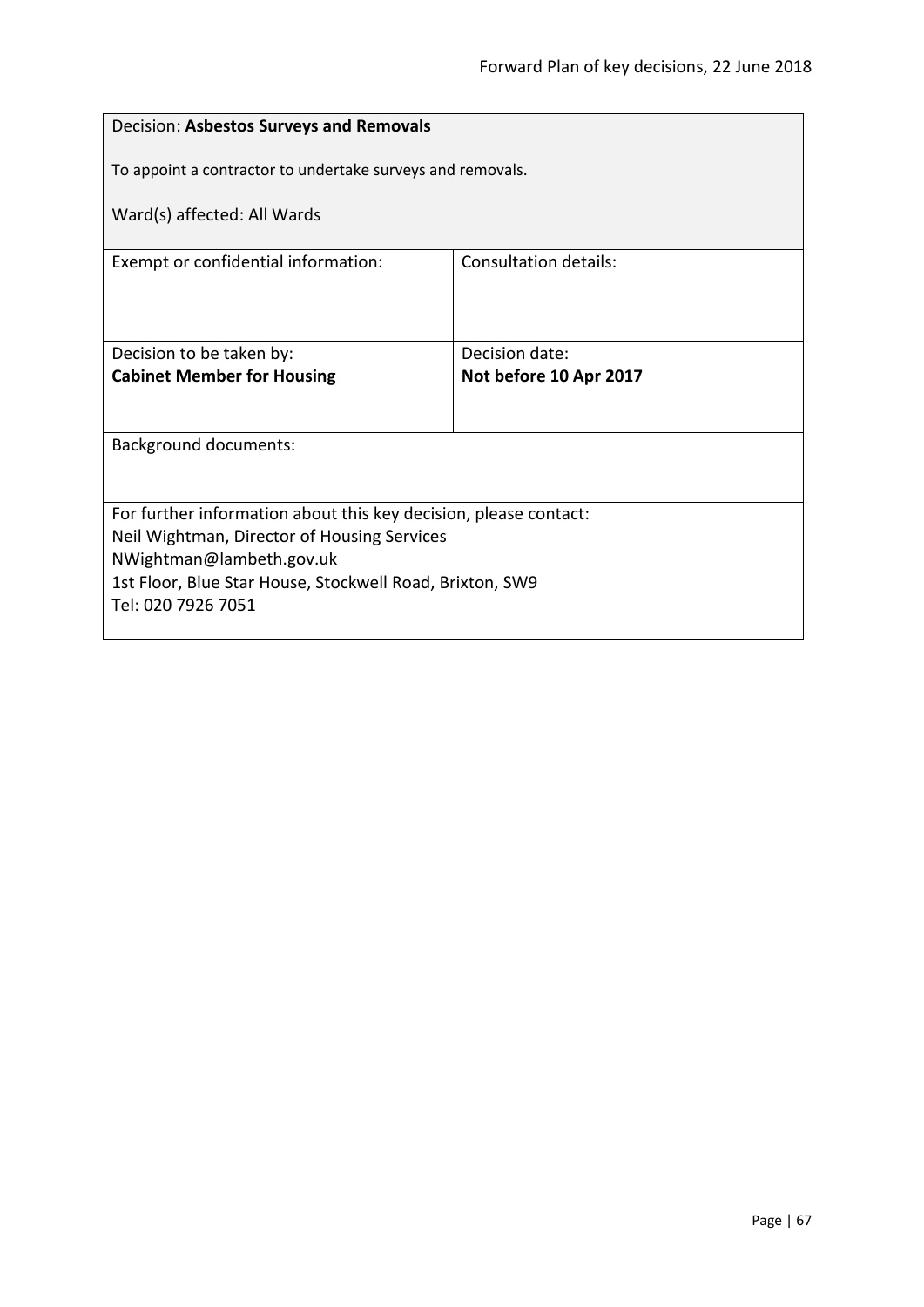| Decision: Asbestos Surveys and Removals                                 |                        |  |
|-------------------------------------------------------------------------|------------------------|--|
| To appoint a contractor to undertake surveys and removals.              |                        |  |
| Ward(s) affected: All Wards                                             |                        |  |
| Exempt or confidential information:                                     | Consultation details:  |  |
|                                                                         |                        |  |
| Decision to be taken by:                                                | Decision date:         |  |
| <b>Cabinet Member for Housing</b>                                       | Not before 10 Apr 2017 |  |
|                                                                         |                        |  |
| <b>Background documents:</b>                                            |                        |  |
|                                                                         |                        |  |
| For further information about this key decision, please contact:        |                        |  |
| Neil Wightman, Director of Housing Services<br>NWightman@lambeth.gov.uk |                        |  |
| 1st Floor, Blue Star House, Stockwell Road, Brixton, SW9                |                        |  |
| Tel: 020 7926 7051                                                      |                        |  |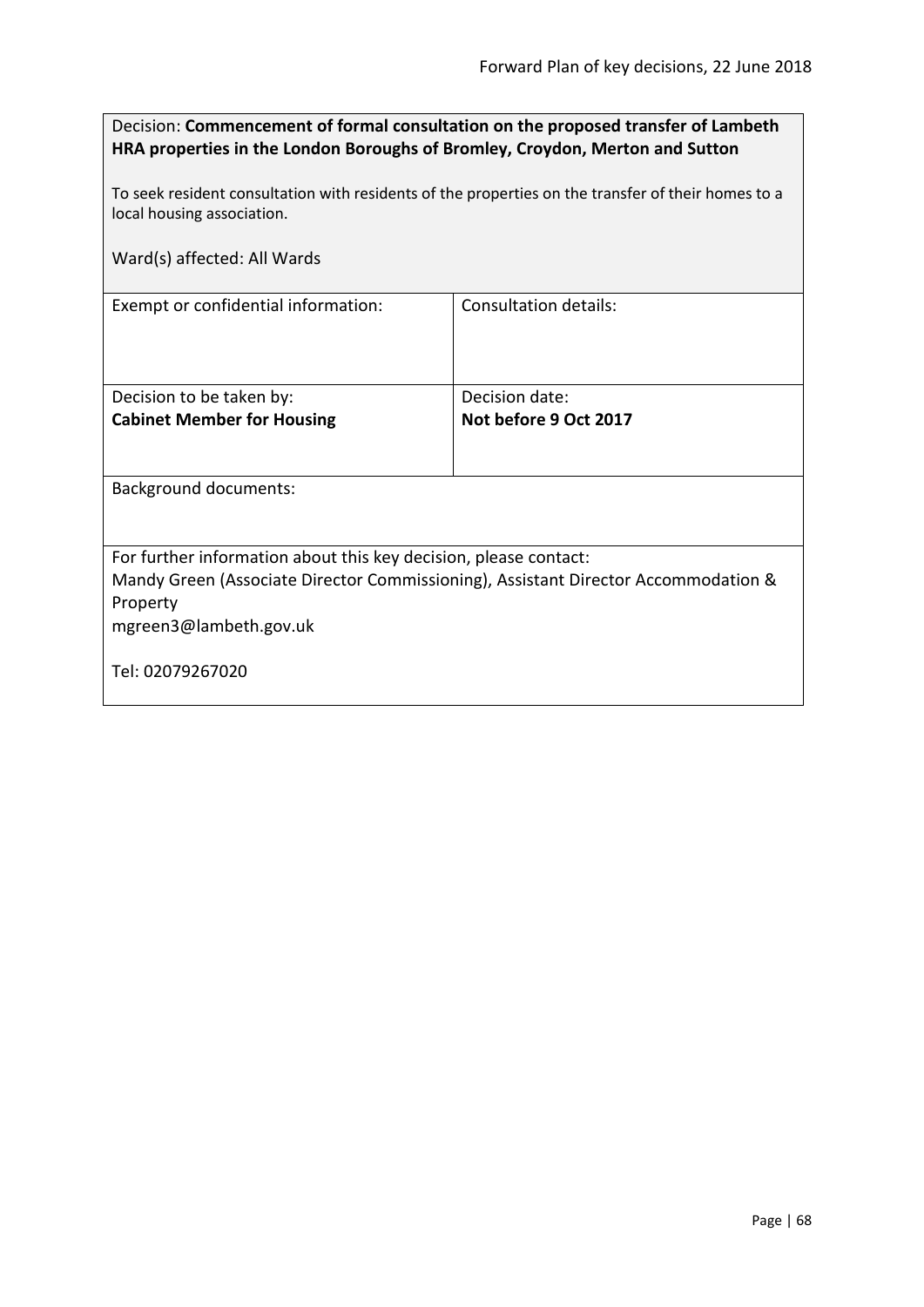| Decision: Commencement of formal consultation on the proposed transfer of Lambeth |
|-----------------------------------------------------------------------------------|
| HRA properties in the London Boroughs of Bromley, Croydon, Merton and Sutton      |

To seek resident consultation with residents of the properties on the transfer of their homes to a local housing association.

Ward(s) affected: All Wards

Exempt or confidential information: Consultation details:

| Decision to be taken by:          | Decision date:        |
|-----------------------------------|-----------------------|
| <b>Cabinet Member for Housing</b> | Not before 9 Oct 2017 |
|                                   |                       |
|                                   |                       |

Background documents:

For further information about this key decision, please contact:

Mandy Green (Associate Director Commissioning), Assistant Director Accommodation & Property

mgreen3@lambeth.gov.uk

Tel: 02079267020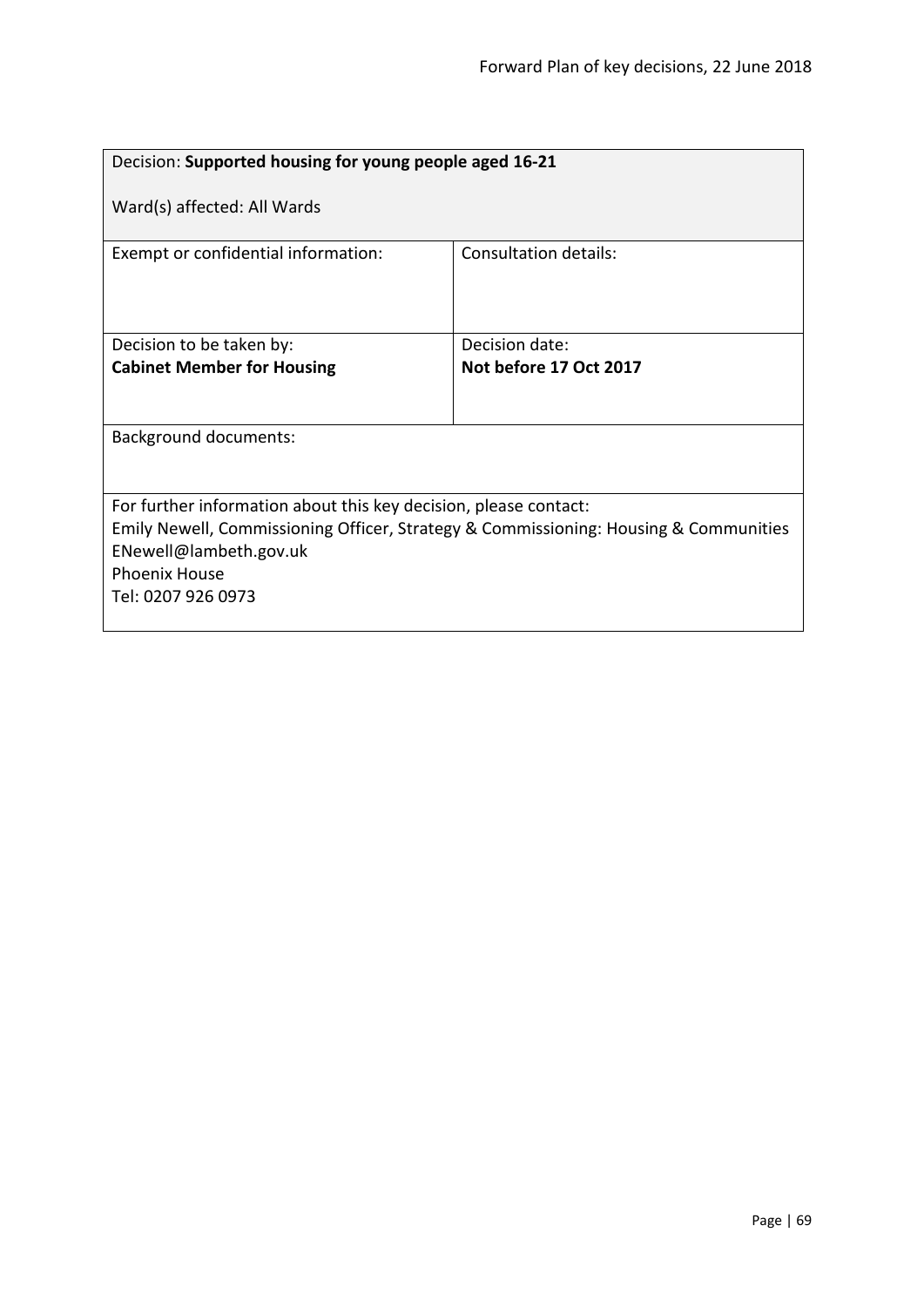| Decision: Supported housing for young people aged 16-21                                                                                                                                                                          |                        |  |
|----------------------------------------------------------------------------------------------------------------------------------------------------------------------------------------------------------------------------------|------------------------|--|
| Ward(s) affected: All Wards                                                                                                                                                                                                      |                        |  |
| Exempt or confidential information:                                                                                                                                                                                              | Consultation details:  |  |
| Decision to be taken by:                                                                                                                                                                                                         | Decision date:         |  |
| <b>Cabinet Member for Housing</b>                                                                                                                                                                                                | Not before 17 Oct 2017 |  |
|                                                                                                                                                                                                                                  |                        |  |
| <b>Background documents:</b>                                                                                                                                                                                                     |                        |  |
|                                                                                                                                                                                                                                  |                        |  |
| For further information about this key decision, please contact:<br>Emily Newell, Commissioning Officer, Strategy & Commissioning: Housing & Communities<br>ENewell@lambeth.gov.uk<br><b>Phoenix House</b><br>Tel: 0207 926 0973 |                        |  |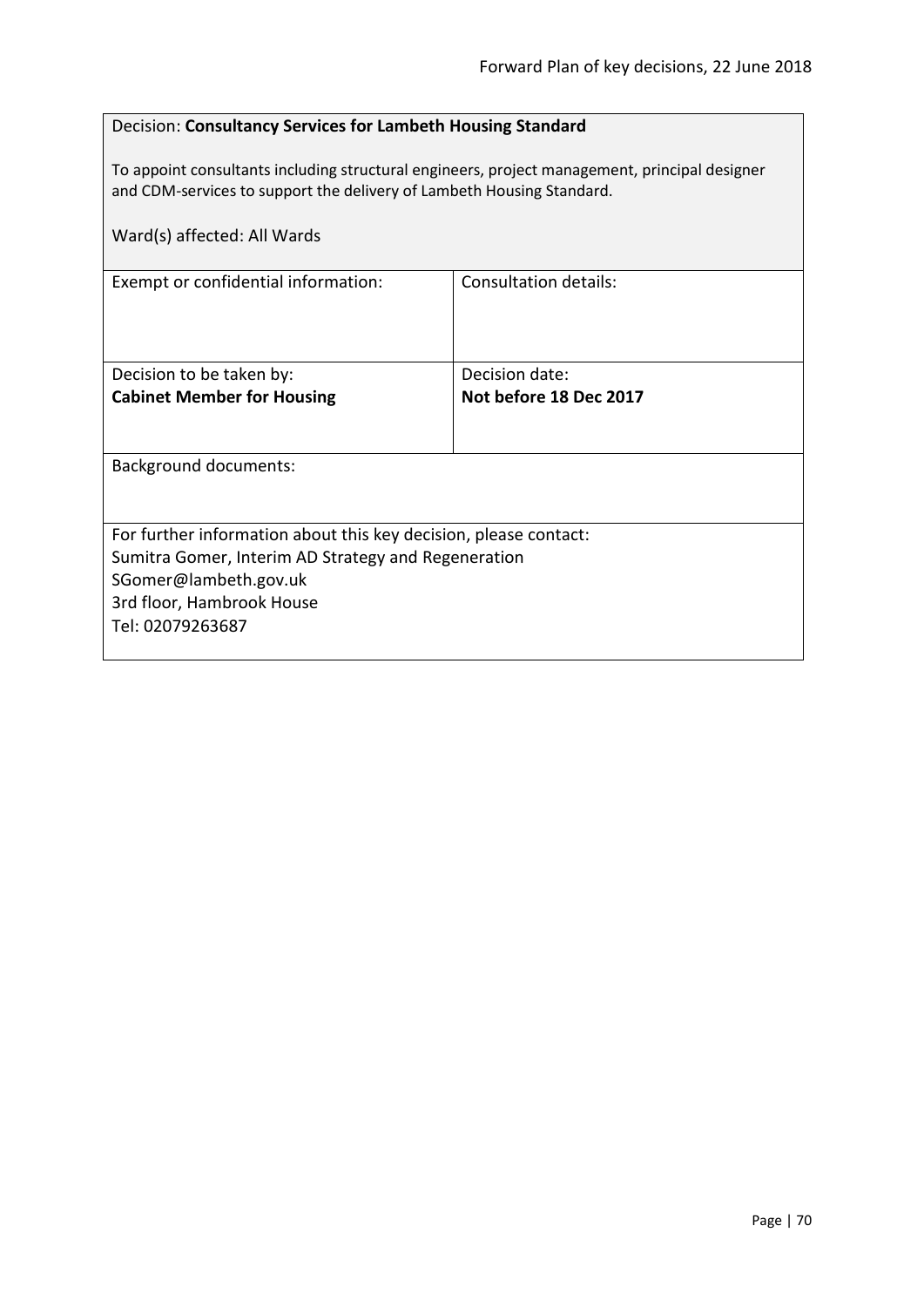### Decision: **Consultancy Services for Lambeth Housing Standard**

To appoint consultants including structural engineers, project management, principal designer and CDM-services to support the delivery of Lambeth Housing Standard.

| Ward(s) affected: All Wards                                                                                                                                                                       |                                          |
|---------------------------------------------------------------------------------------------------------------------------------------------------------------------------------------------------|------------------------------------------|
| Exempt or confidential information:                                                                                                                                                               | <b>Consultation details:</b>             |
| Decision to be taken by:<br><b>Cabinet Member for Housing</b>                                                                                                                                     | Decision date:<br>Not before 18 Dec 2017 |
| Background documents:                                                                                                                                                                             |                                          |
| For further information about this key decision, please contact:<br>Sumitra Gomer, Interim AD Strategy and Regeneration<br>SGomer@lambeth.gov.uk<br>3rd floor, Hambrook House<br>Tel: 02079263687 |                                          |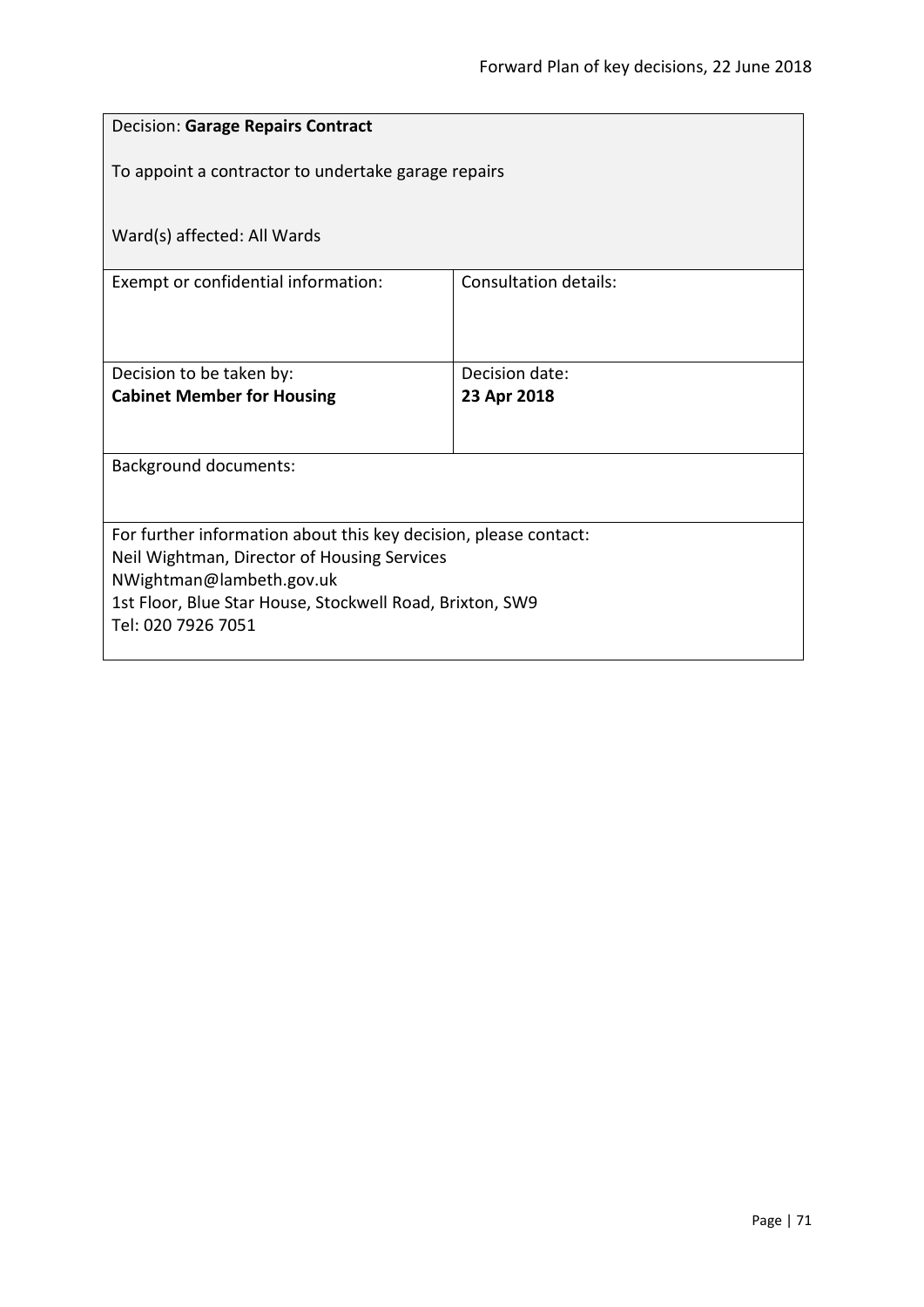| <b>Decision: Garage Repairs Contract</b>                                             |  |  |
|--------------------------------------------------------------------------------------|--|--|
| To appoint a contractor to undertake garage repairs                                  |  |  |
|                                                                                      |  |  |
| Ward(s) affected: All Wards                                                          |  |  |
| <b>Consultation details:</b>                                                         |  |  |
|                                                                                      |  |  |
| Decision date:                                                                       |  |  |
| 23 Apr 2018                                                                          |  |  |
|                                                                                      |  |  |
| <b>Background documents:</b>                                                         |  |  |
| For further information about this key decision, please contact:                     |  |  |
| Neil Wightman, Director of Housing Services                                          |  |  |
| NWightman@lambeth.gov.uk<br>1st Floor, Blue Star House, Stockwell Road, Brixton, SW9 |  |  |
| Tel: 020 7926 7051                                                                   |  |  |
|                                                                                      |  |  |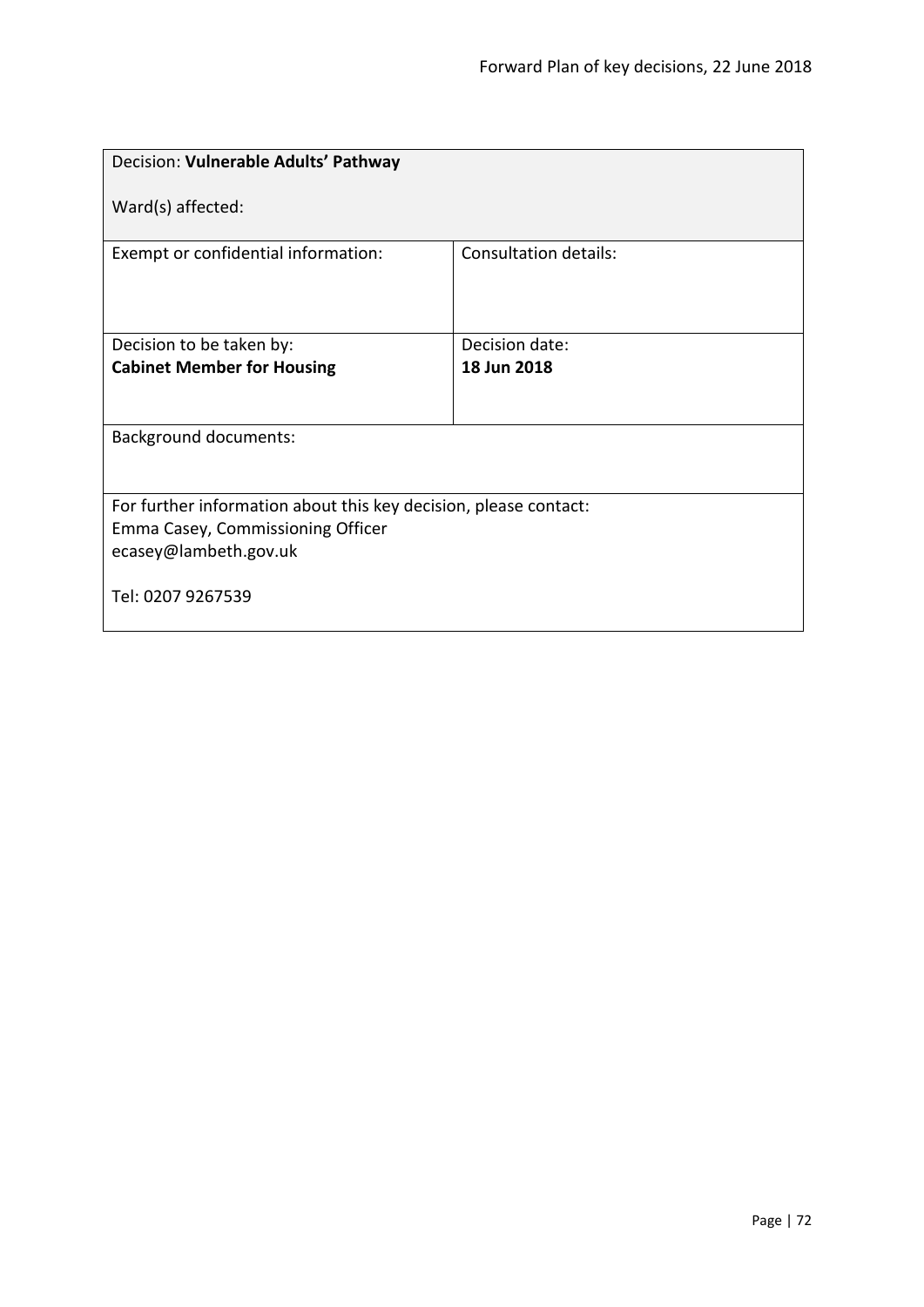| Decision: Vulnerable Adults' Pathway                                                                                           |                              |  |
|--------------------------------------------------------------------------------------------------------------------------------|------------------------------|--|
| Ward(s) affected:                                                                                                              |                              |  |
| Exempt or confidential information:                                                                                            | <b>Consultation details:</b> |  |
| Decision to be taken by:                                                                                                       | Decision date:               |  |
| <b>Cabinet Member for Housing</b>                                                                                              | 18 Jun 2018                  |  |
|                                                                                                                                |                              |  |
| <b>Background documents:</b>                                                                                                   |                              |  |
| For further information about this key decision, please contact:<br>Emma Casey, Commissioning Officer<br>ecasey@lambeth.gov.uk |                              |  |
| Tel: 0207 9267539                                                                                                              |                              |  |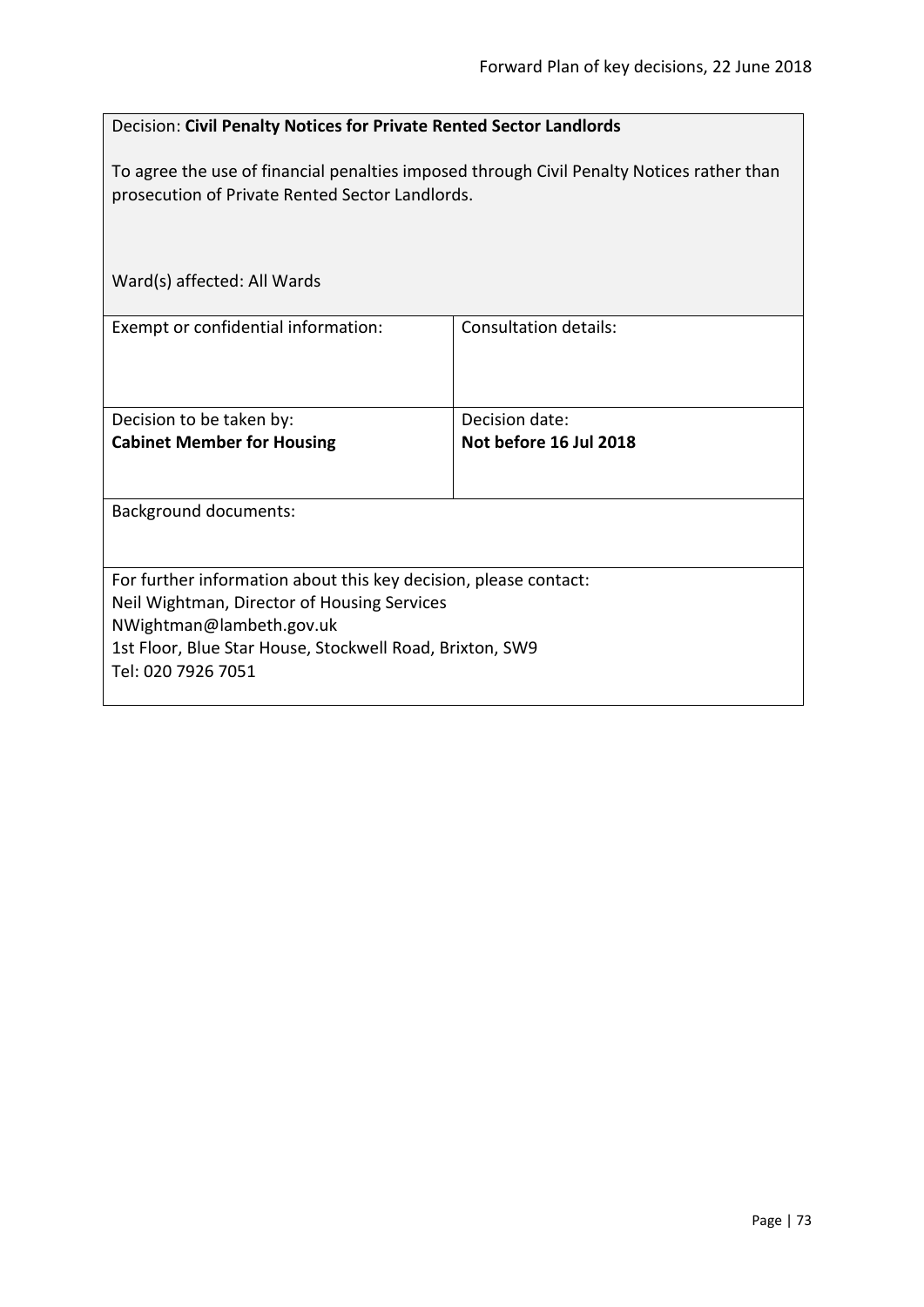## Decision: **Civil Penalty Notices for Private Rented Sector Landlords**

To agree the use of financial penalties imposed through Civil Penalty Notices rather than prosecution of Private Rented Sector Landlords.

| Ward(s) affected: All Wards                                                                                                                                                                                                   |                                          |  |
|-------------------------------------------------------------------------------------------------------------------------------------------------------------------------------------------------------------------------------|------------------------------------------|--|
| Exempt or confidential information:                                                                                                                                                                                           | Consultation details:                    |  |
| Decision to be taken by:<br><b>Cabinet Member for Housing</b>                                                                                                                                                                 | Decision date:<br>Not before 16 Jul 2018 |  |
| Background documents:                                                                                                                                                                                                         |                                          |  |
| For further information about this key decision, please contact:<br>Neil Wightman, Director of Housing Services<br>NWightman@lambeth.gov.uk<br>1st Floor, Blue Star House, Stockwell Road, Brixton, SW9<br>Tel: 020 7926 7051 |                                          |  |